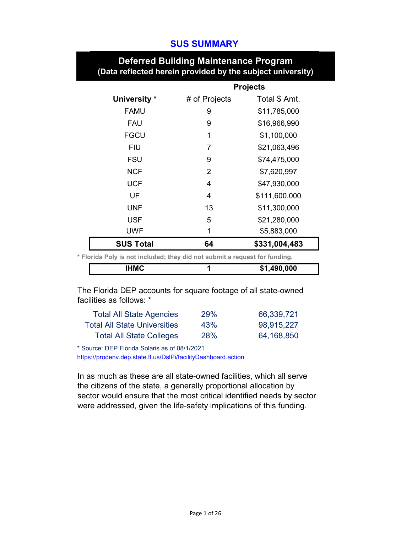# **SUS SUMMARY**

|                                                                            |                | <b>Projects</b> |
|----------------------------------------------------------------------------|----------------|-----------------|
| University *                                                               | # of Projects  | Total \$ Amt.   |
| <b>FAMU</b>                                                                | 9              | \$11,785,000    |
| <b>FAU</b>                                                                 | 9              | \$16,966,990    |
| <b>FGCU</b>                                                                | 1              | \$1,100,000     |
| <b>FIU</b>                                                                 | 7              | \$21,063,496    |
| <b>FSU</b>                                                                 | 9              | \$74,475,000    |
| <b>NCF</b>                                                                 | $\overline{2}$ | \$7,620,997     |
| <b>UCF</b>                                                                 | 4              | \$47,930,000    |
| UF                                                                         | 4              | \$111,600,000   |
| <b>UNF</b>                                                                 | 13             | \$11,300,000    |
| <b>USF</b>                                                                 | 5              | \$21,280,000    |
| <b>UWF</b>                                                                 | 1              | \$5,883,000     |
| <b>SUS Total</b>                                                           | 64             | \$331,004,483   |
| * Florida Poly is not included; they did not submit a request for funding. |                |                 |
| <b>IHMC</b>                                                                | 1              | \$1,490,000     |

# **Deferred Building Maintenance Program (Data reflected herein provided by the subject university)**

The Florida DEP accounts for square footage of all state-owned facilities as follows: \*

| <b>Total All State Agencies</b>     | <b>29%</b> | 66,339,721 |
|-------------------------------------|------------|------------|
| <b>Total All State Universities</b> | 43%        | 98,915,227 |
| <b>Total All State Colleges</b>     | <b>28%</b> | 64,168,850 |

\* Source: DEP Florida Solaris as of 08/1/2021

<https://prodenv.dep.state.fl.us/DslPi/facilityDashboard.action>

In as much as these are all state-owned facilities, which all serve the citizens of the state, a generally proportional allocation by sector would ensure that the most critical identified needs by sector were addressed, given the life-safety implications of this funding.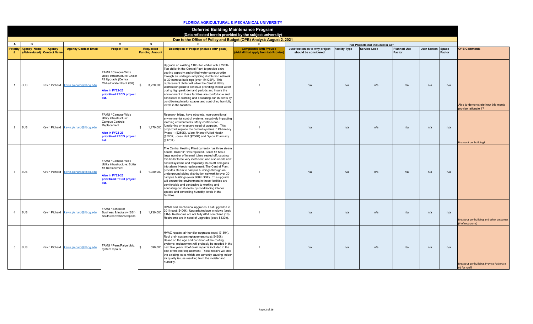### **FLORIDA AGRICULTURAL & MECHANICAL UNIVERSITY**

|                 |                    |                                      |                             |                                                                                                                                                         |                                    |                                                                                                                                                                                                                                                                                                                                                                                                                                                                                                                                                                                                                                                                                                                           | <b>Deferred Building Maintenance Program</b><br>(Data reflected herein provided by the subject university) |                                                                       |     |                                  |                              |                           |        |                                                              |
|-----------------|--------------------|--------------------------------------|-----------------------------|---------------------------------------------------------------------------------------------------------------------------------------------------------|------------------------------------|---------------------------------------------------------------------------------------------------------------------------------------------------------------------------------------------------------------------------------------------------------------------------------------------------------------------------------------------------------------------------------------------------------------------------------------------------------------------------------------------------------------------------------------------------------------------------------------------------------------------------------------------------------------------------------------------------------------------------|------------------------------------------------------------------------------------------------------------|-----------------------------------------------------------------------|-----|----------------------------------|------------------------------|---------------------------|--------|--------------------------------------------------------------|
|                 |                    |                                      |                             |                                                                                                                                                         |                                    | Due to the Office of Policy and Budget (OPB) Analyst: August 2, 2021                                                                                                                                                                                                                                                                                                                                                                                                                                                                                                                                                                                                                                                      |                                                                                                            |                                                                       |     |                                  |                              |                           |        |                                                              |
| Α               | в                  |                                      |                             | C                                                                                                                                                       | D                                  | E.                                                                                                                                                                                                                                                                                                                                                                                                                                                                                                                                                                                                                                                                                                                        | - 6                                                                                                        |                                                                       |     | For Projects not included in CIP |                              |                           |        |                                                              |
| <b>Priority</b> | <b>Agency Name</b> | Agency<br>(Abbreviated) Contact Name | <b>Agency Contact Email</b> | <b>Project Title</b>                                                                                                                                    | Requested<br><b>Funding Amount</b> | <b>Description of Project (include ARP goals)</b>                                                                                                                                                                                                                                                                                                                                                                                                                                                                                                                                                                                                                                                                         | <b>Compliance with Proviso</b><br>(Add all that apply from tab Proviso)                                    | Justification as to why project Facility Type<br>should be considered |     | <b>Service Load</b>              | <b>Planned Use</b><br>Factor | <b>User Station Space</b> | Factor | <b>OPB Comments</b>                                          |
| $\overline{1}$  | SUS                | Kevin Pichard                        | kevin.pichard@flbog.edu     | FAMU / Campus-Wide<br>Utility Infrastructure: Chiller<br>#2 Upgrade (Central<br>Chilled Water Plant #38)<br>Also in FY22-23<br>prioritized PECO project | 3,720,000                          | Upgrade an existing 1100-Ton chiller with a 2200-<br>Ton chiller in the Central Plant to provide extra<br>cooling capacity and chilled water campus-wide<br>through an underground piping distribution network<br>to 39 campus buildings (over 1M GSF). This<br>replacement chiller will allow the Central Utility<br>Distribution plant to continue providing chilled water<br>during high peak demand periods and insure the<br>environment in these facilities are comfortable and<br>conducive to working and educating our students by<br>conditioning interior spaces and controlling humidity<br>levels in the facilities.                                                                                         |                                                                                                            | n/a                                                                   | n/a | n/a                              | n/a                          | n/a                       | n/a    | Able to demonstrate how this meets<br>proviso rationale 1?   |
| $\overline{2}$  | SUS                | Kevin Pichard                        | kevin.pichard@flbog.edu     | FAMU / Campus-Wide<br>Utility Infrastructure:<br>Campus Controls<br>Replacement<br>Also in FY22-23<br>prioritized PECO project                          | $\hat{\mathbf{x}}$                 | Research bldgs. have obsolete, non-operational<br>environmental control systems, negatively impacting<br>learning environments. Many controls non-<br>1,170,000 functioning or in severe need of upgrade. This<br>project will replace the control systems in Pharmacy<br>Phase 1 (\$250K), Ware-Rhaney/Allied Health<br>(\$500K, Jones Hall (\$250K) and Dyson Pharmacy<br>(\$170K).                                                                                                                                                                                                                                                                                                                                     |                                                                                                            | n/a                                                                   | n/a | n/a                              | n/a                          | n/a                       | n/a    | Breakout per building?                                       |
| $\mathbf{3}$    | SUS                | Kevin Pichard                        | kevin.pichard@flbog.edu     | FAMU / Campus-Wide<br>Utility Infrastructure: Boiler<br>#3 Replacement<br>Also in FY22-23<br>prioritized PECO project                                   | $\mathbf{\hat{x}}$                 | The Central Heating Plant currently has three steam<br>boilers. Boiler #1 was replaced. Boiler #3 has a<br>large number of internal tubes sealed off, causing<br>this boiler to be very inefficient, and also needs new<br>control systems and frequently shuts off and goes<br>into alarm. Needs replacement. The Central Plant<br>1,920,000 provides steam to campus buildings through an<br>underground piping distribution network to over 30<br>campus buildings (over 800K GSF). This upgrade<br>will ensure the environment in these facilities are<br>comfortable and conducive to working and<br>educating our students by conditioning interior<br>spaces and controlling humidity levels in the<br>facilities. |                                                                                                            | n/a                                                                   | n/a | n/a                              | n/a                          | n/a                       | n/a    |                                                              |
| $\overline{4}$  | SUS                | Kevin Pichard                        | kevin.pichard@flbog.edu     | FAMU / School of<br>Business & Industry (SBI)<br>South renovations/repairs                                                                              | 1,730,000<br>$\mathbb{S}$          | HVAC and mechanical upgrades. Last upgraded in<br>2011(cost: \$400k). Upgrade/replace windows (cost:<br>\$1M). Restrooms are not fully ADA compliant, (10)<br>Restrooms are in need of upgrades (cost: \$330k).                                                                                                                                                                                                                                                                                                                                                                                                                                                                                                           |                                                                                                            | n/a                                                                   | n/a | n/a                              | n/a                          | n/a                       | n/a    | Breakout per building and other outcomes<br>(# of restrooms) |
| $5\overline{5}$ | SUS                | Kevin Pichard                        | kevin.pichard@flbog.edu     | FAMU / Perry/Paige bldg.<br>system repairs                                                                                                              |                                    | HVAC repairs; air handler upgrades (cost: \$130k).<br>Roof drain system replacement (cost: \$460k).<br>Based on the age and condition of the roofing<br>systems, replacement will probably be needed in the<br>590,000 next five years. Roof drain repair is included in the<br>cost of the roof replacement. These repairs will stop<br>the existing leaks which are currently causing indoor<br>air quality issues resulting from the moister and<br>humidity.                                                                                                                                                                                                                                                          |                                                                                                            | n/a                                                                   | n/a | n/a                              | n/a                          | n/a                       | n/a    | Breakout per building. Proviso Rationale<br>#6 for roof?     |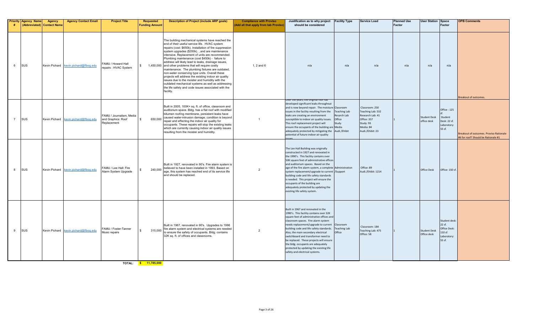| # | <b>Priority Agency Name</b><br>(Abbreviated) Contact Name | Agency        | <b>Agency Contact Email</b>           | <b>Project Title</b>                                          | <b>Requested</b><br><b>Funding Amount</b> | <b>Description of Project (include ARP goals)</b>                                                                                                                                                                                                                                                                                                                                                                                                                                                                                                                                                                                                                                                                                                                                 | <b>Compliance with Proviso</b><br>Add all that apply from tab Proviso | Justification as to why project<br>should be considered                                                                                                                                                                                                                                                                                                                                                                                                                                                                | <b>Facility Type</b>                                                  | <b>Service Load</b>                                                                                                  | <b>Planned Use</b><br>Factor | <b>User Station</b>                | Space<br>Factor                                                                  | <b>OPB Comments</b>                                                                   |
|---|-----------------------------------------------------------|---------------|---------------------------------------|---------------------------------------------------------------|-------------------------------------------|-----------------------------------------------------------------------------------------------------------------------------------------------------------------------------------------------------------------------------------------------------------------------------------------------------------------------------------------------------------------------------------------------------------------------------------------------------------------------------------------------------------------------------------------------------------------------------------------------------------------------------------------------------------------------------------------------------------------------------------------------------------------------------------|-----------------------------------------------------------------------|------------------------------------------------------------------------------------------------------------------------------------------------------------------------------------------------------------------------------------------------------------------------------------------------------------------------------------------------------------------------------------------------------------------------------------------------------------------------------------------------------------------------|-----------------------------------------------------------------------|----------------------------------------------------------------------------------------------------------------------|------------------------------|------------------------------------|----------------------------------------------------------------------------------|---------------------------------------------------------------------------------------|
| 6 | <b>SUS</b>                                                |               | Kevin Pichard kevin.pichard@flbog.edu | FAMU / Howard Hall<br>repairs : HVAC System                   | $\mathbb{S}$                              | The building mechanical systems have reached the<br>end of their useful service life. HVAC system<br>repairs (cost: \$650k). Installation of fire suppression<br>system upgrades (\$350k)., and are maintenance<br>intensive. Replacement of units are recommended.<br>Plumbing maintenance (cost \$450k) - failure to<br>address will likely lead to leaks, drainage issues,<br>1,450,000 and other problems that will require costly<br>maintenance. The plumbing fixtures are outdated,<br>non-water conserving type units. Overall these<br>projects will address the existing indoor air quality<br>issues due to the moister and humidity with the<br>outdated mechanical systems as well as addressing<br>the life safety and code issues associated with the<br>facility. | $1, 2$ and $6$                                                        | n/a                                                                                                                                                                                                                                                                                                                                                                                                                                                                                                                    | n/a                                                                   | n/a                                                                                                                  | n/a                          | n/a                                | n/a                                                                              | Breakout of outcomes.                                                                 |
|   | <b>SUS</b>                                                |               | Kevin Pichard kevin.pichard@flbog.edu | FAMU / Journalism, Media<br>and Graphics: Roof<br>Replacement | 650,000<br>S.                             | Built in 2005, 100K+ sq. ft. of office, classroom and<br>auditorium space. Bldg. has a flat roof with modified<br>bitumen roofing membrane, persistent leaks have<br>caused water-intrusion damage; condition is beyond<br>repair and effecting the indoor air quality for<br>occupants. These repairs will stop the existing leaks<br>which are currently causing indoor air quality issues<br>resulting from the moister and humidity.                                                                                                                                                                                                                                                                                                                                          | $\overline{1}$                                                        | Jver the years, the original roof has<br>developed significant leaks throughout<br>and is now beyond repair. The moisture Classroom<br>issues in the facility resulting from the<br>leaks are creating an environment<br>susceptible to indoor air quality issues.<br>This roof replacement project will<br>ensure the occupants of the building are Media<br>adequately protected by mitigating the<br>potential of future indoor air quality                                                                         | <b>Teaching Lab</b><br>Resarch Lab<br>Office<br>Study<br>Audi./Ehibit | Classroom: 250<br>Teaching Lab: 532<br>Research Lab: 41<br>Office: 357<br>Study: 93<br>Media: 84<br>Audi./Ehibit: 23 |                              | <b>Student Desk</b><br>office desk | Office: 125<br>Student<br>Desk: 22 sf.<br>Laboratory:<br>55 sf.                  | <b>Breakout of outcomes. Proviso Rationale</b><br>#6 for roof? Should be Rationale #1 |
| 8 | sus                                                       |               | Kevin Pichard kevin.pichard@flbog.edu | FAMU / Lee Hall: Fire<br>Alarm System Upgrade                 | 240,000<br>\$                             | Built in 1927, renovated in 90's. Fire alarm system is<br>believed to have been installed in 1993. Based on<br>age, this system has reached end of its service life<br>and should be replaced.                                                                                                                                                                                                                                                                                                                                                                                                                                                                                                                                                                                    | $\overline{2}$                                                        | The Lee Hall Building was originally<br>constructed in 1927 and renovated in<br>the 1990's. This facility contains over<br>50K square feet of administrative offices<br>and auditorium spaces. Based on the<br>age of the fire alarm system, a complete Administration<br>system replacement/upgrade to current /Support<br>building code and life safety standards<br>s needed. This project will ensure the<br>occupants of the building are<br>adequately protected by updating the<br>existing life safety system. |                                                                       | Office: 89<br>Audi./Ehibit: 1214                                                                                     |                              | Office Desk                        | Office: 150 sf.                                                                  |                                                                                       |
| 9 | <b>SUS</b>                                                | Kevin Pichard | kevin.pichard@flbog.edu               | FAMU / Foster-Tanner<br>Music repairs                         | 315,000<br>\$                             | Built in 1967, renovated in 90's. Upgrades to 1996<br>fire alarm system and electrical systems are needed<br>to ensure the safety of occupants. Bldg. contains<br>32K sq. ft. of offices and classrooms.                                                                                                                                                                                                                                                                                                                                                                                                                                                                                                                                                                          | $\overline{2}$                                                        | Built in 1967 and renovated in the<br>1990's. This facility contains over 32K<br>square feet of administrative offices and<br>classroom spaces. Fire alarm system<br>needs replacement/upgrade to current<br>building code and life safety standards.<br>Also, the main secondary electrical<br>switchboard and transformer need to<br>be replaced. These projects will ensure<br>the bldg. occupants are adequately<br>protected by updating the existing life<br>safety and electrical systems.                      | Classroom<br><b>Teaching Lab</b><br>Office                            | Classroom: 184<br>Teaching Lab: 475<br>Office: 58                                                                    |                              | <b>Student Desk</b><br>Office desk | <b>Student desk</b><br>22 sf.<br>Office Desk:<br>10 sf.<br>Laboratory:<br>55 sf. |                                                                                       |
|   |                                                           |               |                                       | TOTAL:                                                        | $\frac{12}{1}$ \$ 11.785.000              |                                                                                                                                                                                                                                                                                                                                                                                                                                                                                                                                                                                                                                                                                                                                                                                   |                                                                       |                                                                                                                                                                                                                                                                                                                                                                                                                                                                                                                        |                                                                       |                                                                                                                      |                              |                                    |                                                                                  |                                                                                       |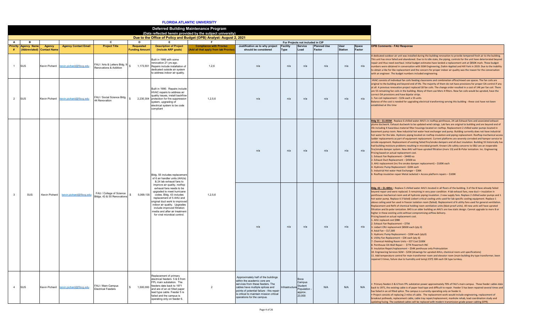### **FLORIDA ATLANTIC UNIVERSITY**

|                |                             |                                     |                                       |                                                        |                                          |                                                                                                                                                                                                                                                                                                                  | <b>Deferred Building Maintenance Program</b><br>(Data reflected herein provided by the subject university) |                                                                                                                                                                                                                                                                    |                                |                                                              |                              |                               |                 |                                                                                                                                                                                                                                                                                                                                                                                                                                                                                                                                                                                                                                                                                                                                                                                                                                                                                                                                                                                                                                                                                                                                                                                                                                                                                                                                                                                                                                                                                                                                                                                                                                                                                                                                                                       |
|----------------|-----------------------------|-------------------------------------|---------------------------------------|--------------------------------------------------------|------------------------------------------|------------------------------------------------------------------------------------------------------------------------------------------------------------------------------------------------------------------------------------------------------------------------------------------------------------------|------------------------------------------------------------------------------------------------------------|--------------------------------------------------------------------------------------------------------------------------------------------------------------------------------------------------------------------------------------------------------------------|--------------------------------|--------------------------------------------------------------|------------------------------|-------------------------------|-----------------|-----------------------------------------------------------------------------------------------------------------------------------------------------------------------------------------------------------------------------------------------------------------------------------------------------------------------------------------------------------------------------------------------------------------------------------------------------------------------------------------------------------------------------------------------------------------------------------------------------------------------------------------------------------------------------------------------------------------------------------------------------------------------------------------------------------------------------------------------------------------------------------------------------------------------------------------------------------------------------------------------------------------------------------------------------------------------------------------------------------------------------------------------------------------------------------------------------------------------------------------------------------------------------------------------------------------------------------------------------------------------------------------------------------------------------------------------------------------------------------------------------------------------------------------------------------------------------------------------------------------------------------------------------------------------------------------------------------------------------------------------------------------------|
|                |                             |                                     |                                       |                                                        |                                          |                                                                                                                                                                                                                                                                                                                  | Due to the Office of Policy and Budget (OPB) Analyst: August 2, 2021                                       |                                                                                                                                                                                                                                                                    |                                |                                                              |                              |                               |                 |                                                                                                                                                                                                                                                                                                                                                                                                                                                                                                                                                                                                                                                                                                                                                                                                                                                                                                                                                                                                                                                                                                                                                                                                                                                                                                                                                                                                                                                                                                                                                                                                                                                                                                                                                                       |
| A              |                             |                                     |                                       | C                                                      |                                          |                                                                                                                                                                                                                                                                                                                  |                                                                                                            |                                                                                                                                                                                                                                                                    |                                | For Projects not included in CIP                             |                              |                               |                 |                                                                                                                                                                                                                                                                                                                                                                                                                                                                                                                                                                                                                                                                                                                                                                                                                                                                                                                                                                                                                                                                                                                                                                                                                                                                                                                                                                                                                                                                                                                                                                                                                                                                                                                                                                       |
| #              | <b>Priority Agency Name</b> | Agency<br>(Abbreviated) Contact Nam | <b>Agency Contact Email</b>           | <b>Project Title</b>                                   | <b>Requested</b><br><b>Funding Amoun</b> | <b>Description of Project</b><br>(include ARP goals)                                                                                                                                                                                                                                                             | <b>Compliance with Proviso</b><br>Add all that apply from tab Provise                                      | Justification as to why project<br>should be considered                                                                                                                                                                                                            | <b>Facility</b><br><b>Type</b> | <b>Service</b><br>Load                                       | <b>Planned Use</b><br>Factor | <b>User</b><br><b>Station</b> | Space<br>Factor | <b>OPB Comments - FAU Response</b>                                                                                                                                                                                                                                                                                                                                                                                                                                                                                                                                                                                                                                                                                                                                                                                                                                                                                                                                                                                                                                                                                                                                                                                                                                                                                                                                                                                                                                                                                                                                                                                                                                                                                                                                    |
| $\mathbf{1}$   | <b>SUS</b>                  | Kevin Pichard                       | kevin.pichard@flbog.edu               | FAU / Arts & Letters Bldg. 9<br>enovations & Addition  |                                          | Built in 1966 with some<br>renovation 21 vrs ago.<br>1,173,551 Repairs include installation of<br>dedicated outside air system<br>to address indoor air quality.                                                                                                                                                 | 1.2.6                                                                                                      | n/a                                                                                                                                                                                                                                                                | n/a                            | n/a                                                          | n/a                          | n/a                           | n/a             | A dedicated outdoor air unit was installed during the building renovation to provide tempered fresh air to the building.<br>This unit has since failed and abandoned. Due to its idle state, the piping, controls for the unit have deteriorated beyond<br>epair and thus need overhaul. Initial budget estimates have landed a replacement unit at \$850K mark. These budget<br>numbers were obtained in conversation with SGM Engineering, Daikin Applied and Hill York in 2019. Due to the inability<br>to obtain a like for like replacement and the concern for proper indoor air quality was the reason for the conversation<br>with an engineer. The budget numbers included engineering.                                                                                                                                                                                                                                                                                                                                                                                                                                                                                                                                                                                                                                                                                                                                                                                                                                                                                                                                                                                                                                                                      |
| $\overline{2}$ | SUS                         |                                     | Kevin Pichard kevin.pichard@flbog.edu | FAU / Social Science Bldg.<br>4 Renovation             |                                          | Built in 1990. Repairs include<br>HVAC repairs to address air<br>quality issues, install backflow<br>2,230,304 protection for fire suppression<br>system, upgrading of<br>electrical system to be code<br>compliant                                                                                              | 1.2.5.6                                                                                                    | n/a                                                                                                                                                                                                                                                                | n/a                            | n/a                                                          | n/a                          | n/a                           | n/a             | HVAC consists of individual fan coils feeding classrooms and combination office/mixed use spaces. The fan coils are<br>original to the building and beyond end of life. The majority of them do not have provisions for proper OA control if any<br>at all. A previous renovation project replaced 18 fan coils. The change order resulted in a cost of 14K per fan coil. There<br>are 55 remaining fan coils in the building. Many of them use Merv 4 filters. New fan coils would be uprated, have the<br>correct OA provisions and have bipolar strips.<br>1. Fan coil replacement - \$15k each x 55 units<br>Balance of the cost is needed for upgrading electrical transforming serving this building - these cost have not been<br>established at this time                                                                                                                                                                                                                                                                                                                                                                                                                                                                                                                                                                                                                                                                                                                                                                                                                                                                                                                                                                                                     |
|                |                             |                                     |                                       |                                                        |                                          | Bldg. 55 includes replacement<br>of 6 air handler units (AHUs)<br>& 24 lab exhaust fans to                                                                                                                                                                                                                       |                                                                                                            | n/a                                                                                                                                                                                                                                                                | n/a                            | n/a                                                          | n/a                          | n/a                           | n/a             | Bldg 55 - \$1.055M - Replace 6 chilled water AHU's in rooftop penthouse, 24 Lab Exhaust fans and associated exhaust<br>plume ductwork. Exhaust ductwork to be updated wind ratings. Lab fans are original to building and are beyond end of<br>life including 4 hazardous material filter housings located on rooftop. Replacement 2 chilled water pumps located in<br>basement pump room. New industrial hot water heat exchanger and pump. Building currently does not have industrial<br>hot water for the labs. Hydronic piping located on rooftop insulation and piping replacement. Rooftop mechanical access<br>ladder replacements as part of equipment replacement. Current platforms are severely corroded and hamper service to<br>airside equipment. Replacement of existing failed fire/smoke dampers and all duct insulation. Building 55 historically has<br>had building moisture problems resulting in microbial growth. Known Life safety concerns to E&U are an inoperable<br>fire/smoke damper system. New AHU will have uprated filtration (merv 13) and Bi-Polar ionization. Inc. Engineering<br>Pricing based on actual replacement cost.<br>1. Exhaust Fan Replacement - \$4400 ea<br>2. Exhaust Duct Replacement - \$4500 ea<br>3. AHU replacement (inc fire smoke damper replacement) - \$100K each<br>4. Hydronic Pump Replacement -\$20K each<br>. Industrial Hot water Heat Exchanger - \$36K<br>6. Rooftop insulation repair Metal Jacketed + Access platform repairs - \$100K                                                                                                                                                                                                                                                          |
| $\mathbf{3}$   | SUS                         | Kevin Pichard                       | kevin.pichard@flbog.edu               | FAU / College of Science<br>3ldgs. 43 & 55 Renovations | $\mathbf{s}$<br>5,069,135                | improve air quality, rooftop<br>exhaust fans needs to be<br>upgraded to meet hurricane<br>codes. Bldg. 43 includes<br>replacement of 5 AHU and<br>original duct work to improved<br>indoor air quality. Upgrades<br>include improved filtration<br>media and after air treatment<br>for viral microbial control. | 1.2.5.6                                                                                                    | n/a                                                                                                                                                                                                                                                                | n/a                            | n/a                                                          | n/a                          | n/a                           | n/a             | Bldg. 43 - \$1.489m - Replace 5 chilled water AHU's located in all floors of the building. 3 of the 8 have already failed<br>beyond repair and were replaced. 5 remaining in very poor condition. 4 lab exhaust fans, new duct + insulation in<br>penthouse mechanical room and all hydronic piping insulation. 2 new supply fans. Replace 2 chilled water pumps and 1<br>hot water pump. Replace 6 3 failed) Liebert critical cooling units used for lab specific cooling equipment. Replace 1<br>above ceiling axial fan used in freezer isolation room (failed). Replacement of 6 utility fans used for general ventilation.<br>Replacement and Refit of chemical holding room ventilation units (blast proof units). All new units will have uprated<br>filtration and bi-polar ionization. B43 is an older building an AHU's are low static design. Cannot upgrade to merv 8 or<br>higher in these existing units without compromising airflow delivery.<br>Pricing based on actual replacement cost.<br>1. AHU replaced cost \$98K<br>2. Exhaust Fan Replacement - \$75K<br>3. Liebert CRU replacement \$8500 each (qty 3)<br>4. Axial Fan - \$17.300<br>. Hydronic Pump Replacement - \$20K each (qty3)<br>6. Utility Fan Replacement - \$3K each (qty 6)<br>7. Chemical Holding Room Units - EST Cost \$100K<br>8. Penthouse OA Wall Repair - \$77K Powertech INC<br>9. Insulation Repair/replacement - \$54K penthouse only ProInsulation<br>10. Engineering Services SGM - \$25K (drawings for uprated AHUs, chemical room unit specifications)<br>11. Add temperature control for main transformer room and elevator room (main building dry type transformer, been<br>repaired 3 times, failure due to humidity and temp) EST\$ 30K each DX type turnkey. |
| $\overline{4}$ | SUS                         |                                     | Kevin Pichard kevin.pichard@flbog.edu | FAU / Main Campus<br><b>Electrical Feeders</b>         | $\mathbf{s}$<br>1,500,000                | Replacement of primary<br>electrical feeders 5 & 6 from<br>FPL main substation. The<br>feeders date back to 1971<br>and are of an oil filled paper<br>lead type cable. Feeder 5 is<br>failed and the campus is<br>operating only on feeder 6.                                                                    | $\overline{2}$                                                                                             | Approximately half of the buildings<br>within the academic core are<br>services from these feeders. The<br>cables have multiple splices and<br>points of potential failure - this repair<br>is critical to maintain mission critical<br>operations for the campus. | nfrastructure                  | Boca<br>Campus<br>Student<br>Population<br>approx.<br>23,000 | N/A                          | N/A                           | N/A             | Primary feeders 5 & 6 from FPL substation power approximately 70% of FAU's main campus. These feeder cables date<br>back to 1971, the existing cable is of paper lead type and difficult to repair. Feeder 5 has been repaired several times and<br>has failed in an oil filled splice. The campus is currently operating only on feeder 6.<br>. Project consists of replacing 2 miles of cable. The replacement work would include engineering, replacement of<br>breakout potheads, replacement cable, cable tray repair/replacement, manhole rehab, load coordination study and<br>updating fusing. The outdated cables will be replaced with modern transmission grade power cabling (EPR).                                                                                                                                                                                                                                                                                                                                                                                                                                                                                                                                                                                                                                                                                                                                                                                                                                                                                                                                                                                                                                                                       |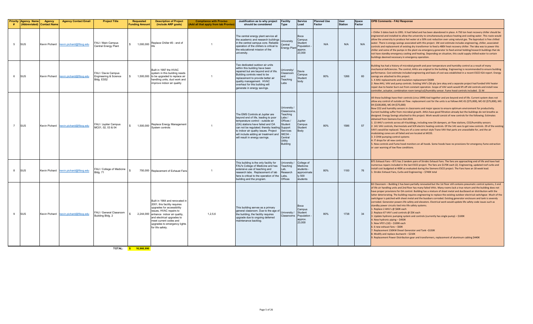|   | <b>Priority Agency Name</b><br><b>Abbreviated)</b> | <b>Agency</b><br><b>Contact Name</b> | <b>Agency Contact Email</b>           | <b>Project Title</b>                                      | <b>Requested</b><br><b>Funding Amour</b> | <b>Description of Project</b><br>(include ARP goals)                                                                                                                                                                                                                         | <b>Compliance with Proviso</b><br><b>Add all that apply from tab Provise</b> | Justification as to why project<br>should be considered                                                                                                                                                                                                                                                              | <b>Facility</b><br>Type                                                                                                                              | Service<br>Load                                                           | <b>Planned Use</b><br>Factor | <b>User</b><br><b>Station</b> | Space<br>Factor | <b>OPB Comments - FAU Response</b>                                                                                                                                                                                                                                                                                                                                                                                                                                                                                                                                                                                                                                                                                                                                                                                                                                                                                                                                                                                                                                                                                                                                                                                                                                                                                                                                    |
|---|----------------------------------------------------|--------------------------------------|---------------------------------------|-----------------------------------------------------------|------------------------------------------|------------------------------------------------------------------------------------------------------------------------------------------------------------------------------------------------------------------------------------------------------------------------------|------------------------------------------------------------------------------|----------------------------------------------------------------------------------------------------------------------------------------------------------------------------------------------------------------------------------------------------------------------------------------------------------------------|------------------------------------------------------------------------------------------------------------------------------------------------------|---------------------------------------------------------------------------|------------------------------|-------------------------------|-----------------|-----------------------------------------------------------------------------------------------------------------------------------------------------------------------------------------------------------------------------------------------------------------------------------------------------------------------------------------------------------------------------------------------------------------------------------------------------------------------------------------------------------------------------------------------------------------------------------------------------------------------------------------------------------------------------------------------------------------------------------------------------------------------------------------------------------------------------------------------------------------------------------------------------------------------------------------------------------------------------------------------------------------------------------------------------------------------------------------------------------------------------------------------------------------------------------------------------------------------------------------------------------------------------------------------------------------------------------------------------------------------|
| 5 | <b>SUS</b>                                         |                                      | Kevin Pichard kevin.pichard@flbog.edu | FAU / Main Campus<br>Central Energy Plant                 | 1,000,000                                | Replace Chiller #3 - end of                                                                                                                                                                                                                                                  |                                                                              | The central energy plant service all<br>the academic and research buildings<br>in the central campus core. Reliable<br>operation of the chillers is critical to<br>the educational mission of the<br>university.                                                                                                     | Jniversity<br>Central<br>Energy Plant                                                                                                                | Boca<br>Campus<br>Student<br>Population<br>approx.<br>23,000              | N/A                          | N/A                           | N/A             | Chiller 3 dates back to 1991. It had failed and has been abandoned in place. A 750 ton heat recovery chiller should be<br>ngineered and installed to allow the university to simultaneously produce heating and cooling water. This route would<br>allow the university to produce hot water at a 50% cost reduction over using natural gas. The byproduct is free chilled<br>water. There is energy savings associated with this project. 1M cost estimate includes engineering, chiller, associated<br>controls and replacement of existing dry transformer to feed a 480V heat recovery chiller. The idea was to power this<br>chiller and some of the pumps in the plant via emergency generator to feed animal holding/research buildings that do<br>not have standby emergency cooling and heating. Depending on situation, this could supply chilled water to certain<br>buildings deemed necessary in emergency operation.                                                                                                                                                                                                                                                                                                                                                                                                                                    |
|   | <b>SUS</b>                                         |                                      | Kevin Pichard kevin.pichard@flbog.edu | FAU / Davie Campus<br>Engineering & Science<br>3ldg. ES52 |                                          | Built in 1997 the HVAC<br>system in this building needs<br>1,500,000 to be upgraded to replace air<br>handling units, duct work and<br>improve indoor air quality                                                                                                            | $\overline{1}$                                                               | Two dedicated outdoor air units<br>within this building have been<br>repaired but are beyond end of life.<br>Building controls need to be<br>replacement to provide better air<br>quality management. HVAC<br>overhaul for this building will<br>generate in energy savings.                                         | niversity/<br>Classroom<br>and<br>Teaching<br>Labs                                                                                                   | Davie<br>Campus<br>Student<br>body                                        | 80%                          | 1266                          | 60              | Building has had a history of microbial growth and poor temperature and humidity control as a result of many<br>mechanical deficiencies. The control, AHUs are original to the building. Engineering is recommended to ensure building<br>performance. Cost estimate included engineering and basis of cost was established in a recent ESCO IGA report. Energy<br>savings are attached to this project.<br>1. 4 AHU replacements and insulation replacement \$500K<br>. New AHU, VAV and pump controls. Existing VAV's (56 qty )are okay and a separate project had funded VAV heater<br>repair due to heater burn out from constant operation. Scope of VAV work would lift off old controls and install new<br>controller, actuator, combination room temp/co2/humidity sensor. Fume hood controls included. \$1 M                                                                                                                                                                                                                                                                                                                                                                                                                                                                                                                                                 |
|   | <b>SUS</b>                                         |                                      | Kevin Pichard kevin.pichard@flbog.edu | FAU / Jupiter Campus<br>VIC01, 02, 03 & 04                | 1,500,000                                | Replace Energy Management<br>System controls                                                                                                                                                                                                                                 | $\overline{1}$                                                               | The EMS Controls at Jupiter are<br>beyond end of life, leading to poor<br>temperature control - outside air<br>(OA) stations have failed and OA<br>can not be regulated; thereby leading Support<br>to indoor air quality issues. Project<br>will include adding air treatment and<br>will result in energy savings. | University<br>Classrooms.<br><b>Feaching</b><br>Labs/<br>Offices /<br>Student<br>Services<br>/MC04 -<br>Central<br><b>Itility</b><br><b>Building</b> | Jupiter<br>Campus<br>Student<br>Body                                      | 80%                          | 1586                          | 57              | All these buildings have their controls (circa 1999) tied together and are beyond end of life. Current system does not<br>allow any control of outside air flow. replacement cost for the units is as follows MC-01 (\$75,000), MC-02 (\$75,000), MC-<br>04 (\$100,000), MC-04 (\$75,000)<br>New CO2 and humidity sensors in classrooms and major spaces to ensure optimum environment for productivity.<br>Current building suffer from microbial growth. AHUs have good filtration already but the buildings do not breathe as<br>designed. Energy Savings attached to this project. Work would consist of new controls for the following. Estimates<br>obtained from Siemens Esco IGA 2019.<br>1. 13 AHU's controls across all 4 buildings, including new OA dampers, air flow stations, CO2/humidity sensors<br>2. 141 VAV controls, thermostats and SCR electric heating controls. Of the 141 vavs to get new controls. 29 of the existing<br>VAV's would be replaced. They are of a cone venturi style Trane VAV that parts are unavailable for, and the air<br>modulating cones are all failed and are located at MC03.<br>3. 3 CHW pumping control systems<br>4. IT drops for all new controls<br>5. New controls and Fume hood monitors on all hoods. Some hoods have no provisions for emergency fume extraction<br>or user warning of low flow conditions. |
|   | <b>ISUS</b>                                        |                                      | Kevin Pichard kevin.pichard@flbog.edu | FAU / College of Medicine<br>Ida. 71                      |                                          | 750,000 Replacement of Exhaust Fans                                                                                                                                                                                                                                          | $\overline{1}$                                                               | This building is the only facility for<br>FAU's College of Medicine and has<br>extensive use of teaching and<br>research labs. Replacement of lab<br>fans is critical to the operation of the<br>building and the program.                                                                                           | Jniversity<br>Teaching<br>Lab,<br>Research<br>Labs.<br>Offices                                                                                       | College of<br>Medicine<br>students -<br>approximate<br>ly 500<br>students | 80%                          | 1100                          | 76              | B71 Exhaust Fans - B71 has 2 tandem pairs of Strobic Exhaust Fans. The fans are approaching end of life and have had<br>numerous repairs included in the last ESCO project. The fans are \$170K each (2). Engineering, updated roof curbs and<br>install cost budgeted at 400K as evaluated during the Siemens ESCO project. The Fans have an 18 week lead.<br>. Strobic Exhaust Fans, Curbs and Engineering - \$740K total                                                                                                                                                                                                                                                                                                                                                                                                                                                                                                                                                                                                                                                                                                                                                                                                                                                                                                                                           |
|   | <b>SUS</b>                                         |                                      | Kevin Pichard kevin.pichard@flbog.edu | FAU / General Classroom<br>Building Bldg. 2               |                                          | Built in 1964 and renovated in<br>2001; this facility requires<br>upgrades for accessibility<br>issues, HVAC repairs to<br>2,244,000 enhance indoor air quality,<br>and electrical upgrades to<br>meet current codes and<br>upgrades to emergency lights<br>for life safety. | 1.2.5.6                                                                      | This building serves as a primary<br>general classroom. Due to the age of<br>the building, the facility requires<br>upgrade due to ongoing deferred<br>maintenance backlog.                                                                                                                                          | Jniversity<br>assrooms:                                                                                                                              | Boca<br>Campus<br>Student<br>Population<br>approx.<br>23,000              | 80%                          | 1738                          | 34              | B2 Classroom - Building 2 has been partially renovated but the 1st floor still contains pneumatic control systems, 2 end<br>of life air handling units and 2nd floor has many failed VAVs. Many rooms lack a true return and the building does not<br>have proper provisions for OA control. Building has a mixture of sheet metal and ductboard air distribution with the<br>latter deteriorating. The building requires engineering to replace the existing outdoor electrical switchgear. Much of the<br>switchgear is patched with sheet metal and the bussbars corroded. Existing generator enclosure and tank is severely<br>corroded. Generator powers life safety and elevators. Electrical work would update life safety code issues such as<br>standby power circuits tied into life safety systems.<br>L. Replace 2 AHU's @ \$60K each<br>2. Replace 67 VAV's and controls @ \$5K each<br>3. Update hydronic pumping system and controls (currently has single pump) - \$100K<br>4. New hydronic piping - \$450K<br>5. New VFD's (10) - \$100K each<br>6. 6 new exhaust fans - \$60K<br>. Replacement 150KW Diesel Generator and Tank-\$150K<br>B. Modify and replace ductwork - \$210K<br>. Replacement Power Distribution gear and transformers, replacement of aluminum cabling \$440K                                                                  |

**TOTAL: \$ 16,966,990**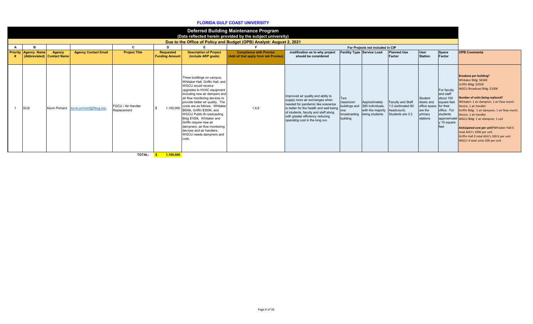#### **FLORIDA GULF COAST UNIVERSITY**

|                             |                                      |                                       |                                          |                                                |                                                                                                                                                                                                                                                                                                                                                                                                                                                                                          | <b>Deferred Building Maintenance Program</b><br>(Data reflected herein provided by the subject university)<br>Due to the Office of Policy and Budget (OPB) Analyst: August 2, 2021 |                                                                                                                                                                                                                                                                      |                                      |                                                                                                     |                                                                                  |                                                                        |                                                                                                                     |                                                                                                                                                                                                                                                                                                                                                                                                                                                                                                                |
|-----------------------------|--------------------------------------|---------------------------------------|------------------------------------------|------------------------------------------------|------------------------------------------------------------------------------------------------------------------------------------------------------------------------------------------------------------------------------------------------------------------------------------------------------------------------------------------------------------------------------------------------------------------------------------------------------------------------------------------|------------------------------------------------------------------------------------------------------------------------------------------------------------------------------------|----------------------------------------------------------------------------------------------------------------------------------------------------------------------------------------------------------------------------------------------------------------------|--------------------------------------|-----------------------------------------------------------------------------------------------------|----------------------------------------------------------------------------------|------------------------------------------------------------------------|---------------------------------------------------------------------------------------------------------------------|----------------------------------------------------------------------------------------------------------------------------------------------------------------------------------------------------------------------------------------------------------------------------------------------------------------------------------------------------------------------------------------------------------------------------------------------------------------------------------------------------------------|
| <b>Priority Agency Name</b> | Agency<br>(Abbreviated) Contact Name | <b>Agency Contact Email</b>           | C.<br><b>Project Title</b>               | D<br><b>Requested</b><br><b>Funding Amount</b> | <b>Description of Project</b><br>(include ARP goals)                                                                                                                                                                                                                                                                                                                                                                                                                                     | <b>Compliance with Proviso</b><br>(Add all that apply from tab Proviso)                                                                                                            | Justification as to why project<br>should be considered                                                                                                                                                                                                              |                                      | For Projects not included in CIP<br>Facility Type Service Load                                      | <b>Planned Use</b><br>Factor                                                     | User<br><b>Station</b>                                                 | Space<br>Factor                                                                                                     | <b>OPB Comments</b>                                                                                                                                                                                                                                                                                                                                                                                                                                                                                            |
| <b>SUS</b>                  |                                      | Kevin Pichard kevin.pichard@flbog.edu | <b>FGCU / Air Handler</b><br>Replacement | 1,100,000                                      | Three buildings on campus,<br>Whitaker Hall, Griffin Hall, and<br>WGCU would receive<br>upgrades to HVAC equipment<br>including new air dampers and<br>air flow monitoring devices to<br>provide better air quality. The<br>costs are as follows: Whitaker<br>\$650k. Griffin \$350K, and<br><b>WGCU Public B roadcasting</b><br>Bldg \$100k. Whitaker and<br>Griffin require new air<br>dampners, air flow monitoring<br>devices and air handlers.<br>WGCU needs dampners and<br>coils. | 1,4,6                                                                                                                                                                              | Improved air quality and ablity to<br>supply more air exchanges when<br>needed for pandemic like scenerios<br>is better for the health and well-being<br>of students, faculty and staff along<br>with greater efficiency reducing<br>operating cost in the long run. | Two<br>classroom<br>lone<br>building | Approximately<br>buildings and 380 individuals,<br>with the majority<br>broadcasting being students | <b>Faculty and Staff</b><br>1.0 (estimated 80<br>headcount).<br>Students are 3.3 | Student<br>desks and<br>office space<br>are the<br>primary<br>stations | For faculty<br>and staff<br>about 100<br>square feet<br>for their<br>office. For<br>students<br>y 10 square<br>feet | <b>Breakout per building?</b><br>Whitaker Bldg: \$650K<br>Griffin Bldg: \$350K<br>WGCU Broadcast Bldg: \$100K<br>Number of units being replaced?<br>Whitaker: 1 air dampner. 1 air flow monit.<br>Device, 1 air handler<br>Griffin Bldg: 1 air dampner, 1 air flow monit.<br>Device, 1 air handler<br>approximatel WGCU Bldg: 1 air dampner, 1 coil<br>Anticipated cost per unit? Whitaker Hall 6<br>total AHU's 100K per unit<br>Griffin Hall 3 total AHU's 100 K per unit<br>WGCU 4 total units 50K per unit |
|                             |                                      |                                       |                                          |                                                |                                                                                                                                                                                                                                                                                                                                                                                                                                                                                          |                                                                                                                                                                                    |                                                                                                                                                                                                                                                                      |                                      |                                                                                                     |                                                                                  |                                                                        |                                                                                                                     |                                                                                                                                                                                                                                                                                                                                                                                                                                                                                                                |

**TOTAL: \$ 1,100,000**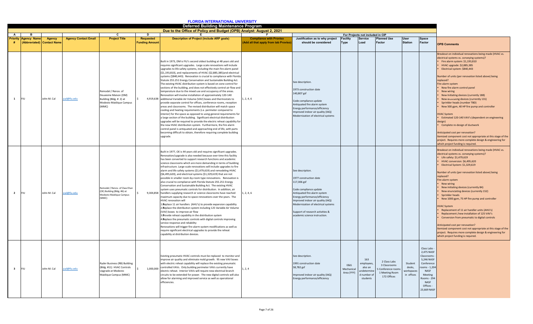|                           |                    |                                      |                             |                                                                                                           |                                           | <b>FLORIDA INTERNATIONAL UNIVERSITY</b>                                                                                                                                                                                                                                                                                                                                                                                                                                                                                                                                                                                                                                                                                                                                                                                                                                                                                                                                                                                                                                                                                                                                                                                                                                                                                                                                                                                                                                            |                                                                         |                                                                                                                                                                                                                                                                                                      |                                 |                                                                     |                                                                                   |                                               |                                                                                                                                                                       |                                                                                                                                                                                                                                                                                                                                                                                                                                                                                                                                                                                                                                                                                                                                                                                                                                               |
|---------------------------|--------------------|--------------------------------------|-----------------------------|-----------------------------------------------------------------------------------------------------------|-------------------------------------------|------------------------------------------------------------------------------------------------------------------------------------------------------------------------------------------------------------------------------------------------------------------------------------------------------------------------------------------------------------------------------------------------------------------------------------------------------------------------------------------------------------------------------------------------------------------------------------------------------------------------------------------------------------------------------------------------------------------------------------------------------------------------------------------------------------------------------------------------------------------------------------------------------------------------------------------------------------------------------------------------------------------------------------------------------------------------------------------------------------------------------------------------------------------------------------------------------------------------------------------------------------------------------------------------------------------------------------------------------------------------------------------------------------------------------------------------------------------------------------|-------------------------------------------------------------------------|------------------------------------------------------------------------------------------------------------------------------------------------------------------------------------------------------------------------------------------------------------------------------------------------------|---------------------------------|---------------------------------------------------------------------|-----------------------------------------------------------------------------------|-----------------------------------------------|-----------------------------------------------------------------------------------------------------------------------------------------------------------------------|-----------------------------------------------------------------------------------------------------------------------------------------------------------------------------------------------------------------------------------------------------------------------------------------------------------------------------------------------------------------------------------------------------------------------------------------------------------------------------------------------------------------------------------------------------------------------------------------------------------------------------------------------------------------------------------------------------------------------------------------------------------------------------------------------------------------------------------------------|
|                           |                    |                                      |                             |                                                                                                           |                                           | <b>Deferred Building Maintenance Program</b>                                                                                                                                                                                                                                                                                                                                                                                                                                                                                                                                                                                                                                                                                                                                                                                                                                                                                                                                                                                                                                                                                                                                                                                                                                                                                                                                                                                                                                       |                                                                         |                                                                                                                                                                                                                                                                                                      |                                 |                                                                     |                                                                                   |                                               |                                                                                                                                                                       |                                                                                                                                                                                                                                                                                                                                                                                                                                                                                                                                                                                                                                                                                                                                                                                                                                               |
|                           |                    |                                      |                             | C.                                                                                                        | D.                                        | Due to the Office of Policy and Budget (OPB) Analyst: August 2, 2021                                                                                                                                                                                                                                                                                                                                                                                                                                                                                                                                                                                                                                                                                                                                                                                                                                                                                                                                                                                                                                                                                                                                                                                                                                                                                                                                                                                                               |                                                                         |                                                                                                                                                                                                                                                                                                      |                                 |                                                                     |                                                                                   |                                               |                                                                                                                                                                       |                                                                                                                                                                                                                                                                                                                                                                                                                                                                                                                                                                                                                                                                                                                                                                                                                                               |
| A<br><b>Priority</b><br># | <b>Agency Name</b> | Agency<br>(Abbreviated) Contact Name | <b>Agency Contact Email</b> | <b>Project Title</b>                                                                                      | <b>Requested</b><br><b>Funding Amount</b> | <b>Description of Project (include ARP goals)</b>                                                                                                                                                                                                                                                                                                                                                                                                                                                                                                                                                                                                                                                                                                                                                                                                                                                                                                                                                                                                                                                                                                                                                                                                                                                                                                                                                                                                                                  | <b>Compliance with Proviso</b><br>(Add all that apply from tab Proviso) | Justification as to why project<br>should be considered                                                                                                                                                                                                                                              | <b>Facility</b><br><b>Type</b>  | For Projects not included in CIP<br>Service<br>Load                 | <b>Planned Use</b><br>Factor                                                      | <b>User</b><br><b>Station</b>                 | Space<br>Factor                                                                                                                                                       | <b>OPB Comments</b>                                                                                                                                                                                                                                                                                                                                                                                                                                                                                                                                                                                                                                                                                                                                                                                                                           |
| 1                         | <b>FIU</b>         | John M. Cal                          | cal@fiu.edu                 | Remodel / Renov. of<br>Deuxieme Maison (DM)<br>Building (Bldg. #2) at<br>Modesto Maidique Campus<br>(MMC) |                                           | Built in 1973, DM is FIU's second oldest building at 48 years old and<br>requires significant upgrades. Large scale renovations will include<br>upgrades to life safety systems, including the main fire alarm panel<br>(\$1,193,810), and replacements of HVAC (\$2,885,385)and electrical<br>systems (\$840,443). Renovation is crucial to compliance with Florida<br>Statute 255.251 Energy Conservation and Sustainable Building Act.<br>The existing HVAC distribution system is based on zone control for<br>sections of the building, and does not effectively control air flow and<br>temperature due to the mixed use and occupancy of the areas.<br>Renovation will involve installation of approximately 120-140<br>4,919,638 additional Variable Air Volume (VAV) boxes and thermostats to<br>provide separate control for offices, conference rooms, reception<br>areas and classrooms. The revised distribution will match space<br>cooling and heating requirements (i.e. perimeter compared to<br>interior) for the space as opposed to using general requirements for<br>a large section of the building. Significant electrical distribution<br>upgrades will be required to provide the electric reheat capability for<br>the new HVAC distribution system. Furthermore, the fire alarm<br>control panel is antiquated and approaching end of life, with parts<br>becoming difficult to obtain, therefore requiring complete building<br>upgrade.               | 1, 2, 4, 6                                                              | See description.<br>1973 construction date<br>140,807 gsf<br>Code compliance update<br>Antiquated fire alarm system<br>Energy performance/efficiency<br>Improved indoor air quality (IAQ)<br>Modernization of electrical systems                                                                     |                                 |                                                                     |                                                                                   |                                               |                                                                                                                                                                       | Breakout on individual renovations being made (HVAC vs.<br>electrical systems vs. conveying systems)?<br>Fire alarm system: \$1,193,810<br>HVAC upgrade: \$2,885,385<br>Electrical system: \$840,443<br>Number of units (per renovation listed above) being<br>replaced?<br>Fire alarm system<br>New fire alarm control panel<br>New wiring<br>New Initiating devices (currently 188)<br>New enunciating devices (currently 131)<br>Sprinkler heads (number TBD)<br>New 500 gpm, 40 HP fire pump and controller<br><b>HVAC System</b><br>Estimated 120-140 VAV's (dependent on engineering<br>design)<br>Complete re-design of ductwork<br>Anticipated cost per renovation?<br>Itemized component cost not appropriate at this stage of the<br>project. Requires more complete design & engineering for<br>which project funding is required. |
| $\overline{2}$            | <b>FIU</b>         | John M. Cal                          | cal@fiu.edu                 | Remodel / Renov. of Owa Ehan<br>(OE) Building (Bldg. #6) at<br>Modesto Maidique Campus<br>(MMC)           |                                           | Built in 1977, OE is 44 years old and requires significant upgrades.<br>Renovation/upgrade is also needed because over time this facility<br>has been converted to support research functions and academic<br>science classrooms which are more demanding in terms of building<br>infrastructure. Large scale renovations will include upgrades to fire<br>alarm and life safety systems (\$1,479,619) and remodeling HVAC<br>(\$6,495,620), and electrical systems (\$1,329,619) that are not<br>possible in smaller room-by-room type renovations. Renovation is<br>also crucial to compliance with Florida Statute 255.251 Energy<br>Conservation and Sustainable Building Act. The existing HVAC<br>system uses pneumatic controls for distribution. In addition, air<br>9,304,858 handlers supplying research or science classrooms have reached<br>maximum capacity due to space renovations over the years. The<br>HVAC renovation will<br>1. Replace 11 air handlers (AHU's) to provide expansion capability<br>2. Replace the distribution system including 125 Variable Air Volume<br>(VAV) boxes to improve air flow<br>3. Provide reheat capability in the distribution system<br>4. Replace the pneumatic controls with digital controls improving<br>service response and reliability<br>Renovations will trigger fire alarm system modifications as well as<br>require significant electrical upgrades to provide the reheat<br>capability at distribution devices. | 1, 2, 4, 6                                                              | See description.<br>1977 construction date<br>117,306 gsf<br>Code compliance update<br>Antiquated fire alarm system<br>Energy performance/efficiency<br>mproved indoor air quality (IAQ)<br>Modernization of electrical systems<br>Support of research activities &<br>academic science instruction. |                                 |                                                                     |                                                                                   |                                               |                                                                                                                                                                       | Breakout on individual renovations being made (HVAC vs.<br>electrical systems vs. conveying systems)?<br>Life safety: \$1,479,619<br>HVAC conversion: \$6,495,620<br>Electrical System: \$1,329,619<br>Number of units (per renovation listed above) being<br>replaced?<br>Fire alarm system<br>New wiring<br>New initiating devices (currently 84)<br>New enunciating devices (currently 152)<br>Sprinkler heads<br>New 1000 gpm, 75 HP fire pump and controller<br><b>HVAC System</b><br>Replacement of 11 air handler units (AHU's)<br>Replacement /new installation of 125 VAV's<br>Conversion from pneumatic to digital controls<br>Anticipated cost per renovation?<br>Itemized component cost not appropriate at this stage of the<br>project. Requires more complete design & engineering for<br>which project funding is required.   |
| $\overline{\mathbf{3}}$   | <b>FIU</b>         | John M. Cal                          | cal@fiu.edu                 | Ryder Business (RB) Building<br>(Bldg. #11) HVAC Controls<br>Upgrade at Modesto<br>Maidique Campus (MMC)  | 1,000,000                                 | Existing pneumatic HVAC controls must be replaced to monitor and<br>improve air quality and eliminate mold growth. 95 new VAV boxes<br>with electric reheat capability will replace the existing pneumatic<br>controlled VAVs. Only building perimeter VAVs currently have<br>electric reheat. Interior VAVs will require new electrical branch<br>circuits to be extended for power. The new digital controls will also<br>allow for alarming and improved service as well as operational<br>efficiencies.                                                                                                                                                                                                                                                                                                                                                                                                                                                                                                                                                                                                                                                                                                                                                                                                                                                                                                                                                                        | 1, 2, 4                                                                 | See description.<br>1991 construction date<br>58,782 gsf<br>mproved indoor air quality (IAQ)<br>Energy performance/efficiency                                                                                                                                                                        | E&G<br>Mechanical<br>Area (YYY) | 163<br>employees,<br>also an<br>ndetermin<br>d number o<br>students | 2 Class Labs<br>3 Classrooms<br>Conference rooms<br>1 Meeting Room<br>172 Offices | Student<br>desks.<br>workspaces<br>in offices | Class Labs<br>2,475 NASF<br>Classrooms<br>5,246 NASF<br>Conference<br>ooms - 1,20<br><b>NASF</b><br>Meeting<br>200ms - 294<br><b>NASF</b><br>Offices -<br>23,669 NASF |                                                                                                                                                                                                                                                                                                                                                                                                                                                                                                                                                                                                                                                                                                                                                                                                                                               |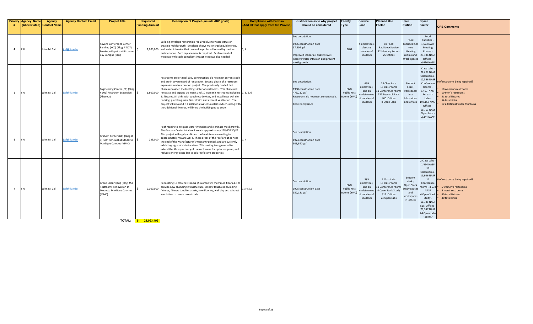| #              | <b>Priority Agency Name</b> | Agency<br>(Abbreviated) Contact Name | <b>Agency Contact Email</b> | <b>Project Title</b>                                                                                         | <b>Requested</b><br><b>Funding Amount</b> | Description of Project (include ARP goals)                                                                                                                                                                                                                                                                                                                                                                                                                                                                                                                                                                                                                       | <b>Compliance with Proviso</b><br>(Add all that apply from tab Proviso) | Justification as to why project<br>should be considered                                                                                              | <b>Facility</b><br><b>Type</b>                    | <b>Service</b><br>Load                                                | <b>Planned Use</b><br>Factor                                                                            | <b>User</b><br><b>Station</b>                                                            | Space<br><b>Factor</b>                                                                                                                                                                                                | <b>OPB Comments</b>                                                                                                                                  |
|----------------|-----------------------------|--------------------------------------|-----------------------------|--------------------------------------------------------------------------------------------------------------|-------------------------------------------|------------------------------------------------------------------------------------------------------------------------------------------------------------------------------------------------------------------------------------------------------------------------------------------------------------------------------------------------------------------------------------------------------------------------------------------------------------------------------------------------------------------------------------------------------------------------------------------------------------------------------------------------------------------|-------------------------------------------------------------------------|------------------------------------------------------------------------------------------------------------------------------------------------------|---------------------------------------------------|-----------------------------------------------------------------------|---------------------------------------------------------------------------------------------------------|------------------------------------------------------------------------------------------|-----------------------------------------------------------------------------------------------------------------------------------------------------------------------------------------------------------------------|------------------------------------------------------------------------------------------------------------------------------------------------------|
| $\overline{a}$ | <b>FIU</b>                  | John M. Cal                          | cal@fiu.edu                 | Kovens Conference Center<br>Building (KCC) (Bldg. # N07)<br>Envelope Repairs at Biscayne<br>Bay Campus (BBC) |                                           | Building envelope restoration required due to water intrusion<br>creating mold growth. Envelope shows major cracking, blistering,<br>1,800,000 and water intrusion that can no longer be addressed by routine<br>maintenance. Roof replacement is required. Replacement of<br>windows with code compliant impact windows also needed.                                                                                                                                                                                                                                                                                                                            | 1.4                                                                     | See description.<br>1996 construction date<br>57,604 gsf<br>Improved indoor air quality (IAQ)<br>Resolve water intrusion and prevent<br>mold growth. | <b>E&amp;G</b>                                    | employees<br>also any<br>number of<br>students                        | 10 Food<br>Facilities+Service<br>12 Meeting Rooms<br>25 Offices                                         | Food<br>Facilities+Ser<br>vice<br>Meeting<br>rooms and<br><b>Work Spaces</b>             | Food<br>Facilities -<br>1,673 NASF<br>Meeting<br>Rooms -<br>29,786 NASF<br>Offices -<br>4,616 NASF                                                                                                                    |                                                                                                                                                      |
| -5             | <b>FIU</b>                  | John M. Cal                          | cal@fiu.edu                 | Engineering Center (EC) (Bldg.<br>#101) Restroom Expansion<br>(Phase 2)                                      |                                           | Restrooms are original 1980 construction, do not meet current code<br>and are in severe need of renovation. Second phase of a restroom<br>expansion and restoration project. The previously funded first<br>phase renovated the building's interior restrooms. This phase will<br>1,800,000 renovate and expand 10 men's and 10 women's restrooms including 1, 3, 5, 6<br>51 fixtures, 54 sinks with touchless devices, and install new wall tile,<br>flooring, plumbing, new floor drains and exhaust ventilation. The<br>project will also add 17 additional water fountains which, along with<br>the additional fixtures, will bring the building up to code. |                                                                         | See description.<br>980 construction date<br>479,212 gsf<br>Restrooms do not meet current code.<br>Code Compliance                                   | E&G<br><b>Public Rest</b><br>Rooms (YW            | 669<br>employees,<br>also an<br>indetermin<br>I number of<br>students | 28 Class Labs<br>15 Classrooms<br>1 Conference roon<br>237 Research Labs<br>400 Offices<br>8 Open Labs  | Student<br>desks,<br>workspaces<br>in a<br>laboratory<br>and offices                     | Class Labs<br>21,281 NASF<br>Classrooms<br>12,586 NASF<br>Conference<br>Rooms<br>5,463 NASI<br>Research<br>Labs -<br>197,168 NAS<br>Offices -<br>69,703 NASF<br>Open Labs<br>4,491 NASF                               | # of restrooms being repaired?<br>10 women's restrooms<br>10 men's restrooms<br>51 total fixtures<br>54 total sinks<br>17 additional water fountains |
|                | <b>FIU</b>                  | John M. Cal                          | cal@fiu.edu                 | Graham Center (GC) (Bldg. #<br>3) Roof Renewal at Modesto<br>Maidique Campus (MMC)                           | 239,000                                   | Roof repairs to mitigate water intrusion and eliminate mold growth.<br>The Graham Center total roof area is approximately 168,000 SQ FT.<br>This project will apply a silicone roof maintenance coating to<br>approximately 40,000 SQ FT. These areas of the roof are at or near<br>the end of the Manufacturer's Warranty period, and are currently<br>exhibiting signs of deterioration. This coating is engineered to<br>extend the life expectancy of the roof areas for up to ten years, and<br>reduces energy costs due to solar reflective properties.                                                                                                    | $\overline{1.4}$                                                        | See description.<br>1974 construction date<br>303,840 gsf                                                                                            |                                                   |                                                                       |                                                                                                         |                                                                                          |                                                                                                                                                                                                                       |                                                                                                                                                      |
| $\overline{7}$ | <b>FIU</b>                  | John M. Cal                          | cal@fiu.edu                 | Green Library (GL) (Bldg. #5)<br>Restrooms Renovation at<br>Modesto Maidique Campus<br>(MMC)                 | 2,000,000                                 | Renovating 10 total restrooms (5 women's/5 men's) on floors 4-8 to<br>provide new plumbing infrastructure, 60 new touchless plumbing<br>fixtures, 40 new touchless sinks, new flooring, wall tile, and exhaust<br>ventilation to meet current code.                                                                                                                                                                                                                                                                                                                                                                                                              | 1,3,4,5,6                                                               | See description.<br>1975 construction date<br>357,181 gsf                                                                                            | <b>E&amp;G</b><br><b>Public Res</b><br>Rooms (YWC | 385<br>employees,<br>also an<br>undetermir<br>number of<br>students   | 2 Class Labs<br>10 Classrooms<br>1 Conference room<br>4 Open Stack Study<br>515 Offices<br>24 Open Labs | Student<br>desks,<br>Open Stack<br><b>Study Space</b><br>and<br>workspaces<br>in offices | 2 Class Labs<br>1,594 NASF<br>10<br>Classrooms<br>11,936 NASF<br>11<br>Conference<br>ooms - 4.638<br>NASF<br><b>Qpen Stack</b><br>Study -<br>16,735 NASF<br>515 Offices -<br>73,247 NASF<br>24 Open Labs<br>$-28,047$ | # of restrooms being repaired?<br>5 women's restrooms<br>5 men's restrooms<br>60 total fixtures<br>40 total sinks                                    |

**TOTAL: \$ 21,063,496**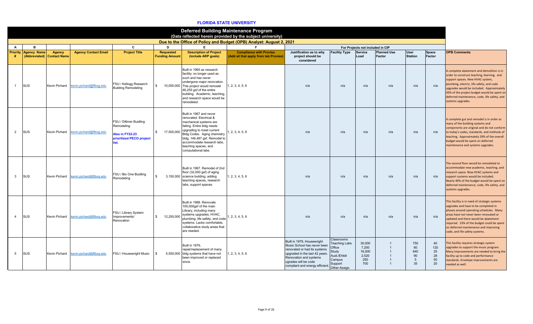|                |                                     |                                      |                             |                                                                                                     |                                           |                                                                                                                                                                                                                                                                                      | <b>Deferred Building Maintenance Program</b>                                                                                       |                                                                                                                                                                                                                  |                                                                                                             |                                                  |                              |                                   |                                   |                                                                                                                                                                                                                                                                                                                                             |
|----------------|-------------------------------------|--------------------------------------|-----------------------------|-----------------------------------------------------------------------------------------------------|-------------------------------------------|--------------------------------------------------------------------------------------------------------------------------------------------------------------------------------------------------------------------------------------------------------------------------------------|------------------------------------------------------------------------------------------------------------------------------------|------------------------------------------------------------------------------------------------------------------------------------------------------------------------------------------------------------------|-------------------------------------------------------------------------------------------------------------|--------------------------------------------------|------------------------------|-----------------------------------|-----------------------------------|---------------------------------------------------------------------------------------------------------------------------------------------------------------------------------------------------------------------------------------------------------------------------------------------------------------------------------------------|
|                |                                     |                                      |                             |                                                                                                     |                                           |                                                                                                                                                                                                                                                                                      | (Data reflected herein provided by the subject university)<br>Due to the Office of Policy and Budget (OPB) Analyst: August 2, 2021 |                                                                                                                                                                                                                  |                                                                                                             |                                                  |                              |                                   |                                   |                                                                                                                                                                                                                                                                                                                                             |
| $\mathsf{A}$   | B                                   |                                      |                             | C                                                                                                   | D                                         | E.                                                                                                                                                                                                                                                                                   |                                                                                                                                    |                                                                                                                                                                                                                  |                                                                                                             | For Projects not included in CIP                 |                              |                                   |                                   |                                                                                                                                                                                                                                                                                                                                             |
| iority         | <b>Agency Name</b><br>(Abbreviated) | <b>Agency</b><br><b>Contact Name</b> | <b>Agency Contact Email</b> | <b>Project Title</b>                                                                                | <b>Requested</b><br><b>Funding Amount</b> | <b>Description of Project</b><br>(include ARP goals)                                                                                                                                                                                                                                 | <b>Compliance with Proviso</b><br>(Add all that apply from tab Proviso)                                                            | Justification as to why<br>project should be<br>considered                                                                                                                                                       | <b>Facility Type</b>                                                                                        | <b>Service</b><br>Load                           | <b>Planned Use</b><br>Factor | <b>User</b><br><b>Station</b>     | Space<br>Factor                   | <b>OPB Comments</b>                                                                                                                                                                                                                                                                                                                         |
| $\mathbf{1}$   | <b>SUS</b>                          | Kevin Pichard                        | kevin.pichard@flbog.edu     | FSU / Kellogg Research<br><b>Building Remodeling</b>                                                |                                           | Built in 1965 as research<br>facility; no longer used as<br>such and has never<br>undergone major renovation.<br>10,050,000 This project would remodel<br>46.255 asf of the entire<br>building. Academic, teaching,<br>and research space would be<br>remodeled.                     | 1, 2, 3, 4, 5, 6                                                                                                                   | n/a                                                                                                                                                                                                              | n/a                                                                                                         | n/a                                              | n/a                          | n/a                               | n/a                               | A complete abatement and demolition is in<br>order to construct teaching, learning, and<br>support spaces. New HVAC system,<br>plumbing, electric, life safety, and code<br>upgrades would be included. Approximately<br>43% of the project budget would be spent on<br>deferred maintenence, code, life safety, and<br>systems upgrades.   |
| $\overline{2}$ | <b>SUS</b>                          | <b>Kevin Pichard</b>                 | kevin.pichard@flboq.edu     | <b>FSU / Dittmer Buidling</b><br>Remodeling<br>Also in FY22-23<br>prioritized PECO project<br>list. | 17,500,000<br>$\mathbf{\$}$               | Built in 1967 and never<br>renovated. Electrical &<br>mechanical systems are<br>failing. Entire bldg needs<br>upgrading to meet current<br>Bldg Codes. Aging chemistry<br>bldg, 146,487 gsf. Remodel to<br>accommodate research labs,<br>teaching spaces, and<br>computational labs. | , 2, 3, 4, 5, 6                                                                                                                    | n/a                                                                                                                                                                                                              | n/a                                                                                                         | n/a                                              | n/a                          | n/a                               | n/a                               | A complete gut and remodel is in order as<br>many of the building systems and<br>components are original and do not conform<br>to today's codes, standards, and methods of<br>teaching. Approximately 29% of the overall<br>budget would be spent on deferred<br>maintenance and systems upgrades.                                          |
| 3              | <b>SUS</b>                          | Kevin Pichard                        | (evin.pichard@flbog.edu     | FSU / Bio One Buidling<br>Remodeling                                                                |                                           | Built in 1967. Remodel of 2nd<br>floor (32,000 gsf) of aging<br>3,150,000 science building, adding<br>teaching spaces, research<br>labs, support spaces.                                                                                                                             | 1, 2, 3, 4, 5, 6                                                                                                                   | n/a                                                                                                                                                                                                              | n/a                                                                                                         | n/a                                              | n/a                          | n/a                               | n/a                               | The second floor would be remodeled to<br>accommodate new academic, teaching, and<br>research space. New HVAC systems and<br>support sustems would be included.<br>Nearly 40% of the budget would be spent on<br>deferred maintenance, code, life safety, and<br>systems upgrades.                                                          |
| $\overline{4}$ | <b>SUS</b>                          | <b>Kevin Pichard</b>                 | sevin.pichard@flbog.edu     | FSU / Library System<br>Improvements/<br>Renovation                                                 | 12,250,000<br>$\mathbf{\hat{S}}$          | Built in 1988. Renovate<br>100,000gsf of the main<br>Library, including many<br>systems upgrades; HVAC,<br>plumbing, life safety, and code<br>systems. Lacks comfortable,<br>collaborative study areas that<br>are needed.                                                           | , 2, 3, 4, 5, 6                                                                                                                    | n/a                                                                                                                                                                                                              | n/a                                                                                                         | n/a                                              | n/a                          | n/a                               | n/a                               | This facility is in need of strategic systems<br>upgrades and have to be completed in<br>phases around operating schedules. Many<br>areas have not never been renovated or<br>updated and there would be abatement<br>required. 33% of the budget could be spent<br>on deferred maintenance and improving<br>code, and life safety systems. |
| 5              | <b>SUS</b>                          | Kevin Pichard                        | tevin.pichard@flbog.edu     | FSU / Housewright Music                                                                             |                                           | Built in 1979.<br>repair/replacement of many<br>5,550,000 bldg systems that have not<br>been improved or replaced<br>since.                                                                                                                                                          | , 2, 3, 4, 5, 6                                                                                                                    | Built in 1979, Housewright<br>Music School has never been<br>renovated or had its systems<br>upgraded in the last 42 years.<br>Renovation and systems<br>ugrades will be code<br>compliant and energy efficient. | Classrooms<br><b>Feaching Labs</b><br>Office<br>Study<br>Audi./Ehibit<br>Campus<br>Support<br>Other Assian. | 30,000<br>7.200<br>16,000<br>2.520<br>250<br>700 |                              | 750<br>60<br>640<br>90<br>5<br>35 | 40<br>120<br>25<br>28<br>50<br>20 | This facility requires strategic system<br>upgrades to support the music program.<br>Many improvements are needed to bring the<br>facility up to code and performance<br>standards. Envelope improvements are<br>needed as well.                                                                                                            |

## **FLORIDA STATE UNIVERSITY**

**Priority**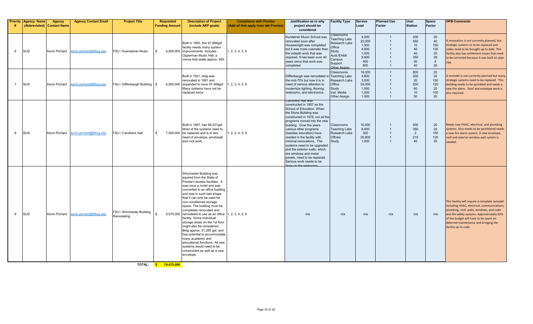| Priority       | <b>Agency Name</b><br>(Abbreviated) Contact Name | <b>Agency</b> | <b>Agency Contact Email</b> | <b>Project Title</b>                    | Requested<br><b>Funding Amount</b> | <b>Description of Project</b><br>(include ARP goals)                                                                                                                                                                                                                                                                                                                                                                                                                                                                                                                                                                                                              | <b>Compliance with Proviso</b><br>(Add all that apply from tab Proviso) | Justification as to why<br>project should be<br>considered                                                                                                                                                                                                                                                                                                                                                                                                                                         | <b>Facility Type</b>                                                                                                                | <b>Service</b><br>Load                                            | <b>Planned Use</b><br>Factor   | <b>User</b><br><b>Station</b>                   | Space<br>Factor                               | <b>OPB Comments</b>                                                                                                                                                                                                                                                                                |
|----------------|--------------------------------------------------|---------------|-----------------------------|-----------------------------------------|------------------------------------|-------------------------------------------------------------------------------------------------------------------------------------------------------------------------------------------------------------------------------------------------------------------------------------------------------------------------------------------------------------------------------------------------------------------------------------------------------------------------------------------------------------------------------------------------------------------------------------------------------------------------------------------------------------------|-------------------------------------------------------------------------|----------------------------------------------------------------------------------------------------------------------------------------------------------------------------------------------------------------------------------------------------------------------------------------------------------------------------------------------------------------------------------------------------------------------------------------------------------------------------------------------------|-------------------------------------------------------------------------------------------------------------------------------------|-------------------------------------------------------------------|--------------------------------|-------------------------------------------------|-----------------------------------------------|----------------------------------------------------------------------------------------------------------------------------------------------------------------------------------------------------------------------------------------------------------------------------------------------------|
| 6              | <b>SUS</b>                                       | Kevin Pichard | kevin.pichard@flbog.edu     | FSU / Kuersteiner Music                 | -96                                | Built in 1950, this 91,889asf<br>facility needs many system<br>6,000,000 improvements. Includes<br>Opperman Music Hall, a<br>venue that seats approx. 400.                                                                                                                                                                                                                                                                                                                                                                                                                                                                                                        | 1, 2, 3, 4, 5, 6                                                        | Kursteiner Music School was<br>renovated soon after<br>Housewright was completed<br>but it was more cosmetic than<br>the indepth work that was<br>required. It has been over 40<br>years since that work was<br>completed.                                                                                                                                                                                                                                                                         | Classrooms<br><b>Teaching Labs</b><br><b>Research Labs</b><br>Office<br>Study<br>Audi./Ehibit<br>Campus<br>Support<br>Other Assian. | 4.000<br>22,000<br>1.500<br>4.800<br>1,000<br>9,800<br>400<br>800 | $\overline{1}$                 | 200<br>550<br>10<br>40<br>40<br>350<br>50<br>40 | 20<br>40<br>150<br>120<br>25<br>28<br>8<br>20 | A renovation is not currently planned, but<br>strategic systems to to be replaced and<br>codes need to be brought up to date. This<br>acility also has settlement issues that need<br>to be corrected because it was built on pipe<br>:lay.                                                        |
| $\overline{7}$ | SUS                                              | Kevin Pichard | kevin.pichard@flbog.edu     | FSU / Diffenbaugh Building   \$         |                                    | Built in 1921, bldg was<br>renovated in 1991 and<br>6,900,000 expanded to have 97,489gsf.<br>Many systems have not be<br>replaced since.                                                                                                                                                                                                                                                                                                                                                                                                                                                                                                                          | 1, 2, 3, 4, 5, 6                                                        | Diffenbaugh was remodeled i<br>the mid-70's but now it is in<br>need of serious attention to<br>modernize lighting, flooring,<br>restrooms, and electronics.                                                                                                                                                                                                                                                                                                                                       | Classrooms<br><b>Teaching Labs</b><br><b>Research Labs</b><br>Office<br>Study<br>Inst. Media<br>Other Assign.                       | 16,000<br>4,800<br>3.000<br>24,000<br>1,500<br>1,000<br>1,000     | $\mathbf{1}$<br>$\overline{1}$ | 800<br>200<br>20<br>200<br>60<br>10<br>50       | 20<br>24<br>150<br>120<br>25<br>100<br>20     | A remodel is not currently planned but many<br>strategic systems need to be replaced. This<br>building needs to be sprinkled and needs a<br>new fire alarm. Roof and envelope work is<br>also required.                                                                                            |
| 8              | SUS                                              | Kevin Pichard | evin.pichard@flbog.edu      | FSU / Carothers Hall                    | . ድ                                | Built in 1957, has 68,221qsf.<br>Most of the systems need to<br>7,500,000 be replaced and is in dire<br>need of envelope, windowall<br>and roof work.                                                                                                                                                                                                                                                                                                                                                                                                                                                                                                             | 1, 2, 3, 4, 5, 6                                                        | Jarotners Haii wat<br>constructed in 1957 as the<br>School of Education. When<br>the Stone Building was<br>constructed in 1978, not all the<br>programs moved into the new<br>building. Over the years<br>various other programs<br>(besides education) have<br>resided in the facility with<br>minimal renovations. The<br>systems need to be upgraded<br>and the exterior walls, which<br>are windows and metal<br>panels, need to be replaced.<br>Serious work needs to be<br>no on the restres | Classrooms<br><b>Teaching Labs</b><br><b>Research Labs</b><br><b>Offcies</b><br>Study                                               | 10,000<br>8.400<br>300<br>25,800<br>1,000                         |                                | 500<br>350<br>$\overline{2}$<br>215<br>40       | 20<br>24<br>150<br>120<br>25                  | Needs new HVAC, electrical, and plumbing<br>systems. Also needs to be sprinklered needs<br>a new fire alarm system. A new envelope,<br>roof and exterior window wall system is<br>needed.                                                                                                          |
| 9              | SUS                                              | Kevin Pichard | evin.pichard@flbog.edu      | FSU / Winchester Building<br>Remodelina |                                    | Winchester Building was<br>aquired from the State of<br>Florida's excess facilities. It<br>was once a motel and was<br>converted to an office building<br>and was in such bad shape<br>that it can only be used for<br>non-conditioned storage<br>space. The building must be<br>completely renovated and<br>5,575,000 remodeled to use as an office 1, 2, 3, 4, 5, 6<br>facility. Some individual<br>storage areas on the 1st floor<br>might also be considered.<br>Bldg approx. 31,285 gsf, and<br>has potential to accommodate<br>many academic and<br>educational functions. All new<br>systems would need to be<br>constructed as well as a new<br>envelope. |                                                                         | n/a                                                                                                                                                                                                                                                                                                                                                                                                                                                                                                | n/a                                                                                                                                 | n/a                                                               | n/a                            | n/a                                             | n/a                                           | This facility will require a complete remodel.<br>Including HVAC, electrical, communications,<br>plumbing, roof, walls, windows, and code<br>and life safety systems. Approximately 62%<br>of the budget will have to be spent on<br>deferred maintenance and bringing the<br>facility up to code. |

**TOTAL: \$ 74,475,000**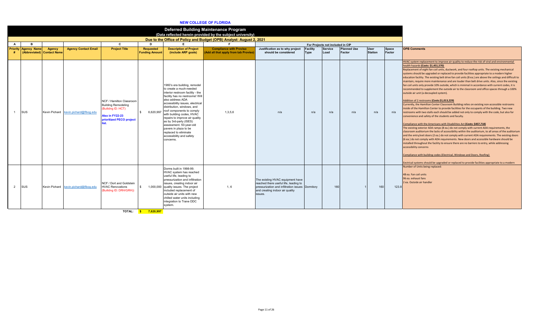### **NEW COLLEGE OF FLORIDA**

|   |                             |                            |                                       |                                                                                                                             |                           |                                                                                                                                                                                                                                                                                                                                                                                                                                                                  | <b>Deferred Building Maintenance Program</b><br>(Data reflected herein provided by the subject university) |                                                                                                                                                                             |                 |                                                    |                    |                |               |                                                                                                                                                                                                                                                                                                                                                                                                                                                                                                                                                                                                                                                                                                                                                                                                                                                                                                                                                                                                                                                                                                                                                                                                                                                                                                                                                                                                                                                                                                                                                                                                                                                                                                                                                                                                                                                                                                                                                                                                       |
|---|-----------------------------|----------------------------|---------------------------------------|-----------------------------------------------------------------------------------------------------------------------------|---------------------------|------------------------------------------------------------------------------------------------------------------------------------------------------------------------------------------------------------------------------------------------------------------------------------------------------------------------------------------------------------------------------------------------------------------------------------------------------------------|------------------------------------------------------------------------------------------------------------|-----------------------------------------------------------------------------------------------------------------------------------------------------------------------------|-----------------|----------------------------------------------------|--------------------|----------------|---------------|-------------------------------------------------------------------------------------------------------------------------------------------------------------------------------------------------------------------------------------------------------------------------------------------------------------------------------------------------------------------------------------------------------------------------------------------------------------------------------------------------------------------------------------------------------------------------------------------------------------------------------------------------------------------------------------------------------------------------------------------------------------------------------------------------------------------------------------------------------------------------------------------------------------------------------------------------------------------------------------------------------------------------------------------------------------------------------------------------------------------------------------------------------------------------------------------------------------------------------------------------------------------------------------------------------------------------------------------------------------------------------------------------------------------------------------------------------------------------------------------------------------------------------------------------------------------------------------------------------------------------------------------------------------------------------------------------------------------------------------------------------------------------------------------------------------------------------------------------------------------------------------------------------------------------------------------------------------------------------------------------------|
| A |                             |                            |                                       | C                                                                                                                           | n.                        |                                                                                                                                                                                                                                                                                                                                                                                                                                                                  | Due to the Office of Policy and Budget (OPB) Analyst: August 2, 2021                                       |                                                                                                                                                                             |                 |                                                    |                    |                |               |                                                                                                                                                                                                                                                                                                                                                                                                                                                                                                                                                                                                                                                                                                                                                                                                                                                                                                                                                                                                                                                                                                                                                                                                                                                                                                                                                                                                                                                                                                                                                                                                                                                                                                                                                                                                                                                                                                                                                                                                       |
|   | <b>Priority Agency Name</b> | Agency                     | <b>Agency Contact Email</b>           | <b>Project Title</b>                                                                                                        | <b>Requested</b>          | <b>Description of Project</b>                                                                                                                                                                                                                                                                                                                                                                                                                                    | <b>Compliance with Proviso</b>                                                                             | Justification as to why project                                                                                                                                             | <b>Facility</b> | For Projects not included in CIP<br><b>Service</b> | <b>Planned Use</b> | <b>User</b>    | <b>Space</b>  | <b>OPB Comments</b>                                                                                                                                                                                                                                                                                                                                                                                                                                                                                                                                                                                                                                                                                                                                                                                                                                                                                                                                                                                                                                                                                                                                                                                                                                                                                                                                                                                                                                                                                                                                                                                                                                                                                                                                                                                                                                                                                                                                                                                   |
|   |                             | (Abbreviated) Contact Name |                                       |                                                                                                                             | <b>Funding Amount</b>     | (include ARP goals)                                                                                                                                                                                                                                                                                                                                                                                                                                              | (Add all that apply from tab Proviso)                                                                      | should be considered                                                                                                                                                        | Type            | Load                                               | Factor             | <b>Station</b> | <b>Factor</b> |                                                                                                                                                                                                                                                                                                                                                                                                                                                                                                                                                                                                                                                                                                                                                                                                                                                                                                                                                                                                                                                                                                                                                                                                                                                                                                                                                                                                                                                                                                                                                                                                                                                                                                                                                                                                                                                                                                                                                                                                       |
|   | SUS                         | Kevin Pichard              | kevin.pichard@flbog.edu               | NCF / Hamilton Classroom<br><b>Building Remodeling</b><br>(Builidng ID: HCT)<br>Also in FY22-23<br>prioritized PECO project | $\mathsf{s}$<br>6,620,997 | 1960's era building, remodel<br>to create a much-needed<br>interior restroom facility - the<br>facility has no restrooms! Will<br>also address ADA<br>accessibility issues, electrical<br>distribution, windows, and<br>roof components to comply<br>with building codes, HVAC<br>repairs to improve air quality<br>as by 3rd-party (ISES)<br>assessment. 50-year-old<br>pavers in plaza to be<br>replaced to eliminate<br>accessibility and safety<br>concerns. | 1,3,5,6                                                                                                    | n/a                                                                                                                                                                         | n/a             | n/a                                                | n/a                | n/a            | n/a           | HVAC system replacement to improve air quality to reduce the risk of viral and environmental<br>health hazards (Costs: \$1,451,570)<br>Replacement of eight fan coil units, ductwork, and four rooftop units. The existing mechanical<br>systems should be upgraded or replaced to provide facilities appropriate to a modern higher<br>education facility. The existing belt drive fan coil units (8 ea.) are above the ceilings and difficult to<br>maintain, require more maintenance and are louder than belt drive units. Also, since the existing<br>fan coil units only provide 10% outside, which is minimal in accordance with current codes, it is<br>recommended to supplement the outside air to the classroom and office spaces through a 100%<br>outside air unit (a decoupled system).<br>Addition of 2 restrooms (Costs:\$1,013,229)<br>Currently, the Hamilton Center Classroom Building relies on existing non-accessible restrooms<br>inside of the Hamilton Center to provide facilities for the occupants of the building. Two new<br>restrooms with two stalls each should be added not only to comply with the code, but also for<br>convenience and safety of the students and faculty.<br>Compliance with the Americans with Disabilities Act (Costs: \$457,718)<br>The existing exterior ADA ramps (8 ea.) do not comply with current ADA requirements, the<br>classroom auditorium the lacks of accessibility within the auditorium, to all areas of the auditorium<br>and the entry/exit doors (2 ea.) do not comply with current ADA requirements. The existing doors<br>(6 ea.) do not comply with ADA requirements. New doors and accessible hardware should be<br>installed throughout the facility to ensure there are no barriers to entry, while addressing<br>accessibility concerns<br>Compliance with building codes (Electrical, Windows and Doors, Roofing)<br>Eectrical systems should be upgraded or replaced to provide facilities appropriate to a modern |
| 2 | SUS                         |                            | Kevin Pichard kevin.pichard@flbog.edu | NCF / Dort and Goldstein<br><b>HVAC Renovations</b><br>Builidng ID: DRH/GRH))                                               | $^{\circ}$                | Dorms built in 1998-99.<br>HVAC system has reached<br>useful life, leading to<br>pressurization and infiltration<br>issues, creating indoor air<br>1,000,000 quality issues. The project<br>included replacement of<br>outside air units with new<br>chilled water units including<br>integration to Trane DDC<br>system.                                                                                                                                        | 1,6                                                                                                        | The existing HVAC equipment have<br>reached there useful life, leading to<br>pressurization and infiltration issues Dormitory<br>and creating indoor air quality<br>issues. |                 | 160                                                |                    | 160            | 123.8         | Number of Units being replaced:<br>48 ea. Fan coil units<br>96 ea. exhaust fans<br>2 ea. Outside air handler                                                                                                                                                                                                                                                                                                                                                                                                                                                                                                                                                                                                                                                                                                                                                                                                                                                                                                                                                                                                                                                                                                                                                                                                                                                                                                                                                                                                                                                                                                                                                                                                                                                                                                                                                                                                                                                                                          |
|   |                             |                            |                                       | <b>TOTAL:</b>                                                                                                               | 7,620,997<br><b>S</b>     |                                                                                                                                                                                                                                                                                                                                                                                                                                                                  |                                                                                                            |                                                                                                                                                                             |                 |                                                    |                    |                |               |                                                                                                                                                                                                                                                                                                                                                                                                                                                                                                                                                                                                                                                                                                                                                                                                                                                                                                                                                                                                                                                                                                                                                                                                                                                                                                                                                                                                                                                                                                                                                                                                                                                                                                                                                                                                                                                                                                                                                                                                       |

Page 11 of 26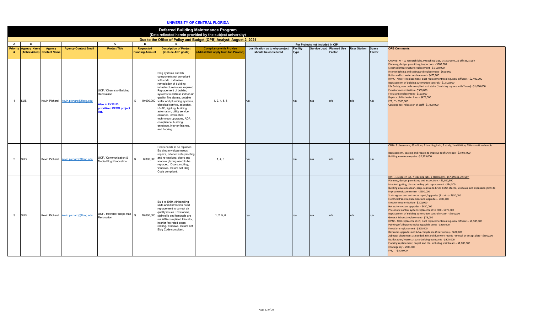#### **UNIVERSITY OF CENTRAL FLORIDA**

|                         |                                                           |               |                                       |                                                                                                     |                                    |                                                                                                                                                                                                                                                                                                                                                                                                                                                                                                            | Deferred Building Maintenance Program<br>(Data reflected herein provided by the subject university) |                                                         |                         |                                  |                                    |                     |                        |                                                                                                                                                                                                                                                                                                                                                                                                                                                                                                                                                                                                                                                                                                                                                                                                                                                                                                                                                                                                                                                                                                                                                                                                                                                                                              |
|-------------------------|-----------------------------------------------------------|---------------|---------------------------------------|-----------------------------------------------------------------------------------------------------|------------------------------------|------------------------------------------------------------------------------------------------------------------------------------------------------------------------------------------------------------------------------------------------------------------------------------------------------------------------------------------------------------------------------------------------------------------------------------------------------------------------------------------------------------|-----------------------------------------------------------------------------------------------------|---------------------------------------------------------|-------------------------|----------------------------------|------------------------------------|---------------------|------------------------|----------------------------------------------------------------------------------------------------------------------------------------------------------------------------------------------------------------------------------------------------------------------------------------------------------------------------------------------------------------------------------------------------------------------------------------------------------------------------------------------------------------------------------------------------------------------------------------------------------------------------------------------------------------------------------------------------------------------------------------------------------------------------------------------------------------------------------------------------------------------------------------------------------------------------------------------------------------------------------------------------------------------------------------------------------------------------------------------------------------------------------------------------------------------------------------------------------------------------------------------------------------------------------------------|
|                         |                                                           |               |                                       |                                                                                                     |                                    |                                                                                                                                                                                                                                                                                                                                                                                                                                                                                                            | Due to the Office of Policy and Budget (OPB) Analyst: August 2, 2021                                |                                                         |                         |                                  |                                    |                     |                        |                                                                                                                                                                                                                                                                                                                                                                                                                                                                                                                                                                                                                                                                                                                                                                                                                                                                                                                                                                                                                                                                                                                                                                                                                                                                                              |
| A                       | <b>B</b>                                                  |               |                                       | C                                                                                                   | D.                                 | E                                                                                                                                                                                                                                                                                                                                                                                                                                                                                                          |                                                                                                     |                                                         |                         | For Projects not included in CIP |                                    |                     |                        |                                                                                                                                                                                                                                                                                                                                                                                                                                                                                                                                                                                                                                                                                                                                                                                                                                                                                                                                                                                                                                                                                                                                                                                                                                                                                              |
|                         | <b>Priority Agency Name</b><br>(Abbreviated) Contact Name | <b>Agency</b> | <b>Agency Contact Email</b>           | <b>Project Title</b>                                                                                | Requested<br><b>Funding Amount</b> | <b>Description of Project</b><br>(include ARP goals)                                                                                                                                                                                                                                                                                                                                                                                                                                                       | <b>Compliance with Proviso</b><br>Add all that apply from tab Proviso)                              | Justification as to why project<br>should be considered | Facility<br><b>Type</b> |                                  | Service Load Planned Use<br>Factor | <b>User Station</b> | <b>Space</b><br>Factor | <b>OPB Comments</b>                                                                                                                                                                                                                                                                                                                                                                                                                                                                                                                                                                                                                                                                                                                                                                                                                                                                                                                                                                                                                                                                                                                                                                                                                                                                          |
|                         | SUS                                                       |               | Kevin Pichard kevin.pichard@flbog.edu | <b>UCF / Chemistry Building</b><br>Renovation<br>Also in FY22-23<br>prioritized PECO project<br>iet |                                    | Bldg systems and lab<br>components not compliant<br>with code. Extensive<br>remediation of building<br>infrastructure issues required.<br>Replacement of building<br>systems to address indoor air<br>quality, fire alarms, potable<br>\$ 10,000,000 water and plumbing systems,<br>electrical service, asbestos.<br>HVAC, lighting, building<br>automation, utility service<br>entrance, information<br>technology upgrades, ADA<br>compliance, building<br>envelope, interior finishes,<br>and flooring. | 1, 2, 4, 5, 6                                                                                       | n/a                                                     | n/a                     | n/a                              | n/a                                | n/a                 | n/a                    | CHEMISTRY - 12 research labs, 9 teaching labs, 1 classroom, 26 offices, Study<br>Planning, design, permitting, inspections - \$800,000<br>Electrical infrastructure replacement - \$1,150,000<br>Interior lighting and ceiling grid replacement - \$650,000<br>Boiler and hot water replacement - \$475,000<br>HVAC - AHU (4) replacement, duct replacement/sealing, new diffusers - \$2,400,000<br>Replacement of building automation controls - \$1,500,000<br>Life Safety, new code compliant exit stairs (1 existing replace with 2 new) - \$1,000,000<br>Elevator modernization - \$300,000<br>Fire alarm replacement - \$150,000<br>Replace chilled water lines - \$475,000<br>FFE, IT - \$100,000<br>Contingency, relocation of staff - \$1,000,000                                                                                                                                                                                                                                                                                                                                                                                                                                                                                                                                   |
| 2                       | SUS                                                       |               | Kevin Pichard kevin.pichard@flbog.edu | UCF / Communication &<br>Media Bldg Renovation                                                      | 6.300.000<br>$\hat{\mathcal{L}}$   | Roofs needs to be replaced.<br>Building envelope needs<br>repairs, exterior waterproofing<br>and re-caulking, doors and<br>window glazing need to be<br>replaced. Doors, roofing,<br>windows, etc are not Bldg<br>Code compliant.                                                                                                                                                                                                                                                                          | 1, 4, 6                                                                                             | n/a                                                     | n/a                     | n/a                              | n/a                                | n/a                 | n/a                    | CMB - 8 classrooms, 89 offices, 8 teaching Labs, 3 study, 1 exhibition, 19 instructional media<br>Replacement, coating and repairs to improve roof Envelope - \$3,975,000<br>Building envelope repairs - \$2,325,000                                                                                                                                                                                                                                                                                                                                                                                                                                                                                                                                                                                                                                                                                                                                                                                                                                                                                                                                                                                                                                                                         |
| $\overline{\mathbf{3}}$ | SUS                                                       |               | Kevin Pichard kevin.pichard@flbog.edu | UCF / Howard Phillips Hall<br>Renovation                                                            | $\mathbb{S}$<br>10,000,000         | Built in 1969. Air handling<br>units and distribution need<br>replacement to correct air<br>quality issues. Restrooms,<br>stairwells and handrails are<br>not ADA compliant. Elevator,<br>interior fire-rated doors.<br>roofing, windows, etc are not<br>Bldg Code compliant.                                                                                                                                                                                                                              | 1, 2, 5, 6                                                                                          | n/a                                                     | n/a                     | n/a                              | n/a                                | n/a                 | n/a                    | HPH - 1 research lab, 7 teaching labs, 2 classrooms, 157 offices, 2 Study<br>Planning, design, permitting and inspections - \$1,020,500<br>Interior Lighting, tile and ceiling grid replacement - \$34,500<br>Building envelope clean, prep, seal walls, brick, CMU, stucco, windows, and expansion joints to<br>improve moisture control - \$250,000<br>Stairs egress and entrances repair/upgrades (4 stairs) - \$350,000<br>Electrical Panel replacement and upgrades - \$100,000<br>Elevator modernization - \$200,000<br>Hot water system upgrades - \$450,000<br>Pneumatic control system replacement to DDC - \$475,000<br>Replacement of Building automation control system - \$750,000<br>General Exhaust replacement - \$75,000<br>HVAC - AHU replacement (2), duct replacement/sealing, new diffusers - \$1,985,000<br>Painting of all spaces including public areas - \$210,000<br>Fire Alarm replacement - \$325,000<br>Restroom upgrades and ADA compliance (8 restrooms)- \$600,000<br>Asbestos abatement as needed, tile and ductwork mastic removal or encapsulate - \$300,000<br>Reallocation/reassess space-building occupants - \$875,000<br>Flooring replacement, carpet and tile. Including stair treads - \$1,000,000<br>Contingency - \$500,000<br>FFE, IT-\$500,000 |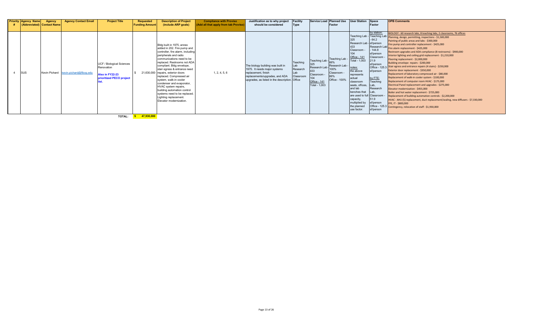| <b>Priority Agency Name</b><br>(Abbreviated) Contact Name | Agency | <b>Agency Contact Email</b>           | <b>Project Title</b>                                                                   | <b>Requested</b><br><b>Funding Amount</b> | <b>Description of Project</b><br>(include ARP goals)                                                                                                                                                                                                                                                                                                                                                                                                                                                                | <b>Compliance with Proviso</b><br>(Add all that apply from tab Proviso) | Justification as to why project<br>should be considered                                                                                                                      | <b>Facility</b><br>Type                          |                                                            | Service Load Planned Use User Station Space<br>Factor                                                  |                                                                                                                                                                                                                                                                                                 | Factor                                                                                                                                                                                     | <b>OPB Comments</b>                                                                                                                                                                                                                                                                                                                                                                                                                                                                                                                                                                                                                                                                                                                                                                                                                                                                                                                                                                                                                                                                                                                                                                               |
|-----------------------------------------------------------|--------|---------------------------------------|----------------------------------------------------------------------------------------|-------------------------------------------|---------------------------------------------------------------------------------------------------------------------------------------------------------------------------------------------------------------------------------------------------------------------------------------------------------------------------------------------------------------------------------------------------------------------------------------------------------------------------------------------------------------------|-------------------------------------------------------------------------|------------------------------------------------------------------------------------------------------------------------------------------------------------------------------|--------------------------------------------------|------------------------------------------------------------|--------------------------------------------------------------------------------------------------------|-------------------------------------------------------------------------------------------------------------------------------------------------------------------------------------------------------------------------------------------------------------------------------------------------|--------------------------------------------------------------------------------------------------------------------------------------------------------------------------------------------|---------------------------------------------------------------------------------------------------------------------------------------------------------------------------------------------------------------------------------------------------------------------------------------------------------------------------------------------------------------------------------------------------------------------------------------------------------------------------------------------------------------------------------------------------------------------------------------------------------------------------------------------------------------------------------------------------------------------------------------------------------------------------------------------------------------------------------------------------------------------------------------------------------------------------------------------------------------------------------------------------------------------------------------------------------------------------------------------------------------------------------------------------------------------------------------------------|
| <b>SUS</b>                                                |        | Kevin Pichard kevin.pichard@flbog.edu | UCF / Biological Sciences<br>Renovation<br>Also in FY22-23<br>prioritized PECO project |                                           | Bldg built in 1975, annex<br>added in 202. Fire pump and<br>controller, fire alarm, including<br>peripherals and radio<br>communications need to be<br>replaced. Restrooms not ADA<br>compliant. Bldg envelope,<br>stair egress & entrance need<br>21,630,000 repairs, exterior doors<br>replaced. Compressed air<br>system, walk-in cooler<br>condenser and evaporator,<br>HVAC system repairs,<br>building automation control<br>systems need to be replaced.<br>Lighting replacement.<br>Elevator modernization. | 1, 2, 4, 5, 6                                                           | The biology building was built in<br>1975. It needs major systems<br>replacement, finish<br>replacements/upgrades, and ADA<br>upgrades, as listed in the description. Office | Teaching<br>Lab<br>Research<br>l ah<br>Classroom | 325<br>433<br>Classroom -<br>Office - 141<br>Total - 1,003 | Teaching Lab - Teaching Lab -<br>Research Lab Research Lab - I<br>100%<br>Classroom -<br>Office - 100% | 325<br>Research Lab - sf/person<br>433<br>Classroom -<br>Office - 141<br>Total - 1,003<br>notes:<br>the above<br>represents<br>actual<br>classroom<br>seats, offices,<br>and lab<br>benches that Lab,<br>are used to full Classroom<br>capacity,<br>multiplied by<br>the planned<br>use factor. | by station:<br>$-64.2$<br>Research Lab<br>144.8<br>sf/person<br>Classroom -<br>21.9<br>sf/person<br>sf/person<br>by FTE:<br>Teaching<br>Lab,<br>Research<br>51.9<br>sf/person<br>sf/person | BIOLOGY - 60 research labs, 8 teaching labs, 2 classrooms, 76 offices<br>Teaching Lab - Teaching Lab Planning, design, permitting, inspections - \$1,500,000<br>Painting of public areas and labs - \$300,000<br>Fire pump and controller replacement - \$425,000<br>Fire alarm replacement - \$425,000<br>Restroom upgrades and ADA compliance (8 restrooms) - \$900,000<br>Interior lighting and ceiling grid replacement - \$1,210,000<br>Flooring replacement - \$2,000,000<br>Building envelope repairs - \$200,000<br>Office - 125.3 Stair egress and entrance repairs (4 stairs) - \$250,000<br>Exterior door replacement - \$350,000<br>Replacement of laboratory compressed air - \$80,000<br>Replacement of walk-in cooler system - \$100,000<br>Replacement of computer room HVAC - \$175,000<br>Electrical Panel replacement and upgrades - \$275,000<br>Elevator modernization - \$455,000<br>Boiler and hot water replacement - \$725,000<br>Replacement of building automation controls - \$2,200,000<br>HVAC - AHU (5) replacement, duct replacement/sealing, new diffusers - \$7,330,000<br>FFE, IT - \$800,000<br>Office - 125.3 Contingency, relocation of staff - \$1,930,000 |

**TOTAL: \$ 47,930,000**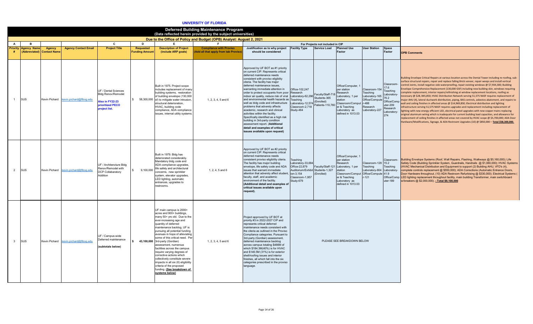#### **UNIVERSITY OF FLORIDA**

|                                                                                                                                                                                                                                                                                                                                                                                                                                                                                                                                                                                                                                                                                                                                                                                                                                                                                                                                                                                                                                                                                                                                                                                                                                                                                                                                         | Deferred Building Maintenance Program<br>(Data reflected herein provided by the subject universities)<br>Due to the Office of Policy and Budget (OPB) Analyst: August 2, 2021 |        |                                       |                                                                                                               |                                          |                                                                                                                                                                                                                                                                                                    |                                                                       |                                                                                                                                                                                                                                                                                                                                                                                                                                                                                                                                                                                                                                                                                                                              |                                                                                                                                 |                                  |                                                                                                                                                                                          |                                                                                                      |                                                                                                            |                                                                                                                                                                                                                                                                                                                                                                                                                                                                                                                                                                                                                                                                                                                                                                                                                                                                                                                                                                                                                                                                                                                                                                                                                                                                                                                                                                            |
|-----------------------------------------------------------------------------------------------------------------------------------------------------------------------------------------------------------------------------------------------------------------------------------------------------------------------------------------------------------------------------------------------------------------------------------------------------------------------------------------------------------------------------------------------------------------------------------------------------------------------------------------------------------------------------------------------------------------------------------------------------------------------------------------------------------------------------------------------------------------------------------------------------------------------------------------------------------------------------------------------------------------------------------------------------------------------------------------------------------------------------------------------------------------------------------------------------------------------------------------------------------------------------------------------------------------------------------------|-------------------------------------------------------------------------------------------------------------------------------------------------------------------------------|--------|---------------------------------------|---------------------------------------------------------------------------------------------------------------|------------------------------------------|----------------------------------------------------------------------------------------------------------------------------------------------------------------------------------------------------------------------------------------------------------------------------------------------------|-----------------------------------------------------------------------|------------------------------------------------------------------------------------------------------------------------------------------------------------------------------------------------------------------------------------------------------------------------------------------------------------------------------------------------------------------------------------------------------------------------------------------------------------------------------------------------------------------------------------------------------------------------------------------------------------------------------------------------------------------------------------------------------------------------------|---------------------------------------------------------------------------------------------------------------------------------|----------------------------------|------------------------------------------------------------------------------------------------------------------------------------------------------------------------------------------|------------------------------------------------------------------------------------------------------|------------------------------------------------------------------------------------------------------------|----------------------------------------------------------------------------------------------------------------------------------------------------------------------------------------------------------------------------------------------------------------------------------------------------------------------------------------------------------------------------------------------------------------------------------------------------------------------------------------------------------------------------------------------------------------------------------------------------------------------------------------------------------------------------------------------------------------------------------------------------------------------------------------------------------------------------------------------------------------------------------------------------------------------------------------------------------------------------------------------------------------------------------------------------------------------------------------------------------------------------------------------------------------------------------------------------------------------------------------------------------------------------------------------------------------------------------------------------------------------------|
|                                                                                                                                                                                                                                                                                                                                                                                                                                                                                                                                                                                                                                                                                                                                                                                                                                                                                                                                                                                                                                                                                                                                                                                                                                                                                                                                         |                                                                                                                                                                               |        |                                       |                                                                                                               |                                          |                                                                                                                                                                                                                                                                                                    |                                                                       |                                                                                                                                                                                                                                                                                                                                                                                                                                                                                                                                                                                                                                                                                                                              |                                                                                                                                 |                                  |                                                                                                                                                                                          |                                                                                                      |                                                                                                            |                                                                                                                                                                                                                                                                                                                                                                                                                                                                                                                                                                                                                                                                                                                                                                                                                                                                                                                                                                                                                                                                                                                                                                                                                                                                                                                                                                            |
| $\overline{A}$                                                                                                                                                                                                                                                                                                                                                                                                                                                                                                                                                                                                                                                                                                                                                                                                                                                                                                                                                                                                                                                                                                                                                                                                                                                                                                                          | <b>B</b>                                                                                                                                                                      |        |                                       | C                                                                                                             | D.                                       | E                                                                                                                                                                                                                                                                                                  | E.                                                                    |                                                                                                                                                                                                                                                                                                                                                                                                                                                                                                                                                                                                                                                                                                                              |                                                                                                                                 | For Projects not included in CIP |                                                                                                                                                                                          |                                                                                                      |                                                                                                            |                                                                                                                                                                                                                                                                                                                                                                                                                                                                                                                                                                                                                                                                                                                                                                                                                                                                                                                                                                                                                                                                                                                                                                                                                                                                                                                                                                            |
| <b>Priority</b><br>#                                                                                                                                                                                                                                                                                                                                                                                                                                                                                                                                                                                                                                                                                                                                                                                                                                                                                                                                                                                                                                                                                                                                                                                                                                                                                                                    | <b>Agency Name</b><br>(Abbreviated) Contact Name                                                                                                                              | Agency | <b>Agency Contact Email</b>           | <b>Project Title</b>                                                                                          | <b>Requested</b><br><b>Funding Amoun</b> | <b>Description of Project</b><br>(include ARP goals)                                                                                                                                                                                                                                               | <b>Compliance with Proviso</b><br>Add all that apply from tab Proviso | Justification as to why project Facility Type<br>should be considered                                                                                                                                                                                                                                                                                                                                                                                                                                                                                                                                                                                                                                                        |                                                                                                                                 | <b>Service Load</b>              | <b>Planned Use</b><br>Factor                                                                                                                                                             | <b>User Station</b>                                                                                  | Space<br>Factor                                                                                            | <b>OPB Comments</b>                                                                                                                                                                                                                                                                                                                                                                                                                                                                                                                                                                                                                                                                                                                                                                                                                                                                                                                                                                                                                                                                                                                                                                                                                                                                                                                                                        |
|                                                                                                                                                                                                                                                                                                                                                                                                                                                                                                                                                                                                                                                                                                                                                                                                                                                                                                                                                                                                                                                                                                                                                                                                                                                                                                                                         | SUS                                                                                                                                                                           |        | Kevin Pichard kevin.pichard@flbog.edu | UF / Dental Sciences<br><b>Bldg Renov/Remodel</b><br><b>Also in FY22-23</b><br>rioritized PECO<br>oject list. | $\mathbf{s}$                             | Built in 1975. Project scope<br>includes replacement of many<br>building systems, restoration<br>of building envelope (130,000<br>58,300,000 sf) to mitigate water intrusion<br>structural deterioration,<br>HVAC, building code<br>compliance, ADA compliance<br>issues, internal utility systems | 1, 2, 3, 4, 5 and 6                                                   | Approved by UF BOT as #1 priority<br>on current CIP. Represents critical<br>deferred maintenance needs<br>consistent with proviso eligiblity<br>citeria. The facility has major<br>deferred maintenance issues.<br>warranting immediate attention in<br>order to protect occupants from poor Research<br>indoor air quality, reduce risk of viral<br>and environmental health hazards as<br>well as bldg code and infrastructure<br>problems that adversly affects<br>academic, research and clinical<br>activities within the facility.<br>Specifically identified as a high risk<br>building in 3rd-party condition<br>assessment report. (Additional<br>detail and examples of critical<br>issues available upon request) | Office-102,247<br>Research<br>Laboratory-62,296<br>Students-365<br>Teaching<br>aboratory-12,574<br>Classroom-2,718<br>Study-464 | (Enrolled)<br>Patients-110,760   | Office/Computer, 1<br>per station<br>esearch<br>aboratory, 1 per<br>ation<br>Classroom/Comput<br>& Teaching<br>Laboratory as<br>defined in 1013.03                                       | Classroom-154<br>Teaching<br>Laboratory-165<br>Office/Compute<br>r-488<br>Research<br>Laboratory-227 | Classroom-<br>Teaching<br>Laboratory-<br>76.2<br>Office/Comp<br>uter-209<br>Research<br>Laboratory-<br>274 | Building Envelope Critical Repairs at various location across the Dental Tower including re-roofing, sub-<br>surface structural repairs, repair and replace falling Brick veneer, repair weeps and install vertical<br>control Joints, install negative side waterproofing, repair existing windows @ \$7,934,300; Building<br>Envelope Comprehensive Replacement (130,000 GSF) including new building skin, windows requiring<br>complete replacement, interior repairs/refinishing at window replacement locations, roofing as<br>necessary @ \$28, 845,850; HVAC Distribution Network serving 51,575 NASF requires replacement of<br>major AHU (4), lateral ductwork distribution, piping, BAS controls, asbestos abatement, and repairs to<br>wall and ceiling finishes in affected areas @ \$14,969,850; Electrical distribution and lighting<br>infrastructure serving 51,575 NASF requires upgrades and replacement including replacement of<br>lighting with new energy efficient LED, electrical panel upgrades with new copper mains replacing<br>original aluminum wiring which is inadequate for current building load capacities, and allowance for<br>replacement of ceiling finishes in affected areas not covered by HVAC scope @ \$5,700,000; ADA Door<br>Hardware/Modifications, Signage, & ADA Restroom Upgrades (10) @ \$850,000 - Total \$58,300,000. |
| $\overline{2}$                                                                                                                                                                                                                                                                                                                                                                                                                                                                                                                                                                                                                                                                                                                                                                                                                                                                                                                                                                                                                                                                                                                                                                                                                                                                                                                          | SUS                                                                                                                                                                           |        | Kevin Pichard kevin.pichard@flbog.edu | UF / Architencture Bldg<br>Renov/Remodel with<br><b>CP Collabaratory</b><br>Addition                          |                                          | Built in 1979. Bldg has<br>deteriorated considerably.<br>Mandatory bldg code and<br>ADA compliance upgrades,<br>9,100,000 life safety and architectural<br>concerns, new sprinkler<br>system, elevator upgrades,<br>LED lighting, automatic<br>entrances, upgrades to<br>restrooms.                | 1, 2, 4, 5 and 6                                                      | Approved by UF BOT as #2 priority<br>on current CIP. Represents critical<br>deferred maintenance needs<br>consistent proviso eligibility citeria.<br>The facility has major building<br>envelope, life safety code and ADA<br>issues that warrant immediate<br>attention that adversly affect student<br>faculty, staff, and academic<br>environment of the facility.<br>(Additional detail and examples of<br>critical issues available upon<br>request).                                                                                                                                                                                                                                                                   | eaching<br>Laboratory-33,684<br>Office-22,879<br>Auditorium/Exhibit Students-1,327<br>on-3,154<br>Classroom-1,957<br>Study-679  | (Enrolled)                       | Office/Computer, 1<br>per station<br>Research<br>Faculty/Staff-121 Laboratory, 1 per<br>ation<br>Classroom/Comput Office/Compute<br>er & Teaching<br>Laboratory as<br>defined in 1013.03 | Classroom-129 15.2<br>Teaching<br>Laboratory-804 Laboratory-                                         | Teaching<br>41.9<br>uter-189                                                                               | Classroom- Building Envelope Systems (Roof, Wall Repairs, Flashing, Walkways @ \$5,160,000); Life<br>Safety Code (Building Sprinkler System, Guardrails, Handrails @ \$1,060,000); HVAC Systems<br>(HVAC Mechanical Distribution and Equipment to support (2) Building AHU, VFD's (4),<br>complete controls replacement @ \$550,000); ADA Corrections (Automatic Entrance Doors,<br>Door Hardware throughout, (10) ADA Restroom Refurbising @ \$330,000); Electrical Systems (<br>Office/Comp LED lighting replacement throughout facility, main building Transformer, main switchboard<br>w/breakers @ \$2,000,000). - Total \$9,100,000                                                                                                                                                                                                                                                                                                                                                                                                                                                                                                                                                                                                                                                                                                                                  |
| UF main campus is 2000+<br>acres and 900+ buildings,<br>many 50+ yrs old. Due to the<br>Project approved by UF BOT at<br>priority #3 in 2022-2027 CIP and<br>ever-increasing age and<br>quantity of deferred<br>represents critical deferred<br>maintenance backlog, UF is<br>maintenance needs consistent with<br>pursuing all potential funding<br>the citeria as outlined in the Proviso<br>avenues in hope of alleviating<br>Compliance categories. Pursuant to<br>UF / Campus-wide<br>some of this critical need. Pe<br>3rd-party (Gordian) assessment,<br>eferred maintenance<br>PLEASE SEE BREAKDOWN BELOW<br>$\overline{\mathbf{3}}$<br><b>SUS</b><br>Kevin Pichard kevin.pichard@flbog.edu<br>43,100,000 3rd-party (Gordian)<br>1, 2, 3, 4, 5 and 6<br>deferred maintenance backlog<br>assessment, numerous<br>across campus totaling \$466M of<br>(subtotals below)<br>facilities across the campus<br>which \$184.3M(40%) is for HVAC<br>require varying degrees of<br>and \$146.5M (31%) is for exterior<br>shell/roofing issues and interior<br>corrective actions which<br>collectively constitute severe<br>finishes, all which fall into the six<br>impacts in all six (6) eligibility<br>categories prescribed in the proviso<br>criteria of the proposed<br>language.<br>funding. (See breakdown of<br>systems below) |                                                                                                                                                                               |        |                                       |                                                                                                               |                                          |                                                                                                                                                                                                                                                                                                    |                                                                       |                                                                                                                                                                                                                                                                                                                                                                                                                                                                                                                                                                                                                                                                                                                              |                                                                                                                                 |                                  |                                                                                                                                                                                          |                                                                                                      |                                                                                                            |                                                                                                                                                                                                                                                                                                                                                                                                                                                                                                                                                                                                                                                                                                                                                                                                                                                                                                                                                                                                                                                                                                                                                                                                                                                                                                                                                                            |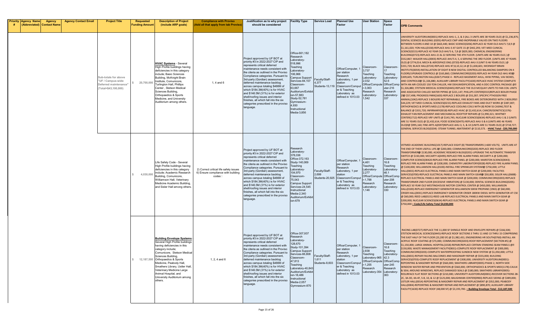| <b>Priority Agency Name</b><br>(Abbreviated) Contact Name | <b>Agency</b> | <b>Agency Contact Email</b> | <b>Project Title</b>                                                                      | <b>Requested</b><br>Funding Amoun | <b>Description of Project</b><br>(include ARP goals)                                                                                                                                                                                                                                                                                                                        | <b>Compliance with Proviso</b><br>Add all that apply from tab Proviso                 | Justification as to why project<br>should be considered                                                                                                                                                                                                                                                                                                                                                                                                                                                                                 | <b>Facility Type</b>                                                                                                                                                                                                                                      | <b>Service Load</b>                        | <b>Planned Use</b><br>Factor                                                                                                                                            | <b>User Station</b>                                                                                                                       | Space<br>Factor                                                                                            | <b>OPB Comments</b>                                                                                                                                                                                                                                                                                                                                                                                                                                                                                                                                                                                                                                                                                                                                                                                                                                                                                                                                                                                                                                                                                                                                                                                                                                                                                                                                                                                                                                                                                                                                                                                                                                                                                                                                                                                                                                                                                                                                                                                                                                                                                                                                                                                                                                                                                                                                                                                                                                         |
|-----------------------------------------------------------|---------------|-----------------------------|-------------------------------------------------------------------------------------------|-----------------------------------|-----------------------------------------------------------------------------------------------------------------------------------------------------------------------------------------------------------------------------------------------------------------------------------------------------------------------------------------------------------------------------|---------------------------------------------------------------------------------------|-----------------------------------------------------------------------------------------------------------------------------------------------------------------------------------------------------------------------------------------------------------------------------------------------------------------------------------------------------------------------------------------------------------------------------------------------------------------------------------------------------------------------------------------|-----------------------------------------------------------------------------------------------------------------------------------------------------------------------------------------------------------------------------------------------------------|--------------------------------------------|-------------------------------------------------------------------------------------------------------------------------------------------------------------------------|-------------------------------------------------------------------------------------------------------------------------------------------|------------------------------------------------------------------------------------------------------------|-------------------------------------------------------------------------------------------------------------------------------------------------------------------------------------------------------------------------------------------------------------------------------------------------------------------------------------------------------------------------------------------------------------------------------------------------------------------------------------------------------------------------------------------------------------------------------------------------------------------------------------------------------------------------------------------------------------------------------------------------------------------------------------------------------------------------------------------------------------------------------------------------------------------------------------------------------------------------------------------------------------------------------------------------------------------------------------------------------------------------------------------------------------------------------------------------------------------------------------------------------------------------------------------------------------------------------------------------------------------------------------------------------------------------------------------------------------------------------------------------------------------------------------------------------------------------------------------------------------------------------------------------------------------------------------------------------------------------------------------------------------------------------------------------------------------------------------------------------------------------------------------------------------------------------------------------------------------------------------------------------------------------------------------------------------------------------------------------------------------------------------------------------------------------------------------------------------------------------------------------------------------------------------------------------------------------------------------------------------------------------------------------------------------------------------------------------------|
|                                                           |               |                             | Sub-totals for above<br>"UF / Campus-wide<br>Deferred maintenance'<br>Total=\$43,100,000) | 20,700,000                        | <b>HVAC Systems</b> - Several<br>ligh Profile buildings having<br>deficiencies in this category<br>include; Basic Sciences<br>Building, McKnight Brain<br>Institute, Comunicore,<br>Turlington Hall, Phillips<br>Center, Stetson Medical<br>Sciences Building,<br>Orthopaedics & Sports<br>Medicine, and University<br>Auditorium among others.                             | 1, 4 and $6$                                                                          | Project approved by UF BOT at<br>priority #3 in 2022-2027 CIP and<br>epresents critical deferred<br>maintenance needs consistent with<br>the citeria as outlined in the Proviso<br>Compliance categories. Pursuant to<br>3rd-party (Gordian) assessment,<br>deferred maintenance backlog<br>across campus totaling \$466M of<br>which \$184.3M(40%) is for HVAC<br>and \$146.5M (31%) is for exterior<br>shell/roofing issues and interior<br>finishes, all which fall into the six<br>categories prescribed in the proviso<br>anguage. | Office-661,182<br>tesearch<br>.aboratory-<br>18,996<br>eaching<br>aboratory-<br>06,966<br>Campus Support<br>Services-84,107<br>Classroom-<br>3,667<br>uditorium/Exhibit<br>on-57,883<br>study-52,781<br>-ymnasium<br>.930<br>Instructional<br>Media-3,856 | Faculty/Staff-<br>4,377                    | Office/Computer,<br>per station<br>Research<br>Laboratory, 1 per<br>station<br>Students-13,119 Classroom/Comput<br>er & Teaching<br>Laboratory as<br>defined in 1013.03 | Classroom-<br>3.737<br>Teaching<br>Laboratory-<br>2,032<br>Office/Comput<br>r-3,063<br>Research<br>Laboratory-<br>,542                    | Classroom-<br>Teaching<br>Laboratory-<br>52.6<br>Office/Comp<br>uter-216<br>Research<br>Laboratory-<br>337 | UNIVERSITY AUDITORIUM(0001)-REPLACE AHU-1, 2, & 3 (ALL 3 UNITS ARE 38 YEARS OLD) @ \$1,236,875<br>DENTAL SCIENCES BUILDING (0205)-REPLACE CWP AND INOPERABLE VALVES ON TWO FLOORS<br>BETWEEN FLOORS 4 AND 10 @ \$663,440; BASIC SCIENCE(0206)-REPLACE 42 YEAR OLD AHU'S 7,8,9 @<br>\$1,161,020; YON HALL(0158)-REPLACE AHU-3 AT GATE 15 @ \$442,293; VET-MED CLINICAL<br>SCIENCE(0215)-REPLACE 42 YEAR OLD AHU'S 6, 7,8 @ \$829,300; CHEMICAL ENGINEERING<br>BUILDING(0723)-REPLACE AHU-21 & 22 SERVING THE 4TH FLOOR. (UNITS ARE 46 YEARS OLD.) @<br>\$552,867; WALKER HALL(0003)-REPLACE AHU'S 4, 5, 6 SERVING THE 3RD FLOOR. (UNITS ARE 47 YEARS<br>OLD) @ \$774,014; MECH & AEROSPACE ENG.(0720)-REPLACE AHU-3 (UNIT IS 46 YEARS OLD.) @<br>\$331,720; BLACK HALL(0724)-REPLACE AHU #7,8,10,12,14 @ \$1,658,601; MCKNIGHT BRAIN<br>INSTITUTE(0059)-INSTALLATION OF EIGHT 8 NEW DIGITAL CONTROLLED BALANCING DAMPERS ON 4<br>FLOORS/UPGRADE CONTROLS @ \$165,860; COMMUNICORE(0203)-REPLACE 44 YEAR OLD AHU #51@<br>\$309,605; TURLINGTON HALL(0267)-PHASE 4 - REPLACE BASEMENT AHUs, HHW PIPING, VAV BOXES,<br>AND CONTROLSIZE \$1,326,880; AUXILIARY LIBRARY FACILITY(1630)-REPLACE HVAC SYSTEM COMPLETE<br>WITH AN AIR-COOLED 150-TON CHILLER, HW DEHUMIDIFICATION, AND A DDC CONTROL PACKAGE @12<br>\$1,326,880; STETSON MEDICAL SCIENCES(0445)-REPLACE THE OLD MCQUAY UNITS TO FAN COIL UNITS<br>AND ASSOCIATED CHILLED WATER PIPING @ \$221,147; PHILLIPS CENTER(0315)REPLACE BOILER PHASE<br>2020 \$57,498; PROGRESS PARK(1603)-REPLACE 2 BOILERS @ \$55,287; SPECIFIC PTHOGEN FREE<br>ANIMAL(1042)-REPLACE 3 BOILERS NOT REPAIRABLE, FIRE BOXES ARE DETERIORATED WITH 2 BOILERS2<br>\$44,229; VET MED CLINICAL SCIENCES(0215)-REPLACE EXHAUST FANS AND DUCT WORK @ \$387,007;<br>ORTHOPAEDICS & SPORTS MED.(1178)-REPLACE COOLING COILS WITH (8) ROW SS CASING, TEST &<br>BALANCE @ \$331,720; INFIRMARY(0018)-REPLACE HVAC @ \$2,432,614; CANCER/GENETICS(1376)-<br>EXHAUST FAN REPLACEMENT AND MECHANICAL ROOFTOP REPAIRS @ \$1,990,321; WHITNEY<br>CENTER(1712)-REPLACE VRF UNITS @ \$143,745; NUCLEAR SCIENCES(0634)-REPLACE AHU-1 & 2 (UNITS<br>ARE 51 YEARS OLD) @ \$2,432,614; FOOD SCIENCE(0475)-REPLACE AHU-5 & 6 (UNITS ARE 46 YEARS<br>OLD)2@ \$995,160; FINE ARTS A(0597)REPLACE AHU-3, 5, & 10 (UNITS ARE 51 YEARS OLD) @ \$718,727<br>GENERAL SERVICES BLDG(0204)- STEAM TUNNEL ABATEMENT @ \$110,573. - HVAC Total - \$20,700,000 |
|                                                           |               |                             |                                                                                           | 4,030,000                         | Life Safety Code - Several<br>High Profile buildings having<br>deficiencies in this category<br>include; Academic Research<br>Building, Comunicore,<br>Williamson Hall, Veterinary<br>Medicine Academic Building,<br>and Sisler Hall among others.                                                                                                                          | 2) Correct critical life safety issues<br>6) Ensure compliance with building<br>codes | Project approved by UF BOT at<br>priority #3 in 2022-2027 CIP and<br>represents critical deferred<br>maintenance needs consistent with<br>the citeria as outlined in the Proviso<br>Compliance categories. Pursuant to<br>3rd-party (Gordian) assessment,<br>deferred maintenance backlog<br>across campus totaling \$466M of<br>which \$184.3M(40%) is for HVAC<br>and \$146.5M (31%) is for exterior<br>shell/roofing issues and interior<br>finishes, all which fall into the six<br>categories prescribed in the proviso<br>anguage | रेesearch<br>.aboratory-<br>78,036<br>Office-372,163<br>Study-140,069<br>eaching<br>.aboratory-<br>04,970<br>Classroom-<br>5,043<br>Campus Support<br>ervices-24,545<br>nstructional<br>Aedia-2,340<br>Auditorium/Exhibit<br>on-679                       | Faculty/Staff-<br>2,699<br>Students-20,925 | Office/Computer, 1<br>per station<br>Research<br>aboratory, 1 per<br>station<br>Classroom/Comput<br>er & Teaching<br>Laboratory as<br>defined in 1013.03                | Classroom-<br>4.461<br>Teaching<br>Laboratory-<br>2,277<br>Office/Compute Office/Comp<br>$-1,788$<br>Research<br>Laboratory-<br>146       | Classroom-<br>16.8<br>Teaching<br>Laboratory-<br>46.1<br>uter-208<br>Research<br>Laboratory-<br>330        | VETMED ACADEMIC BUILDING(1017)-REPLACE EIGHT (8) TRANSFORMERS (<600 VOLTS). UNITS ARE AT<br>THE END OF THEIR USEFUL LIFE. 200 \$200,000; COMMUNICORE(0203)-REPLACE 3RD FLOOR<br>TRANSFORMER® \$130,000; ACADEMIC RESEARCH BLDG(0201)-UPGRADE THE AUTOMATIC TRANSFER<br>;WITCH @ \$150,000; MCCARTY A(0495)-REPLACE FIRE ALARM PANEL MCCARTY A @ \$200,000;<br>COMPUTER SCIENCE(00420-REPLACE FIRE ALARM PANEL @ \$200,000; MARSTON SCIENCE(0043)-<br>REPLACE FIRE ALARM PANEL @ \$200,000; CHEMISTRY LABORATORY(0028)-REPLACE FIRE ALARM PANEL<br>@ \$100,000; WILLIAMSON HALL(0100)-INSTALL FIRE SPRINKLER SYSTEMI@ \$750,000; LITTLE<br>HALL(0655)-REPLACE ELECTRICAL PANELS AND MAIN SWITCH GEAR @ \$200,000; FACILITIES<br>SERVICES(0700)-REPLACE ELECTRICAL PANELS AND MAIN SWITCH GEAR \$50,000; SISLER HALL(0688)<br>REPLACE ELECTRICAL PANELS AND MAIN SWITCH GEAR @ \$200,000; COMMUNICORE(0203)-REPLACE<br>"RANSFORMER 2ND FLOOR (EXCESSIVE VIBRATION) @ \$130,000; DENTAL SCIENCES BUILDING(0205)-<br>REPLACE 50 YEAR OLD WESTINGHOUSE MOTOR CONTROL CENTER @ \$450,000; WILLIAMSON<br>HALL(0100)-REPLACE EMERGENCY GENERATOR WILLIAMSON 50KW PROPANE (1965) @ \$60,000;<br>CRISER HALL(0031)-REPLACE EMERGENCY GENERATOR CRISER 180KW DIESEL WITH GENERATOR AT CSE<br>@ \$60,000; REED LAB(0131)-REED LAB REPLACE ELECTRICAL PANELS AND MAIN SWITCH GEAR @<br>\$200,000; NUCLEAR SCIENCES(0634)-REPLACE ELECTRICAL PANELS AND MAIN SWITCH GEAR @<br>\$750,000 - Code/Life Safety Total \$4,030,000                                                                                                                                                                                                                                                                                                                                                                                                                                                                                                                                                                                                                                                                                                                                                                                                                                                                                                                                              |
|                                                           |               |                             |                                                                                           |                                   | <b>Building Envelope Systems</b><br>Several High Profile buildings<br>having deficiencies in this<br>category include;<br>Comunicore, Stetson Medical<br>Sciences Building.<br>12,187,500 Orthopaedics & Sports<br>Medicine, Peabody Hall,<br>Smathers Library, Ustler Hall,<br>Veterinary Medicine Large<br>Animal Hospital, and<br>University Auditorium among<br>others. | 1, 2, 4 and $6$                                                                       | Project approved by UF BOT at<br>priority #3 in 2022-2027 CIP and<br>epresents critical deferred<br>maintenance needs consistent with<br>the citeria as outlined in the Proviso<br>Compliance categories. Pursuant to<br>rd-party (Gordian) assessment,<br>deferred maintenance backlog<br>across campus totaling \$466M of<br>which \$184.3M(40%) is for HVAC<br>and \$146.5M (31%) is for exterior<br>shell/roofing issues and interior<br>inishes, all which fall into the six<br>categories prescribed in the proviso<br>language.  | Office-307,937<br>रेesearch<br>.aboratory-<br>28,670<br>study-101,394<br>Campus Support<br>Services-66,808<br>Classroom-<br>47,813<br>Teaching<br>aboratory-40,843<br>uditorium/Exhibit<br>on-18,486<br>nstructional<br>Media-2,057<br>Gymnasium-870      | aculty/Staff-<br>1,611                     | Office/Computer,<br>per station<br>Research<br>Laporatory, 1 per<br>station<br>Students-8,603 Classroom/Comput<br>er & Teaching<br>Laboratory as<br>defined in 1013.03  | Classroom-<br>2,838<br>Teaching<br>Laboratory-965 42.3<br>Office/Compute Office/Comp<br>r-1,255<br>Research<br>Laboratory-354 Laboratory- | Classroom-<br>16.8<br>Teaching<br>Laboratory-<br>uter-245<br>Research<br>363                               | RACING LAB(0727)-REPLACE THE 11,000 SF SHINGLE ROOF AND ENVELOPE REPAIRS @ \$166,500;<br>STETSON MEDICAL SCIENCES(0445)-REPLACE ROOF SECTIONS 3 THRU 11 AND 13 THRU 15 COMPRISING<br>THE EAST HALF OF THE FLOOR (23,200 SF) @ \$1,982,431; ENGINEERING HR SOUTH(0760)-INSTALL AN<br>ACRYLIC ROOF COATING @ \$73,000; COMMUNICORE(0203)-ROOF REPLACEMENT (SECTION #5) @<br>\$1,150,000; LARGE ANIMAL HOSPITAL(1018)-REPAIR/REPLACE CERTAIN STANDING SEAM PANELS @E<br>:150,000; WASTE MANAGEMENT FACILITY(0831)-COMPLETE ROOF REPLACEMENT @ \$300,000;<br>COMMUNICORE(0203)-COMPLETE WATERPROOFING SUNDECK NEW SYSTEM @ \$1,050,000; LITTLE<br>ALLI (0655)-REPAIR FAILING BALCONIES AND MASONARY REPAIR @ \$555,000; BUILDING<br>SERVICES(0703)-COMPLETE ROOF REPLACEMENT @ \$300,000; UNIVERSITY AUDITORIUM(0001)-<br>REPOINTING & MASONRY REPAIR @ \$560,000; SMATHERS LIBRARY(0005)-PHASE 2, NORTH SIDE<br>WINDOW WATER REPAIR AND PREVENTION @ \$560,000; ORTHOPAEDICS & SPORTS MED(1178)-CAULK<br>& SEAL AROUND WINDOWS, REPLACE DAMAGED SEALS @ \$180,000; SMATHERS LIBRARY(0005)-<br>RESURFACE FLAT ROOF SECTIONS @ \$210,000; UNIVERSITY AUDITORIUM(0001)-RECOVER SECTIONS 2B<br>2C, 3A-3D, 4A-4F, 5-8, 10, & 12 @ \$125,000; BAUGHMAN CENTER(0983)-REPLACE SIDING @ \$389,000;<br>USTLER HALL(0014)-REPOINTING & MASONRY REPAIR AND REPLACEMENT @ \$352,000; PEABODY<br>HALL(0004)-REPOINTING & MASONRY REPAIR AND REPLACEMENT @ \$890,870; AUXILIARY LIBRARY<br>FACILITY(1630)-REPLACE ROOF (48,000 SF) @ \$3,193,700. - Building Envelope Total - \$12,187,500                                                                                                                                                                                                                                                                                                                                                                                                                                                                                                                                                                                                                                                                                                                                                                                                                                                                                    |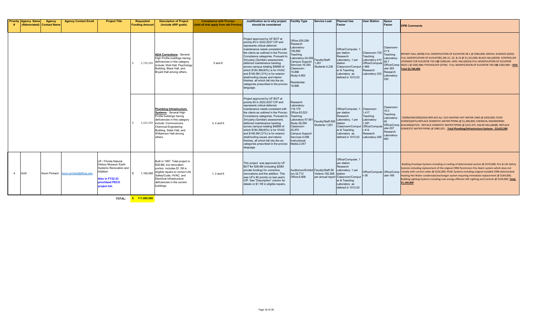| <b>Priority Agency Name</b> | Agency<br><b>Abbreviated) Contact Name</b> | <b>Agency Contact Email</b>           | <b>Project Title</b>                                                                                                                       | <b>Requested</b><br><b>Funding Amount</b> | <b>Description of Project</b><br>(include ARP goals)                                                                                                                                                                                                             | <b>Compliance with Proviso</b><br>(Add all that apply from tab Proviso) | Justification as to why project<br>should be considered                                                                                                                                                                                                                                                                                                                                                                                                                                                                                   | <b>Facility Type</b>                                                                                                                                                                                              | <b>Service Load</b>     | <b>Planned Use</b><br>Factor                                                                                                                                                     | <b>User Station</b>                                                                                                  | Space<br>Factor                                                                                       | <b>OPB Comments</b>                                                                                                                                                                                                                                                                                                                                                                                                                                                                                                                                              |
|-----------------------------|--------------------------------------------|---------------------------------------|--------------------------------------------------------------------------------------------------------------------------------------------|-------------------------------------------|------------------------------------------------------------------------------------------------------------------------------------------------------------------------------------------------------------------------------------------------------------------|-------------------------------------------------------------------------|-------------------------------------------------------------------------------------------------------------------------------------------------------------------------------------------------------------------------------------------------------------------------------------------------------------------------------------------------------------------------------------------------------------------------------------------------------------------------------------------------------------------------------------------|-------------------------------------------------------------------------------------------------------------------------------------------------------------------------------------------------------------------|-------------------------|----------------------------------------------------------------------------------------------------------------------------------------------------------------------------------|----------------------------------------------------------------------------------------------------------------------|-------------------------------------------------------------------------------------------------------|------------------------------------------------------------------------------------------------------------------------------------------------------------------------------------------------------------------------------------------------------------------------------------------------------------------------------------------------------------------------------------------------------------------------------------------------------------------------------------------------------------------------------------------------------------------|
|                             |                                            |                                       |                                                                                                                                            | 2,760,000                                 | <b>ADA Corrections - Several</b><br>High Profile buildings having<br>deficiencies in this category<br>include; Weil Hall, Psychology<br>Building, Black Hall, and<br>Bryant Hall among others.                                                                   | 5 and 6                                                                 | Project approved by UF BOT at<br>priority #3 in 2022-2027 CIP and<br>represents critical deferred<br>maintenance needs consistent with<br>the citeria as outlined in the Proviso<br>Compliance categories. Pursuant to<br>3rd-party (Gordian) assessment,<br>deferred maintenance backlog<br>across campus totaling \$466M of<br>which \$184.3M(40%) is for HVAC<br>and \$146.5M (31%) is for exterior<br>shell/roofing issues and interior<br>finishes, all which fall into the six<br>categories prescribed in the proviso<br>language. | Office-205.299<br>Research<br>-aboratory<br>109,882<br>Teaching<br>Laboratory-24,059 Faculty/Staff<br>Campus Support<br>Services-16,340<br>lassroom-<br>5,896<br>Study-4,952<br>Residential-<br>19.896            | 1.261<br>Students-4.236 | Office/Computer, 1<br>per station<br>Research<br>Laboratory, 1 per<br>station<br>Classroom/Comput r-969<br>er & Teaching<br>Laboratory as<br>defined in 1013.03                  | Classroom-725<br>Teaching<br>Laboratory-410<br>Office/Compute<br>Research<br>Laboratory-333                          | Classroom-<br>21.9<br>Teaching<br>Laboratory-<br>58.7<br>$uter-283$<br>Research<br>Laboratory-<br>330 | BRYANT HALL (0038)-FULL MODIFICATION OF ELEVATOR 38-1 @ \$383,000; DENTAL SCIENCES (0205)-<br>FULL MODIFICATION OF ELEVATORS 205-21, 22, & 23 @ \$1,313,000; BLACK HALL(0039)- CONTROLLER<br>UPGRADE FOR ELEVATOR 724-100 \$298,041; WEIL HALL(0024)-FULL MODIFICATION OF ELEVATOR<br>Office/Comp 0024-1 @ \$382,980; PSYCHOLOGY (0749) - FULL MODIFICATION OF ELEVATOR 749-2li@ \$382,980 - ADA<br><b>Total \$2,760,000</b>                                                                                                                                     |
|                             |                                            |                                       |                                                                                                                                            |                                           | <b>Plumbing Infrastructure</b><br><b>Systems - Several High</b><br>Profile buildings having<br>deficiencies in this category<br>3,422,500 include; Communicore,<br><b>Chemical Engineering</b><br>Building, Sisler Hall, and<br>Williamson Hall among<br>others. | 3, 4 and 6                                                              | Project approved by UF BOT at<br>priority #3 in 2022-2027 CIP and<br>represents critical deferred<br>maintenance needs consistent with<br>the citeria as outlined in the Proviso<br>Compliance categories. Pursuant to<br>3rd-party (Gordian) assessment,<br>deferred maintenance backlog<br>across campus totaling \$466M of<br>which \$184.3M(40%) is for HVAC<br>and \$146.5M (31%) is for exterior<br>shell/roofing issues and interior<br>finishes, all which fall into the six<br>categories prescribed in the proviso<br>language. | Research<br>Laboratory-<br>118.175<br>Office-83,523<br>Teaching<br>Laboratory-57,681 Faculty/Staff-595<br>Study-39,294<br>Classroom-<br>25.970<br>Campus Support<br>Services-4.098<br>nstructional<br>Media-2.057 | Students-1.821          | Office/Computer, 1<br>per station<br>Research<br>Laboratory, 1 per<br>station<br>Classroom/Comput<br>er & Teaching<br>Laboratory as<br>defined in 1013.03                        | Classroom-<br>1,417<br>Teaching<br>Laboratory-<br>1,281<br>Office/Compute<br>$r - 414$<br>Research<br>Laboratory-256 | Classroom-<br>18.3<br>Teaching<br>Laboratory-<br>uter-207<br>Research<br>Laboratory-<br>462           | COMMUNICORE(0203)-REPLACE ALL OLD HEATING HOT WATER LINES @ \$500,000; FOOD<br>SCIENCE(0475)-REPLACE DOMESTIC WATER PIPING @ \$1,400,000; CHEMICAL ENGINEERING<br>Office/Comp BUILDING(0723) - REPLACE DOMESTIC WATER PIPING @ \$537,475; SISLER HALL(0688) -REPLACE<br>DOMESTIC WATER PIPING @ \$985,025. - Total Plumbing/Infrastructure Systems - \$3,422,500                                                                                                                                                                                                 |
| <b>ISUS</b>                 |                                            | Kevin Pichard kevin.pichard@flbog.edu | UF / Florida Natural<br>History Museum Earth<br>Systems Renovation and<br>Addition<br>Also in FY22-23<br>prioritized PECO<br>project list. | 1,100,000                                 | Built in 1997. Total project is<br>\$38.8M, but renovation<br>portion includes \$1.1M in<br>eligible repairs to correct Life<br>Safety/Code, HVAC, and<br>Electrical Infrastructure<br>deficiencies in the current<br>buildings.                                 | 1, $2$ and $6$                                                          | This project was approved by UF<br>BOT for \$38.8M (including \$20M<br>private funding) for corrective<br>renovations and the addition. This<br>was UF's #2 priority on last year's<br>CIP. See "Description" column for<br>details re \$1.1M in eligible repairs.                                                                                                                                                                                                                                                                        | Auditorium/Exhibit Faculty/Staff-58<br>ion-32,712<br>Office-6,806                                                                                                                                                 | Visitors-150,268        | Office/Computer, 1<br>per station<br>Research<br>Laboratory, 1 per<br>station<br>per annual report Classroom/Comput r-36<br>er & Teaching<br>Laboratory as<br>defined in 1013.03 |                                                                                                                      | $uter-189$                                                                                            | Building Envelope Systems including re-roofing of deteriorated section @ \$570,000; Fire & Life Safety<br>Systems including replacement of the original 1996 Pyrotronics Fire Alarm system which does not<br>Office/Compute Office/Comp comply with current codes @ \$216,000; HVAC Systems including original installed 1996 deteriorated<br>Heating Hot Water condensate/exchanger system requiring immediate replacement @ \$164,000;<br>Building Lighting Systems including new energy efficient LED Lighting and Controls @ \$150,000. Total<br>\$1,100,000 |

**TOTAL: \$ 111,600,000**

Page 16 of 26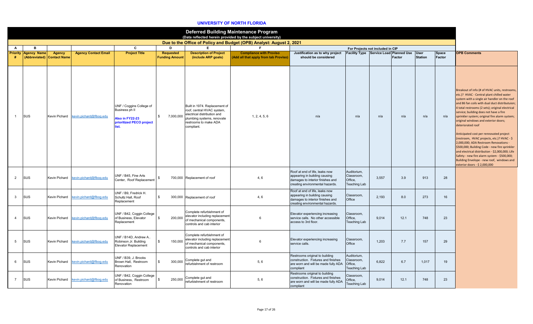### **UNIVERSITY OF NORTH FLORIDA**

|                 |                                     |                                      |                             |                                                                                           |                                           |                                                                                                                                                                 | <b>Deferred Building Maintenance Program</b><br>(Data reflected herein provided by the subject university) |                                                                                                                                        |                                                             |       |                                                              |                |                 |                                                                                                                                                                                                                                                                                                                                                                                                                                                                                                                                                                                                                                                                                                                                                                            |
|-----------------|-------------------------------------|--------------------------------------|-----------------------------|-------------------------------------------------------------------------------------------|-------------------------------------------|-----------------------------------------------------------------------------------------------------------------------------------------------------------------|------------------------------------------------------------------------------------------------------------|----------------------------------------------------------------------------------------------------------------------------------------|-------------------------------------------------------------|-------|--------------------------------------------------------------|----------------|-----------------|----------------------------------------------------------------------------------------------------------------------------------------------------------------------------------------------------------------------------------------------------------------------------------------------------------------------------------------------------------------------------------------------------------------------------------------------------------------------------------------------------------------------------------------------------------------------------------------------------------------------------------------------------------------------------------------------------------------------------------------------------------------------------|
|                 |                                     |                                      |                             |                                                                                           |                                           |                                                                                                                                                                 | Due to the Office of Policy and Budget (OPB) Analyst: August 2, 2021                                       |                                                                                                                                        |                                                             |       |                                                              |                |                 |                                                                                                                                                                                                                                                                                                                                                                                                                                                                                                                                                                                                                                                                                                                                                                            |
| A               | B                                   |                                      |                             | C                                                                                         | D                                         | E.                                                                                                                                                              | F.                                                                                                         |                                                                                                                                        | For Projects not included in CIP                            |       |                                                              |                |                 |                                                                                                                                                                                                                                                                                                                                                                                                                                                                                                                                                                                                                                                                                                                                                                            |
| <b>Priority</b> | <b>Agency Name</b><br>(Abbreviated) | <b>Agency</b><br><b>Contact Name</b> | <b>Agency Contact Email</b> | <b>Project Title</b>                                                                      | <b>Requested</b><br><b>Funding Amount</b> | <b>Description of Project</b><br>(include ARP goals)                                                                                                            | <b>Compliance with Proviso</b><br>(Add all that apply from tab Proviso)                                    | Justification as to why project<br>should be considered                                                                                |                                                             |       | Facility Type Service Load Planned Use User<br><b>Factor</b> | <b>Station</b> | Space<br>Factor | <b>OPB Comments</b>                                                                                                                                                                                                                                                                                                                                                                                                                                                                                                                                                                                                                                                                                                                                                        |
| $\overline{1}$  | SUS                                 | Kevin Pichard                        | kevin.pichard@flbog.edu     | UNF / Coggins College of<br>Business ph II<br>Also in FY22-23<br>prioritized PECO project | $\mathfrak{S}$<br>7,000,000               | Built in 1974. Replacement of<br>roof, central HVAC system,<br>electrical distribution and<br>plumbing systems, renovate<br>restrooms to make ADA<br>compliant. | 1, 2, 4, 5, 6                                                                                              | n/a                                                                                                                                    | n/a                                                         | n/a   | n/a                                                          | n/a            | n/a             | Breakout of info (# of HVAC units, restrooms,<br>etc.)? HVAC - Central plant chilled water<br>system with a single air handler on the roof<br>and 86 fan coils with dual duct distributuion;<br>4 total restrooms (2 sets); original electrical<br>service; building does not have a fire<br>sprinkler system; original fire alarm system;<br>original windows and exterior doors;<br>deteriorated roof<br>Anticipated cost per rennovated project<br>(restroom, HVAC projects, etc.)? HVAC - \$<br>2,000,000; ADA Restroom Renovations -<br>\$500,000; Building Code - new fire sprinkler<br>and electrical distribution - \$2,000,000; Life<br>Safety - new fire alarm system - \$500,000;<br>Building Envelope - new roof, windows and<br>exterior doors - \$ 2,000,000 |
| 2               | <b>SUS</b>                          | Kevin Pichard                        | kevin.pichard@flbog.edu     | UNF / B45. Fine Arts<br>Center. Roof Replacement                                          | \$                                        | 700,000 Replacement of roof                                                                                                                                     | 4, 6                                                                                                       | Roof at end of life, leaks now<br>appearing in building causing<br>damages to interior finishes and<br>creating environmental hazards. | Auditorium,<br>Classroom.<br>Office.<br><b>Teaching Lab</b> | 3.557 | 3.9                                                          | 913            | 28              |                                                                                                                                                                                                                                                                                                                                                                                                                                                                                                                                                                                                                                                                                                                                                                            |
| $\mathbf{3}$    | SUS                                 | Kevin Pichard                        | evin.pichard@flbog.edu      | UNF / B9, Fredrick H.<br>Schultz Hall, Roof<br>Replacement                                | $\mathbf{\hat{z}}$                        | 300,000 Replacement of roof                                                                                                                                     | 4, 6                                                                                                       | Roof at end of life, leaks now<br>appearing in building causing<br>damages to interior finishes and<br>creating environmental hazards. | Classroom.<br>Office                                        | 2.193 | 8.0                                                          | 273            | 16              |                                                                                                                                                                                                                                                                                                                                                                                                                                                                                                                                                                                                                                                                                                                                                                            |
| $\overline{4}$  | SUS                                 | Kevin Pichard                        | kevin.pichard@flbog.edu     | UNF / B42, Coggin College<br>of Business, Elevator<br>Replacement                         | 200,000<br>\$                             | Complete refurbishment of<br>elevator including replacement<br>of mechanical components,<br>controls and cab interior                                           | 6                                                                                                          | Elevator experiencing increasing<br>service calls. No other accessible<br>access to 3rd floor.                                         | Classroom.<br>Office,<br><b>Teaching Lab</b>                | 9,014 | 12.1                                                         | 748            | 23              |                                                                                                                                                                                                                                                                                                                                                                                                                                                                                                                                                                                                                                                                                                                                                                            |
| 5               | SUS                                 | Kevin Pichard                        | kevin.pichard@flbog.edu     | UNF / B14D, Andrew A.<br>Robinson Jr. Building<br><b>Elevator Replacement</b>             | 150,000<br>\$                             | Complete refurbishment of<br>elevator including replacement<br>of mechanical components,<br>controls and cab interior                                           | 6                                                                                                          | Elevator experiencing increasing<br>service calls.                                                                                     | Classroom,<br>Office                                        | 1,203 | 7.7                                                          | 157            | 29              |                                                                                                                                                                                                                                                                                                                                                                                                                                                                                                                                                                                                                                                                                                                                                                            |
| 6               | SUS                                 | Kevin Pichard                        | kevin.pichard@flbog.edu     | UNF / B39, J. Brooks<br>Brown Hall, Restroom<br>Renovation                                | \$<br>300,000                             | Complete gut and<br>refurbishment of restroom                                                                                                                   | 5, 6                                                                                                       | Restrooms original to building<br>construction. Fixtures and finishes<br>are worn and will be made fully ADA<br>compliant              | Auditorium,<br>Classroom,<br>Office.<br><b>Teaching Lab</b> | 6.822 | 6.7                                                          | 1,017          | 19              |                                                                                                                                                                                                                                                                                                                                                                                                                                                                                                                                                                                                                                                                                                                                                                            |
| $\overline{7}$  | SUS                                 | Kevin Pichard                        | evin.pichard@flbog.edu      | UNF / B42, Coggin College<br>of Business, Restroom<br>Renovation                          | 250,000<br>-\$                            | Complete gut and<br>refurbishment of restroom                                                                                                                   | 5, 6                                                                                                       | Restrooms original to building<br>construction. Fixtures and finishes<br>are worn and will be made fully ADA<br>compliant              | Classroom,<br>Office,<br>Teaching Lab                       | 9,014 | 12.1                                                         | 748            | 23              |                                                                                                                                                                                                                                                                                                                                                                                                                                                                                                                                                                                                                                                                                                                                                                            |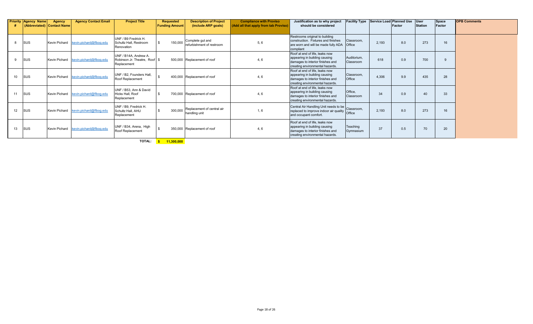|                 | <b>Priority Agency Name</b> | <b>Agency</b><br>(Abbreviated) Contact Name | <b>Agency Contact Email</b> | <b>Project Title</b>                                                    | <b>Requested</b><br><b>Funding Amount</b> | <b>Description of Project</b><br>(include ARP goals) | <b>Compliance with Proviso</b><br>(Add all that apply from tab Proviso) | Justification as to why project<br>should be considered                                                                                | <b>Facility Type</b>     |       | Service Load Planned Use<br>Factor | <b>User</b><br><b>Station</b> | <b>Space</b><br>Factor | <b>OPB Comments</b> |
|-----------------|-----------------------------|---------------------------------------------|-----------------------------|-------------------------------------------------------------------------|-------------------------------------------|------------------------------------------------------|-------------------------------------------------------------------------|----------------------------------------------------------------------------------------------------------------------------------------|--------------------------|-------|------------------------------------|-------------------------------|------------------------|---------------------|
| $\mathsf{R}$    | <b>SUS</b>                  | Kevin Pichard                               | kevin.pichard@flbog.edu     | UNF / B9 Fredrick H.<br>Schultz Hall, Restroom<br>Renovation            | 150,000                                   | Complete gut and<br>refurbishment of restroom        | 5, 6                                                                    | Restrooms original to building<br>construction. Fixtures and finishes<br>are worn and will be made fully ADA Office<br>compliant       | Classroom,               | 2.193 | 8.0                                | 273                           | 16                     |                     |
| 9               | <b>SUS</b>                  | Kevin Pichard                               | kevin.pichard@flbog.edu     | UNF / B14A. Andrew A.<br>Robinson Jr. Theatre, Roof   \$<br>Replacement |                                           | 500,000 Replacement of roof                          | 4, 6                                                                    | Roof at end of life, leaks now<br>appearing in building causing<br>damages to interior finishes and<br>creating environmental hazards. | Auditorium.<br>Classroom | 618   | 0.9                                | 700                           |                        |                     |
| 10 <sup>1</sup> | <b>SUS</b>                  | <b>Kevin Pichard</b>                        | kevin.pichard@flbog.edu     | UNF / B2. Founders Hall.<br>Roof Replacement                            |                                           | 400,000 Replacement of roof                          | 4, 6                                                                    | Roof at end of life, leaks now<br>appearing in building causing<br>damages to interior finishes and<br>creating environmental hazards. | Classroom.<br>Office     | 4.306 | 9.9                                | 435                           | 28                     |                     |
| 11              | <b>SUS</b>                  | Kevin Pichard                               | kevin.pichard@flbog.edu     | UNF / B53, Ann & David<br>Hicks Hall, Roof<br>Replacement               |                                           | 700,000 Replacement of roof                          | 4, 6                                                                    | Roof at end of life, leaks now<br>appearing in building causing<br>damages to interior finishes and<br>creating environmental hazards. | Office.<br>Classroom     | 34    | 0.9                                | 40                            | 33                     |                     |
| 12              | <b>SUS</b>                  | Kevin Pichard                               | kevin.pichard@flbog.edu     | UNF / B9. Fredrick H.<br>Schultz Hall, AHU<br>Replacement               | 300,000                                   | Replacement of central air<br>handling unit          | 1, 6                                                                    | Central Air Handling Unit needs to be Classroom,<br>replaced to improve indoor air quality office<br>and occupant comfort.             |                          | 2.193 | 8.0                                | 273                           | 16                     |                     |
| 13              | <b>SUS</b>                  | <b>Kevin Pichard</b>                        | kevin.pichard@flbog.edu     | UNF / B34, Arena, High<br>Roof Replacement                              |                                           | 350,000 Replacement of roof                          | 4, 6                                                                    | Roof at end of life, leaks now<br>appearing in building causing<br>damages to interior finishes and<br>creating environmental hazards. | Teaching<br>Gymnasium    | 37    | 0.5                                | 70                            | 20                     |                     |

**TOTAL: \$ 11,300,000**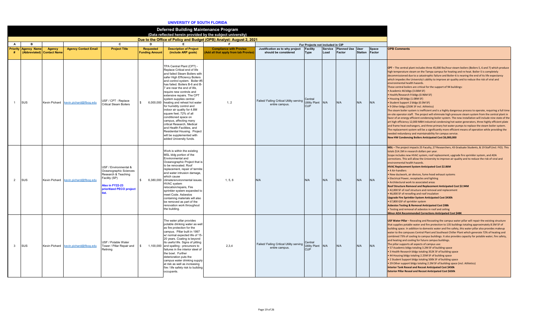#### **UNIVERSITY OF SOUTH FLORIDA**

|              |                                              |                               |                             |                                                                                                                                        |                                    | Deferred Building Maintenance Program                                                                                                                                                                                                                                                                                                                                                                                                                                                                                                                                                                                                                    | (Data reflected herein provided by the subject university)            |                                                                  |                                        |      |                                    |                |                 |                                                                                                                                                                                                                                                                                                                                                                                                                                                                                                                                                                                                                                                                                                                                                                                                                                                                                                                                                                                                                                                                                                                                                                                                                                                                                                                                                                                                                                                                                                               |
|--------------|----------------------------------------------|-------------------------------|-----------------------------|----------------------------------------------------------------------------------------------------------------------------------------|------------------------------------|----------------------------------------------------------------------------------------------------------------------------------------------------------------------------------------------------------------------------------------------------------------------------------------------------------------------------------------------------------------------------------------------------------------------------------------------------------------------------------------------------------------------------------------------------------------------------------------------------------------------------------------------------------|-----------------------------------------------------------------------|------------------------------------------------------------------|----------------------------------------|------|------------------------------------|----------------|-----------------|---------------------------------------------------------------------------------------------------------------------------------------------------------------------------------------------------------------------------------------------------------------------------------------------------------------------------------------------------------------------------------------------------------------------------------------------------------------------------------------------------------------------------------------------------------------------------------------------------------------------------------------------------------------------------------------------------------------------------------------------------------------------------------------------------------------------------------------------------------------------------------------------------------------------------------------------------------------------------------------------------------------------------------------------------------------------------------------------------------------------------------------------------------------------------------------------------------------------------------------------------------------------------------------------------------------------------------------------------------------------------------------------------------------------------------------------------------------------------------------------------------------|
|              |                                              |                               |                             |                                                                                                                                        |                                    |                                                                                                                                                                                                                                                                                                                                                                                                                                                                                                                                                                                                                                                          | Due to the Office of Policy and Budget (OPB) Analyst: August 2, 2021  |                                                                  |                                        |      |                                    |                |                 |                                                                                                                                                                                                                                                                                                                                                                                                                                                                                                                                                                                                                                                                                                                                                                                                                                                                                                                                                                                                                                                                                                                                                                                                                                                                                                                                                                                                                                                                                                               |
| A            | B                                            |                               |                             | C                                                                                                                                      | D                                  | E                                                                                                                                                                                                                                                                                                                                                                                                                                                                                                                                                                                                                                                        | -F                                                                    |                                                                  | For Projects not included in CIP       |      |                                    |                |                 |                                                                                                                                                                                                                                                                                                                                                                                                                                                                                                                                                                                                                                                                                                                                                                                                                                                                                                                                                                                                                                                                                                                                                                                                                                                                                                                                                                                                                                                                                                               |
| #            | <b>Priority Agency Name</b><br>(Abbreviated) | Agency<br><b>Contact Name</b> | <b>Agency Contact Email</b> | <b>Project Title</b>                                                                                                                   | Requested<br><b>Funding Amount</b> | <b>Description of Project</b><br>(include ARP goals)                                                                                                                                                                                                                                                                                                                                                                                                                                                                                                                                                                                                     | <b>Compliance with Proviso</b><br>Add all that apply from tab Proviso | Justification as to why project Facility<br>should be considered | <b>Type</b>                            | Load | Service Planned Use User<br>Factor | <b>Station</b> | Space<br>Factor | <b>OPB Comments</b>                                                                                                                                                                                                                                                                                                                                                                                                                                                                                                                                                                                                                                                                                                                                                                                                                                                                                                                                                                                                                                                                                                                                                                                                                                                                                                                                                                                                                                                                                           |
|              | <b>SUS</b>                                   | Kevin Pichard                 | kevin.pichard@flbog.edu     | USF / CPT - Replace<br>Critical Steam Boilers                                                                                          |                                    | TPA Central Plant (CPT) -<br>Replace Critical end of life<br>and failed Steam Boilers with<br>safer High Efficiency Boilers<br>and control system. Boiler #5<br>has failed. Boilers B-6 and B-<br>7 are near the end of life.<br>require new controls and<br>extensive repairs. The CPT<br>system supplies central<br>6,000,000 heating and reheat hot water<br>for humidity control and<br>indoor air quality for 4.8M<br>square feet: 72% of all<br>conditioned space on<br>campus, affecting many<br>critical Research, Medical<br>and Health Facilities, and<br>Residential Housing. Project<br>will be supplemented with<br>added University funds. | 1, 2                                                                  | Failed/ Failing Critical Utility serving<br>entire campus.       | Central<br>Utility Plant<br><b>CUP</b> | N/A  | N/A                                | N/A            | N/A             | CPT - The central plant includes three 45,000 lbs/hour steam boilers (Boilers 5, 6 and 7) which produce<br>high temperature steam on the Tampa campus for heating and re-heat. Boiler-5 is completely<br>decommissioned due to a catastrophic failure and Boiler-6 is nearing the end of its life expectancy<br>which impedes the University's ability to improve air quality and to reduce the risk of viral and<br>environmental health hazards.<br>These central boilers are critical for the support of 94 buildings:<br>• Academic 46 bldgs (3.06M SF)<br>• Health/Research 9 bldgs (0.96M SF)<br>• Housing 28 bldgs (1.08M SF)<br>• Student Support 2 bldgs (0.5M SF)<br>• 9 Other bldgs (250K SF incl. Athletics)<br>The steam boiler system is inefficient and is a highly dangerous process to operate, requiring a full time<br>on-site operator staff. The project will eliminate high pressure steam system from the central plant in<br>favor of an energy efficient condensing boiler system. The new installation will include nine state of the<br>art high efficiency 12,000 MBH industrial condensing hot water generators, three highly efficient plate<br>and frame heat exchangers, and three primary hot water pumps to replace the steam boiler system.<br>The replacement system will be a significantly more efficient means of operation while providing the<br>needed redundancy and maintainability for campus service.<br>New HW Condensing Boilers Anticipated Cost \$6,000,000 |
| 2            | <b>SUS</b>                                   | Kevin Pichard                 | cevin.pichard@flbog.edu     | USF / Environmental &<br>Oceanographic Sciences<br>Research & Teaching<br>Facility (SP)<br>Also in FY22-23<br>prioritized PECO project | \$                                 | Work is within the existing<br>MSL bldg portion of the<br>Environmental and<br>Oceanographic Project that is<br>to be renovated. Roof<br>replacement, repair of termite<br>and water intrusion damage.<br>which cause<br>6.380.000 climate/environmental issues.<br><b>HVAC</b> system<br>relocation/repairs, Fire<br>sprinkler system expanded to<br>meet Code, Asbestos<br>containing materials will also<br>be removed as part of the<br>renovation work throughout<br>the building.                                                                                                                                                                  | 1.5.6                                                                 | N/A                                                              | N/A                                    | N/A  | N/A                                | N/A            | N/A             | MSL - The project impacts 25 Faculty, 27 Researchers, 43 Graduate Students, & 19 Staff (incl. FIO). This<br>totals \$14.1M in research dollars per year.<br>Scope includes new HVAC system, roof replacement, upgrade fire sprinkler system, and ADA<br>corrections. This will allow the University to improve air quality and to reduce the risk of viral and<br>environmental health hazards.<br><b>HVAC Replacement System Anticipated Cost \$2.86M</b><br>• 4 Air-handlers<br>. New ductwork, air devices, fume hood exhaust systems<br>• Electrical Power, receptacles and lighting<br>• Architectural work to associated areas<br>Roof Structure Removal and Replacement Anticipated Cost \$2.94M<br>. 42,000 SF of roof structure and removal and replacement<br>. 46,000 SF of reroofing and roof insulation<br>Upgrade Fire Sprinkler System Anticipated Cost \$430k<br>• 67,800 GSF of sprinkler system<br><b>Asbestos Testing &amp; Removal Anticipated Cost \$98k</b><br>. Testing and removal of asbestos in roof and ceiling<br><b>Minor ADA Recommended Corrections Anticipated Cost \$48K</b>                                                                                                                                                                                                                                                                                                                                                                                                 |
| $\mathbf{3}$ | <b>SUS</b>                                   | Kevin Pichard                 | kevin.pichard@flbog.edu     | USF / Potable Water<br>Tower / Pillar Repair and<br>Relinina                                                                           | $\mathbf{\hat{S}}$<br>1,100,000    | The water pillar provides<br>potable drinking water as well<br>as fire protection for the<br>campus. Pillar built in 1997<br>w/ normal expected life of 15-<br>20 years. Coating is beyond<br>its useful life. Signs of pitting<br>and spalling - precursors to<br>failures in the interior steel of<br>the bowl. Further<br>deterioration puts the<br>campus water drinking supply<br>at risk as well as increasing<br>fire / life safety risk to building<br>occupants.                                                                                                                                                                                | 2,3,4                                                                 | Failed/ Failing Critical Utility serving<br>entire campus.       | Central<br>Utility Plant<br><b>CUP</b> | N/A  | N/A                                | N/A            | N/A             | USF Water Pillar - Resealing and Recoating the campus water pillar will repair the existing structure<br>that supplies potable water and fire protection to 135 buildings totaling approximately 8.5M SF of<br>building space. In addition to domestic water and fire safety, this water pillar also provides makeup<br>water to the campuses Central Plant and Southeast Chiller Plant which generate 72% of heating and<br>combined 73% of cooling to campus buildings. It also provides capacity for potable water, fire safety,<br>and heating and cooling for future campus buildings.<br>The pillar supports all aspects of campus use:<br>• 57 Academic bldgs totaling 3.2M SF of building space<br>. 3 Health Research bldgs totaling 352K SF of building space<br>• 44 Housing bldgs totaling 2.25M SF of building space<br>. 2 Student Support bldgs totaling 500k SF of building space<br>. 29 Other support bldgs totaling 2.2M SF of building space (incl. Athletics)<br><b>Interior Tank Reseal and Recoat Anticipated Cost \$450k</b><br><b>Exterior Pillar Reseal and Recoat Anticipated Cost \$650k</b>                                                                                                                                                                                                                                                                                                                                                                                      |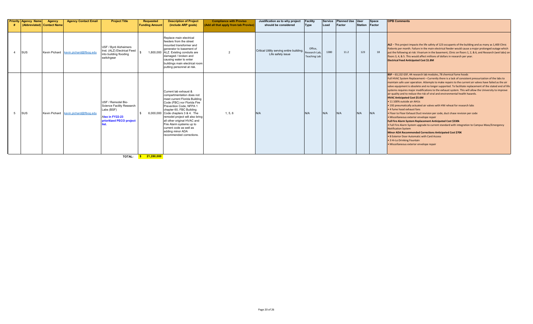| <b>Priority Agency Name</b><br>(Abbreviated) Contact Name | Agency | <b>Agency Contact Email</b>           | <b>Project Title</b>                                                                                         | <b>Requested</b><br><b>Funding Amount</b> | <b>Description of Project</b><br>(include ARP goals)                                                                                                                                                                                                                                                                                                                                     | <b>Compliance with Proviso</b><br>(Add all that apply from tab Proviso) | Justification as to why project<br>should be considered        | Facility<br>Type                                | Service<br>Load | <b>Planned Use</b><br>Factor | <b>User</b><br><b>Station</b> | <b>Space</b><br>Factor | <b>OPB Comments</b>                                                                                                                                                                                                                                                                                                                                                                                                                                                                                                                                                                                                                                                                                                                                                                                                                                                                                                                                                                                                                                                                                                                                                                                                                                                                                |
|-----------------------------------------------------------|--------|---------------------------------------|--------------------------------------------------------------------------------------------------------------|-------------------------------------------|------------------------------------------------------------------------------------------------------------------------------------------------------------------------------------------------------------------------------------------------------------------------------------------------------------------------------------------------------------------------------------------|-------------------------------------------------------------------------|----------------------------------------------------------------|-------------------------------------------------|-----------------|------------------------------|-------------------------------|------------------------|----------------------------------------------------------------------------------------------------------------------------------------------------------------------------------------------------------------------------------------------------------------------------------------------------------------------------------------------------------------------------------------------------------------------------------------------------------------------------------------------------------------------------------------------------------------------------------------------------------------------------------------------------------------------------------------------------------------------------------------------------------------------------------------------------------------------------------------------------------------------------------------------------------------------------------------------------------------------------------------------------------------------------------------------------------------------------------------------------------------------------------------------------------------------------------------------------------------------------------------------------------------------------------------------------|
| <b>SUS</b>                                                |        | Kevin Pichard kevin.pichard@flbog.edu | USF / Bvrd Alzheimers<br>Inst. (ALZ) Electrical Feed<br>into building flooding<br>switchgear                 |                                           | Replace main electrical<br>feeders from the street<br>mounted transformer and<br>generator to basement of<br>1,800,000 ALZ. Existing conduits are<br>damaged / broken and<br>causing water to enter<br>buildings main electrical room<br>putting personnel at risk.                                                                                                                      |                                                                         | Critical Utility serving entire building.<br>Life safety issue | Office,<br>Research Lab,<br><b>Teaching Lab</b> | 1380            | 11.2                         | 123                           | 18                     | ALZ - This project impacts the life safety of 123 occupants of the building and as many as 1,400 Clinic<br>Patients per month. Failure in the main electrical feeder would cause a major prolonged outage which<br>put the following at risk: Vivarium in the basement, Clinic on floors 1, 2, & 6, and Research (wet labs) on<br>floors 3, 4, & 5. This would affect millions of dollars in research per year.<br><b>Electrical Feed Anticipated Cost \$1.8M</b>                                                                                                                                                                                                                                                                                                                                                                                                                                                                                                                                                                                                                                                                                                                                                                                                                                  |
| <b>SUS</b>                                                |        | Kevin Pichard kevin.pichard@flbog.edu | USF / Remodel Bio-<br>Science Facility Research<br>Labs (BSF)<br>Also in FY22-23<br>prioritized PECO project |                                           | Current lab exhaust &<br>compartmentation does not<br>meet current Florida Building<br>Code (FBC) nor Florida Fire<br>Prevention Code, NFPA 1<br>chapter 60, FBC Building<br>6,000,000 Code chapters 3 & 4. The<br>remodel project will also bring<br>all other original HVAC and<br>Fire Alarm systems up to<br>current code as well as<br>adding minor ADA<br>recommended corrections. | 1, 5, 6                                                                 | N/A                                                            | N/A                                             | N/A             | N/A                          | N/A                           | N/A                    | BSF - 63,132 GSF, 44 research lab modules, 78 chemical fume hoods<br>Full HVAC System Replacement - Currently there is a lack of consistent pressurization of the labs to<br>maintain safe user operation. Attempts to make repairs to the current air valves have failed as the air<br>valve equipment is obsolete and no longer supported. To facilitate replacement of the stated end of life<br>systems requires major modifications to the exhaust system. This will allow the University to improve<br>air quality and to reduce the risk of viral and environmental health hazards.<br><b>HVAC Anticipated Cost \$5.6M</b><br>• 11 100% outside air AHUs<br>. 192 pneumatically actuated air valves with HW reheat for research labs<br>. 4 fume hood exhaust fans<br>. Floor to Floor Exhaust Duct revision per code, duct chase revision per code<br>· Miscellaneous exterior envelope repair<br><b>Full Fire Alarm System Replacement Anticipated Cost \$330k</b><br>. Full Fire Alarm System upgrade to current standard with integration to Campus Mass/Emergency<br><b>Notification System</b><br>Minor ADA Recommended Corrections Anticipated Cost \$70K<br>. 8 Exterior Door Automatic with Card Access<br>• 3 Hi-Lo Drinking Fountain<br>· Miscellaneous exterior envelope repair |

**TOTAL: \$ 21,280,000**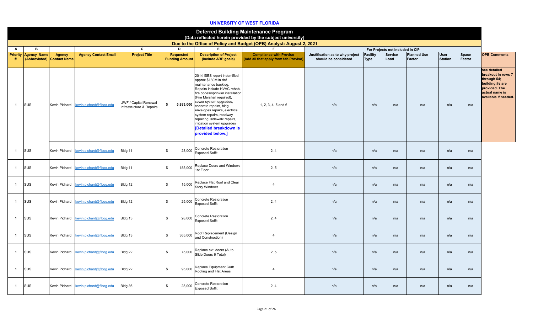## **UNIVERSITY OF WEST FLORIDA**

|                      |                    |                                             |                                       |                                                   |                                           |                                                                                                                                                                                                                                                                                                                                                                                                          | <b>Deferred Building Maintenance Program</b><br>(Data reflected herein provided by the subject university) |                                                         |                                |                                  |                              |                               |                        |                                                                                                                                 |
|----------------------|--------------------|---------------------------------------------|---------------------------------------|---------------------------------------------------|-------------------------------------------|----------------------------------------------------------------------------------------------------------------------------------------------------------------------------------------------------------------------------------------------------------------------------------------------------------------------------------------------------------------------------------------------------------|------------------------------------------------------------------------------------------------------------|---------------------------------------------------------|--------------------------------|----------------------------------|------------------------------|-------------------------------|------------------------|---------------------------------------------------------------------------------------------------------------------------------|
|                      |                    |                                             |                                       |                                                   |                                           |                                                                                                                                                                                                                                                                                                                                                                                                          | Due to the Office of Policy and Budget (OPB) Analyst: August 2, 2021                                       |                                                         |                                |                                  |                              |                               |                        |                                                                                                                                 |
| $\mathbf{A}$         | в                  |                                             |                                       | $\mathbf{c}$                                      | D                                         | E.                                                                                                                                                                                                                                                                                                                                                                                                       | F.                                                                                                         |                                                         |                                | For Projects not included in CIP |                              |                               |                        |                                                                                                                                 |
| <b>Priority</b><br># | <b>Agency Name</b> | <b>Agency</b><br>(Abbreviated) Contact Name | <b>Agency Contact Email</b>           | <b>Project Title</b>                              | <b>Requested</b><br><b>Funding Amount</b> | <b>Description of Project</b><br>(include ARP goals)                                                                                                                                                                                                                                                                                                                                                     | <b>Compliance with Proviso</b><br>(Add all that apply from tab Proviso)                                    | Justification as to why project<br>should be considered | <b>Facility</b><br><b>Type</b> | <b>Service</b><br>Load           | <b>Planned Use</b><br>Factor | <b>User</b><br><b>Station</b> | <b>Space</b><br>Factor | <b>OPB Comments</b>                                                                                                             |
| $\mathbf{1}$         | <b>SUS</b>         | <b>Kevin Pichard</b>                        | kevin.pichard@flbog.edu               | UWF / Capital Renewal<br>Infrastructure & Repairs | \$<br>5,883,000                           | 2014 ISES report indentified<br>approx \$130M in def<br>maintenance backlog.<br>Repairs include HVAC rehab,<br>fire codes/sprinkler installation<br>(Fire Marshall required),<br>sewer system upgrades,<br>concrete repairs, bldg<br>envelopes repairs, electrical<br>system repairs, roadway<br>repaving, sidewalk repairs,<br>irrigation system upgrades<br>[Detailed breakdown is<br>provided below.] | 1, 2, 3, 4, 5 and 6                                                                                        | n/a                                                     | n/a                            | n/a                              | n/a                          | n/a                           | n/a                    | see detailed<br>breakout in rows 7<br>through 54;<br>building #s are<br>provided. The<br>actual name is<br>available if needed. |
| $\overline{1}$       | SUS                | Kevin Pichard                               | kevin.pichard@flbog.edu               | Bldg 11                                           | \$<br>28,000                              | Concrete Restoration<br><b>Exposed Soffit</b>                                                                                                                                                                                                                                                                                                                                                            | 2, 4                                                                                                       | n/a                                                     | n/a                            | n/a                              | n/a                          | n/a                           | n/a                    |                                                                                                                                 |
| $\overline{1}$       | <b>SUS</b>         | Kevin Pichard                               | kevin.pichard@flboq.edu               | Bldg 11                                           | $\mathbb{S}$<br>185,000                   | Replace Doors and Windows<br>1st Floor                                                                                                                                                                                                                                                                                                                                                                   | 2, 5                                                                                                       | n/a                                                     | n/a                            | n/a                              | n/a                          | n/a                           | n/a                    |                                                                                                                                 |
| $\mathbf{1}$         | <b>SUS</b>         |                                             | Kevin Pichard kevin.pichard@flboq.edu | Bldg 12                                           | \$<br>15,000                              | Replace Flat Roof and Clear<br><b>Story Windows</b>                                                                                                                                                                                                                                                                                                                                                      | $\overline{4}$                                                                                             | n/a                                                     | n/a                            | n/a                              | n/a                          | n/a                           | n/a                    |                                                                                                                                 |
| $\mathbf{1}$         | <b>SUS</b>         |                                             | Kevin Pichard kevin.pichard@flboq.edu | Bldg 12                                           | \$<br>25,000                              | Concrete Restoration<br><b>Exposed Soffit</b>                                                                                                                                                                                                                                                                                                                                                            | 2, 4                                                                                                       | n/a                                                     | n/a                            | n/a                              | n/a                          | n/a                           | n/a                    |                                                                                                                                 |
| $\overline{1}$       | SUS                |                                             | Kevin Pichard kevin.pichard@flbog.edu | Bldg 13                                           | \$<br>28,000                              | Concrete Restoration<br><b>Exposed Soffit</b>                                                                                                                                                                                                                                                                                                                                                            | 2, 4                                                                                                       | n/a                                                     | n/a                            | n/a                              | n/a                          | n/a                           | n/a                    |                                                                                                                                 |
| $\overline{1}$       | SUS                | Kevin Pichard                               | kevin.pichard@flbog.edu               | Bldg 13                                           | $\mathbb{S}$<br>365,000                   | Roof Replacement (Design<br>and Construction)                                                                                                                                                                                                                                                                                                                                                            | $\overline{4}$                                                                                             | n/a                                                     | n/a                            | n/a                              | n/a                          | n/a                           | n/a                    |                                                                                                                                 |
| $\overline{1}$       | SUS                |                                             | Kevin Pichard kevin.pichard@flbog.edu | Bldg 22                                           | \$<br>75,000                              | Replace ext. doors (Auto<br>Slide Doors 6 Total)                                                                                                                                                                                                                                                                                                                                                         | 2, 5                                                                                                       | n/a                                                     | n/a                            | n/a                              | n/a                          | n/a                           | n/a                    |                                                                                                                                 |
| $\mathbf{1}$         | SUS                | Kevin Pichard                               | kevin.pichard@flbog.edu               | Bldg 22                                           | \$<br>95,000                              | Replace Equipment Curb<br>Roofing and Flat Areas                                                                                                                                                                                                                                                                                                                                                         | $\overline{4}$                                                                                             | n/a                                                     | n/a                            | n/a                              | n/a                          | n/a                           | n/a                    |                                                                                                                                 |
| $\mathbf{1}$         | SUS                |                                             | Kevin Pichard kevin.pichard@flbog.edu | Bldg 36                                           | \$<br>28,000                              | Concrete Restoration<br><b>Exposed Soffit</b>                                                                                                                                                                                                                                                                                                                                                            | 2, 4                                                                                                       | n/a                                                     | n/a                            | n/a                              | n/a                          | n/a                           | n/a                    |                                                                                                                                 |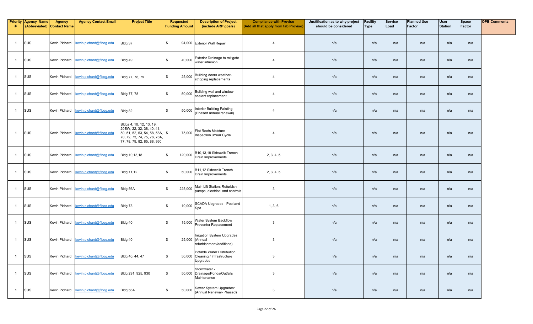| #              | <b>Priority Agency Name</b> | <b>Agency</b><br>(Abbreviated) Contact Name | <b>Agency Contact Email</b>           | <b>Project Title</b>                                                                                                                                 | <b>Requested</b><br><b>Funding Amount</b> | <b>Description of Project</b><br>(include ARP goals)                       | <b>Compliance with Proviso</b><br>(Add all that apply from tab Proviso) | Justification as to why project<br>should be considered | Facility<br><b>Type</b> | Service<br>Load | <b>Planned Use</b><br><b>Factor</b> | <b>User</b><br><b>Station</b> | Space<br>Factor | <b>OPB Comments</b> |
|----------------|-----------------------------|---------------------------------------------|---------------------------------------|------------------------------------------------------------------------------------------------------------------------------------------------------|-------------------------------------------|----------------------------------------------------------------------------|-------------------------------------------------------------------------|---------------------------------------------------------|-------------------------|-----------------|-------------------------------------|-------------------------------|-----------------|---------------------|
| $\overline{1}$ | SUS                         |                                             | Kevin Pichard kevin.pichard@flbog.edu | Bldg 37                                                                                                                                              | $\mathfrak s$                             | 94,000 Exterior Wall Repair                                                | $\overline{4}$                                                          | n/a                                                     | n/a                     | n/a             | n/a                                 | n/a                           | n/a             |                     |
| $\overline{1}$ | SUS                         | Kevin Pichard                               | kevin.pichard@flbog.edu               | Bldg 49                                                                                                                                              | \$<br>40,000                              | Exterior Drainage to mitigate<br>water intrusion                           | $\overline{4}$                                                          | n/a                                                     | n/a                     | n/a             | n/a                                 | n/a                           | n/a             |                     |
| $\mathbf{1}$   | SUS                         | Kevin Pichard                               | kevin.pichard@flbog.edu               | Bldg 77, 78, 79                                                                                                                                      | \$<br>25,000                              | Building doors weather-<br>stripping replacements                          | $\overline{4}$                                                          | n/a                                                     | n/a                     | n/a             | n/a                                 | n/a                           | n/a             |                     |
| $\overline{1}$ | SUS                         |                                             | Kevin Pichard kevin.pichard@flbog.edu | Bldg 77, 78                                                                                                                                          | $$\tilde{\phantom{a}}$$<br>50,000         | Building wall and window<br>sealant replacement                            | $\overline{4}$                                                          | n/a                                                     | n/a                     | n/a             | n/a                                 | n/a                           | n/a             |                     |
| $\overline{1}$ | SUS                         | Kevin Pichard                               | kevin.pichard@flboq.edu               | Bldg 82                                                                                                                                              | \$<br>50,000                              | Interior Building Painting<br>(Phased annual renewal)                      | $\overline{4}$                                                          | n/a                                                     | n/a                     | n/a             | n/a                                 | n/a                           | n/a             |                     |
| $\overline{1}$ | SUS                         |                                             | Kevin Pichard kevin.pichard@flbog.edu | Bldgs 4, 10, 12, 13, 19,<br>20EW, 22, 32, 38, 40, 41,<br>50, 51, 52, 53, 54, 58, 58A,<br>70, 72, 73, 74, 75, 76, 76A,<br>77, 78, 79, 82, 85, 88, 960 | 75,000<br>\$                              | <b>Flat Roofs Moisture</b><br><b>Inspection 3Year Cycle</b>                | $\overline{4}$                                                          | n/a                                                     | n/a                     | n/a             | n/a                                 | n/a                           | n/a             |                     |
| $\overline{1}$ | SUS                         |                                             | Kevin Pichard kevin.pichard@flbog.edu | Bldg 10,13,18                                                                                                                                        | \$<br>120,000                             | B10,13,18 Sidewalk Trench<br>Drain Improvements                            | 2, 3, 4, 5                                                              | n/a                                                     | n/a                     | n/a             | n/a                                 | n/a                           | n/a             |                     |
| $\mathbf{1}$   | SUS                         |                                             | Kevin Pichard kevin.pichard@flbog.edu | <b>Bldg 11,12</b>                                                                                                                                    | \$<br>50,000                              | B11,12 Sidewalk Trench<br>Drain Improvements                               | 2, 3, 4, 5                                                              | n/a                                                     | n/a                     | n/a             | n/a                                 | n/a                           | n/a             |                     |
| $\overline{1}$ | SUS                         | Kevin Pichard                               | kevin.pichard@flbog.edu               | Bldg 56A                                                                                                                                             | \$<br>225,000                             | Main Lift Station: Refurbish<br>pumps, electrical and controls             | 3                                                                       | n/a                                                     | n/a                     | n/a             | n/a                                 | n/a                           | n/a             |                     |
| $\overline{1}$ | SUS                         | Kevin Pichard                               | kevin.pichard@flbog.edu               | Bldg 73                                                                                                                                              | \$<br>10,000                              | SCADA Upgrades - Pool and<br>Spa                                           | 1, 3, 6                                                                 | n/a                                                     | n/a                     | n/a             | n/a                                 | n/a                           | n/a             |                     |
| $\overline{1}$ | SUS                         |                                             | Kevin Pichard kevin.pichard@flbog.edu | Bldg 40                                                                                                                                              | \$<br>15,000                              | Water System Backflow<br>Preventer Replacement                             | 3                                                                       | n/a                                                     | n/a                     | n/a             | n/a                                 | n/a                           | n/a             |                     |
| $\overline{1}$ | SUS                         | Kevin Pichard                               | kevin.pichard@flbog.edu               | Bldg 40                                                                                                                                              | \$                                        | Irrigation System Upgrades<br>25,000 (Annual<br>refurbishment/additions)   | $\mathbf{3}$                                                            | n/a                                                     | n/a                     | n/a             | n/a                                 | n/a                           | n/a             |                     |
|                | SUS                         |                                             | Kevin Pichard kevin.pichard@flbog.edu | Bldg 40, 44, 47                                                                                                                                      | ა                                         | Potable Water Distribution<br>50,000 Cleaning / Infrastructure<br>Upgrades | $\mathbf{3}$                                                            | n/a                                                     | n/a                     | n/a             | n/a                                 | n/a                           | n/a             |                     |
| $\overline{1}$ | SUS                         |                                             | Kevin Pichard kevin.pichard@flboq.edu | Bldg 291, 925, 930                                                                                                                                   | $$\tilde{\phantom{a}}$$                   | Stormwater -<br>50,000 Drainage/Ponds/Outfalls<br>Maintenance              | $\mathbf{3}$                                                            | n/a                                                     | n/a                     | n/a             | n/a                                 | n/a                           | n/a             |                     |
| $\overline{1}$ | SUS                         |                                             | Kevin Pichard kevin.pichard@flboq.edu | Bldg 56A                                                                                                                                             | $\frac{1}{2}$<br>50,000                   | Sewer System Upgrades:<br>(Annual Renewal- Phased)                         | $\mathbf{3}$                                                            | n/a                                                     | n/a                     | n/a             | n/a                                 | n/a                           | n/a             |                     |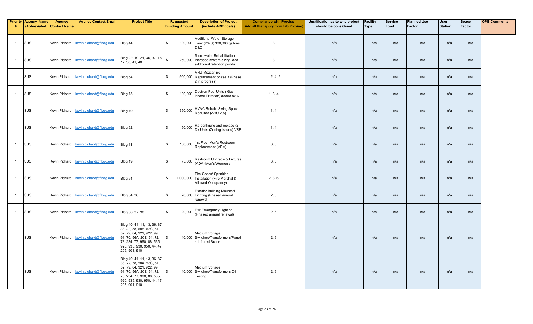| -#             | <b>Priority Agency Name</b> | <b>Agency</b><br>(Abbreviated) Contact Name | <b>Agency Contact Email</b>           | <b>Project Title</b>                                                                                                                                                                              | <b>Requested</b><br><b>Funding Amount</b> | <b>Description of Project</b><br>(include ARP goals)                                    | <b>Compliance with Proviso</b><br>(Add all that apply from tab Proviso) | Justification as to why project<br>should be considered | <b>Facility</b><br><b>Type</b> | <b>Service</b><br>Load | <b>Planned Use</b><br><b>Factor</b> | <b>User</b><br><b>Station</b> | <b>Space</b><br>Factor | <b>OPB Comments</b> |
|----------------|-----------------------------|---------------------------------------------|---------------------------------------|---------------------------------------------------------------------------------------------------------------------------------------------------------------------------------------------------|-------------------------------------------|-----------------------------------------------------------------------------------------|-------------------------------------------------------------------------|---------------------------------------------------------|--------------------------------|------------------------|-------------------------------------|-------------------------------|------------------------|---------------------|
| $\overline{1}$ | SUS                         | <b>Kevin Pichard</b>                        | kevin.pichard@flbog.edu               | Bldg 44                                                                                                                                                                                           | \$<br>100,000                             | <b>Additional Water Storage</b><br>Tank (PWS) 300,000 gallons<br>D&C                    | $\overline{3}$                                                          | n/a                                                     | n/a                            | n/a                    | n/a                                 | n/a                           | n/a                    |                     |
| $\overline{1}$ | SUS                         |                                             | Kevin Pichard kevin.pichard@flbog.edu | Bldg 22, 19, 21, 36, 37, 18, s<br>12, 38, 41, 40                                                                                                                                                  | 250,000                                   | Stormwater Rehabilitation:<br>Increase system sizing, add<br>additional retention ponds | 3                                                                       | n/a                                                     | n/a                            | n/a                    | n/a                                 | n/a                           | n/a                    |                     |
| $\mathbf{1}$   | SUS                         | <b>Kevin Pichard</b>                        | kevin.pichard@flbog.edu               | Bldg 54                                                                                                                                                                                           | \$<br>900,000                             | AHU Mezzanine<br>Replacement phase 3 (Phase<br>2 in progress)                           | 1, 2, 4, 6                                                              | n/a                                                     | n/a                            | n/a                    | n/a                                 | n/a                           | n/a                    |                     |
| $\mathbf{1}$   | SUS                         | Kevin Pichard                               | kevin.pichard@flboq.edu               | Bldg 73                                                                                                                                                                                           | \$<br>100,000                             | Dectron Pool Units (Gas<br>Phase Filtration) added 8/16                                 | 1, 3, 4                                                                 | n/a                                                     | n/a                            | n/a                    | n/a                                 | n/a                           | n/a                    |                     |
| $\overline{1}$ | SUS                         |                                             | Kevin Pichard kevin.pichard@flbog.edu | Bldg 79                                                                                                                                                                                           | $$\mathbb{S}$$<br>350,000                 | HVAC Rehab -Swing Space<br>Required (AHU-2,5)                                           | 1, 4                                                                    | n/a                                                     | n/a                            | n/a                    | n/a                                 | n/a                           | n/a                    |                     |
| $\overline{1}$ | SUS                         | <b>Kevin Pichard</b>                        | kevin.pichard@flbog.edu               | Bldg 92                                                                                                                                                                                           | $\mathbf{s}$<br>50,000                    | Re-configure and replace (2)<br>Dx Units (Zoning Issues) VRF                            | 1, 4                                                                    | n/a                                                     | n/a                            | n/a                    | n/a                                 | n/a                           | n/a                    |                     |
| $\overline{1}$ | SUS                         | Kevin Pichard                               | kevin.pichard@flboq.edu               | Bldg 11                                                                                                                                                                                           | \$<br>150,000                             | 1st Floor Men's Restroom<br>Replacement (ADA)                                           | 3, 5                                                                    | n/a                                                     | n/a                            | n/a                    | n/a                                 | n/a                           | n/a                    |                     |
| $\overline{1}$ | SUS                         |                                             | Kevin Pichard kevin.pichard@flbog.edu | Bldg 19                                                                                                                                                                                           | $\mathfrak{s}$<br>75,000                  | Restroom Upgrade & Fixtures<br>(ADA) Men's/Women's                                      | 3, 5                                                                    | n/a                                                     | n/a                            | n/a                    | n/a                                 | n/a                           | n/a                    |                     |
| $\overline{1}$ | SUS                         | <b>Kevin Pichard</b>                        | kevin.pichard@flbog.edu               | Bldg 54                                                                                                                                                                                           | \$                                        | Fire Codes/ Sprinkler<br>1,000,000 Installation (Fire Marshal &<br>Allowed Occupancy)   | 2, 3, 6                                                                 | n/a                                                     | n/a                            | n/a                    | n/a                                 | n/a                           | n/a                    |                     |
| $\overline{1}$ | SUS                         |                                             | Kevin Pichard kevin.pichard@flboq.edu | Bldg 54, 36                                                                                                                                                                                       | \$<br>20,000                              | <b>Exterior Building Mounted</b><br>Lighting (Phased annual<br>renewal)                 | 2, 5                                                                    | n/a                                                     | n/a                            | n/a                    | n/a                                 | n/a                           | n/a                    |                     |
| $\overline{1}$ | SUS                         | Kevin Pichard                               | kevin.pichard@flbog.edu               | Bldg 36, 37, 38                                                                                                                                                                                   | $\mathbb S$<br>20,000                     | Exit Emergency Lighting<br>(Phased annual renewal)                                      | 2, 6                                                                    | n/a                                                     | n/a                            | n/a                    | n/a                                 | n/a                           | n/a                    |                     |
| $\mathbf{1}$   | SUS                         |                                             | Kevin Pichard kevin.pichard@flboq.edu | Bldg 40, 41, 11, 13, 36, 37,<br>38, 22, 58, 58A, 58C, 51,<br>52, 79, 04, 921, 922, 99,<br>91, 70, 56A, 20E, 54, 72,<br>73, 234, 77, 960, 88, 535,<br>920, 935, 930, 950, 44, 47,<br>205, 901, 910 | $\sqrt{3}$                                | Medium Voltage<br>40,000 Switches/Transformers/Panel<br>s Infrared Scans                | 2, 6                                                                    | n/a                                                     | n/a                            | n/a                    | n/a                                 | n/a                           | n/a                    |                     |
| $\mathbf{1}$   | SUS                         | Kevin Pichard                               | kevin.pichard@flbog.edu               | Bldg 40, 41, 11, 13, 36, 37,<br>38, 22, 58, 58A, 58C, 51,<br>52, 79, 04, 921, 922, 99,<br>91, 70, 56A, 20E, 54, 72,<br>73, 234, 77, 960, 88, 535,<br>920, 935, 930, 950, 44, 47,<br>205, 901, 910 | $\mathfrak s$                             | Medium Voltage<br>40,000 Switches/Transformers Oil<br>Testing                           | 2, 6                                                                    | n/a                                                     | n/a                            | n/a                    | n/a                                 | n/a                           | n/a                    |                     |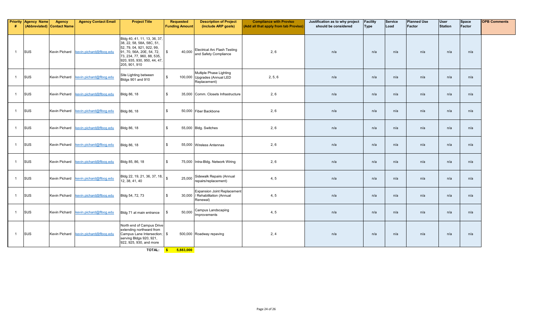| #              | <b>Priority Agency Name</b> | <b>Agency</b><br>(Abbreviated) Contact Name | <b>Agency Contact Email</b>           | <b>Project Title</b>                                                                                                                                                                              | <b>Requested</b><br><b>Funding Amount</b> | <b>Description of Project</b><br>(include ARP goals)                       | <b>Compliance with Proviso</b><br>(Add all that apply from tab Proviso) | Justification as to why project<br>should be considered | <b>Facility</b><br>Type | <b>Service</b><br>Load | <b>Planned Use</b><br>Factor | <b>User</b><br><b>Station</b> | Space<br>Factor | <b>OPB Comments</b> |
|----------------|-----------------------------|---------------------------------------------|---------------------------------------|---------------------------------------------------------------------------------------------------------------------------------------------------------------------------------------------------|-------------------------------------------|----------------------------------------------------------------------------|-------------------------------------------------------------------------|---------------------------------------------------------|-------------------------|------------------------|------------------------------|-------------------------------|-----------------|---------------------|
| $\overline{1}$ | <b>SUS</b>                  |                                             | Kevin Pichard kevin.pichard@flbog.edu | Bldg 40, 41, 11, 13, 36, 37,<br>38, 22, 58, 58A, 58C, 51,<br>52, 79, 04, 921, 922, 99,<br>91, 70, 56A, 20E, 54, 72,<br>73, 234, 77, 960, 88, 535,<br>920, 935, 930, 950, 44, 47,<br>205, 901, 910 | 40.000<br>\$                              | <b>Electrical Arc Flash Testing</b><br>and Safety Compliance               | 2, 6                                                                    | n/a                                                     | n/a                     | n/a                    | n/a                          | n/a                           | n/a             |                     |
| $\overline{1}$ | <b>SUS</b>                  | <b>Kevin Pichard</b>                        | kevin.pichard@flbog.edu               | Site Lighting between<br>Bldgs 901 and 910                                                                                                                                                        | \$                                        | Multiple Phase Lighting<br>100,000 Upgrades (Annual LED<br>Replacement)    | 2, 5, 6                                                                 | n/a                                                     | n/a                     | n/a                    | n/a                          | n/a                           | n/a             |                     |
| $\overline{1}$ | SUS                         | <b>Kevin Pichard</b>                        | kevin.pichard@flbog.edu               | <b>Bldg 86, 18</b>                                                                                                                                                                                | \$                                        | 35.000 Comm. Closets Infrastructure                                        | 2, 6                                                                    | n/a                                                     | n/a                     | n/a                    | n/a                          | n/a                           | n/a             |                     |
| $\overline{1}$ | <b>SUS</b>                  | <b>Kevin Pichard</b>                        | kevin.pichard@flbog.edu               | <b>Bldg 86, 18</b>                                                                                                                                                                                | $\mathbb{S}$                              | 50,000 Fiber Backbone                                                      | 2, 6                                                                    | n/a                                                     | n/a                     | n/a                    | n/a                          | n/a                           | n/a             |                     |
| $\overline{1}$ | SUS                         |                                             | Kevin Pichard kevin.pichard@flbog.edu | <b>Bldg 86, 18</b>                                                                                                                                                                                | $$^{\circ}$                               | 55,000 Bldg. Switches                                                      | 2, 6                                                                    | n/a                                                     | n/a                     | n/a                    | n/a                          | n/a                           | n/a             |                     |
| $\overline{1}$ | SUS                         | Kevin Pichard                               | kevin.pichard@flbog.edu               | <b>Bldg 86, 18</b>                                                                                                                                                                                | $$^{\circ}$                               | 55,000 Wireless Antennas                                                   | 2, 6                                                                    | n/a                                                     | n/a                     | n/a                    | n/a                          | n/a                           | n/a             |                     |
| $\overline{1}$ | SUS                         | Kevin Pichard                               | kevin.pichard@flbog.edu               | Bldg 85, 86, 18                                                                                                                                                                                   | \$                                        | 75,000 Intra-Bldg. Network Wiring                                          | 2, 6                                                                    | n/a                                                     | n/a                     | n/a                    | n/a                          | n/a                           | n/a             |                     |
| $\overline{1}$ | SUS                         | <b>Kevin Pichard</b>                        | kevin.pichard@flbog.edu               | Bldg 22, 19, 21, 36, 37, 18, s<br>12, 38, 41, 40                                                                                                                                                  | 25,000                                    | Sidewalk Repairs (Annual<br>repairs/replacement)                           | 4, 5                                                                    | n/a                                                     | n/a                     | n/a                    | n/a                          | n/a                           | n/a             |                     |
| $\overline{1}$ | SUS                         |                                             | Kevin Pichard kevin.pichard@flboq.edu | Bldg 54, 72, 73                                                                                                                                                                                   | \$                                        | Expansion Joint Replacement<br>30,000 / Rehabilitation (Annual<br>Renewal) | 4, 5                                                                    | n/a                                                     | n/a                     | n/a                    | n/a                          | n/a                           | n/a             |                     |
| $\overline{1}$ | <b>SUS</b>                  |                                             | Kevin Pichard kevin.pichard@flbog.edu | Bldg 71 at main entrance                                                                                                                                                                          | 50,000<br>$\mathbf{\hat{R}}$              | Campus Landscaping<br>Improvements                                         | 4, 5                                                                    | n/a                                                     | n/a                     | n/a                    | n/a                          | n/a                           | n/a             |                     |
| $\overline{1}$ | <b>SUS</b>                  |                                             | Kevin Pichard kevin.pichard@flboq.edu | North end of Campus Drive<br>extending northward from<br>Campus Lane Intersection; \$<br>serving Bldgs 920, 921,<br>922, 925, 930, and more                                                       |                                           | 500,000 Roadway repaving                                                   | 2, 4                                                                    | n/a                                                     | n/a                     | n/a                    | n/a                          | n/a                           | n/a             |                     |

**TOTAL: \$ 5,883,000**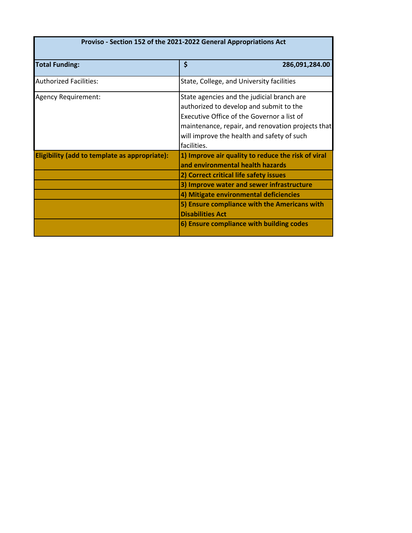| Proviso - Section 152 of the 2021-2022 General Appropriations Act |                                                                                                                                                                                                                                                                                                                                                |  |  |  |  |  |  |  |  |
|-------------------------------------------------------------------|------------------------------------------------------------------------------------------------------------------------------------------------------------------------------------------------------------------------------------------------------------------------------------------------------------------------------------------------|--|--|--|--|--|--|--|--|
| <b>Total Funding:</b>                                             | \$<br>286,091,284.00                                                                                                                                                                                                                                                                                                                           |  |  |  |  |  |  |  |  |
| <b>Authorized Facilities:</b>                                     | State, College, and University facilities                                                                                                                                                                                                                                                                                                      |  |  |  |  |  |  |  |  |
| Agency Requirement:                                               | State agencies and the judicial branch are<br>authorized to develop and submit to the<br>Executive Office of the Governor a list of<br>maintenance, repair, and renovation projects that<br>will improve the health and safety of such<br>facilities.                                                                                          |  |  |  |  |  |  |  |  |
| Eligibility (add to template as appropriate):                     | 1) Improve air quality to reduce the risk of viral<br>and environmental health hazards<br>2) Correct critical life safety issues<br>3) Improve water and sewer infrastructure<br>4) Mitigate environmental deficiencies<br>5) Ensure compliance with the Americans with<br><b>Disabilities Act</b><br>6) Ensure compliance with building codes |  |  |  |  |  |  |  |  |